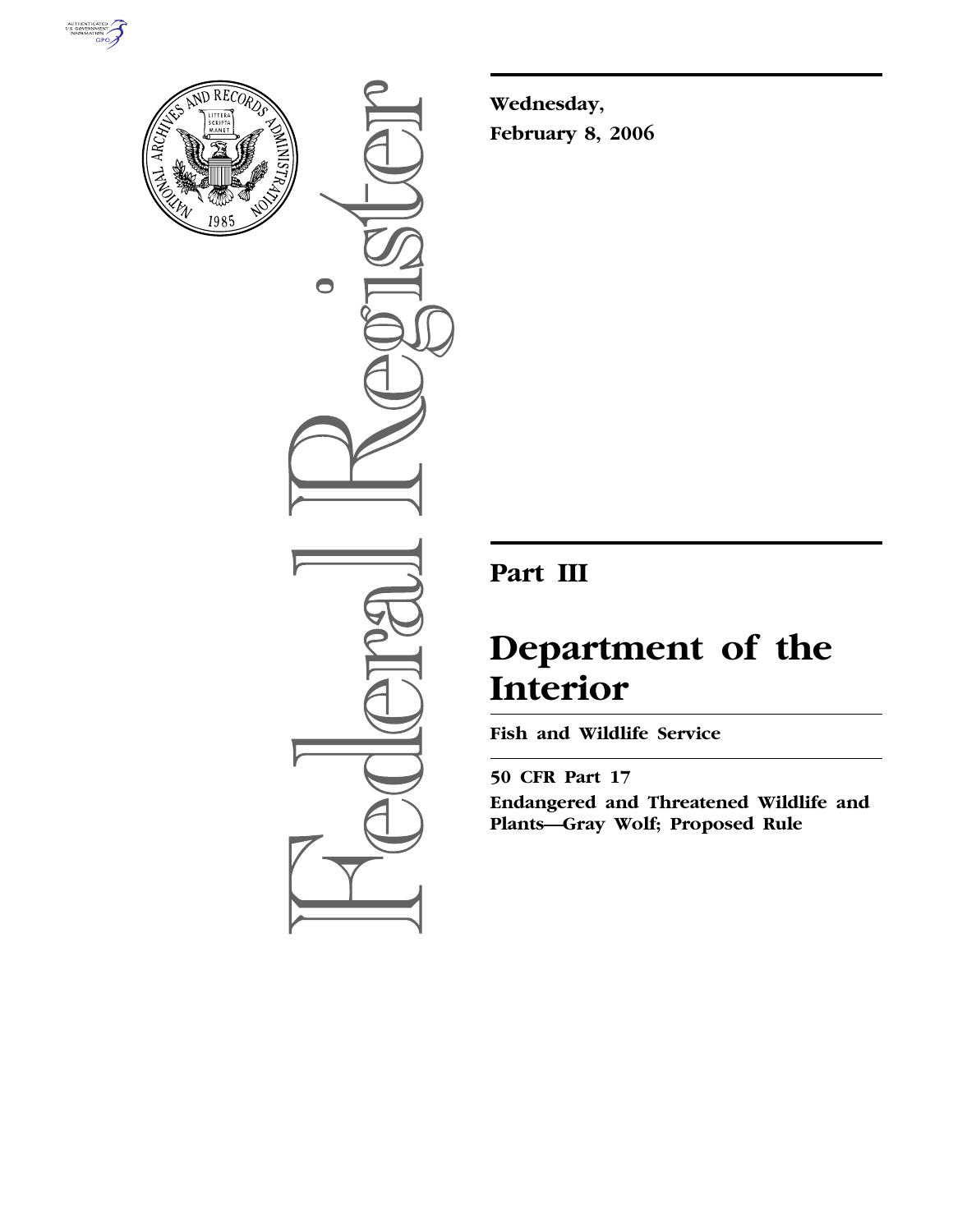



 $\bullet$ 

**Wednesday, February 8, 2006** 

# **Part III**

# **Department of the Interior**

**Fish and Wildlife Service** 

**50 CFR Part 17 Endangered and Threatened Wildlife and Plants—Gray Wolf; Proposed Rule**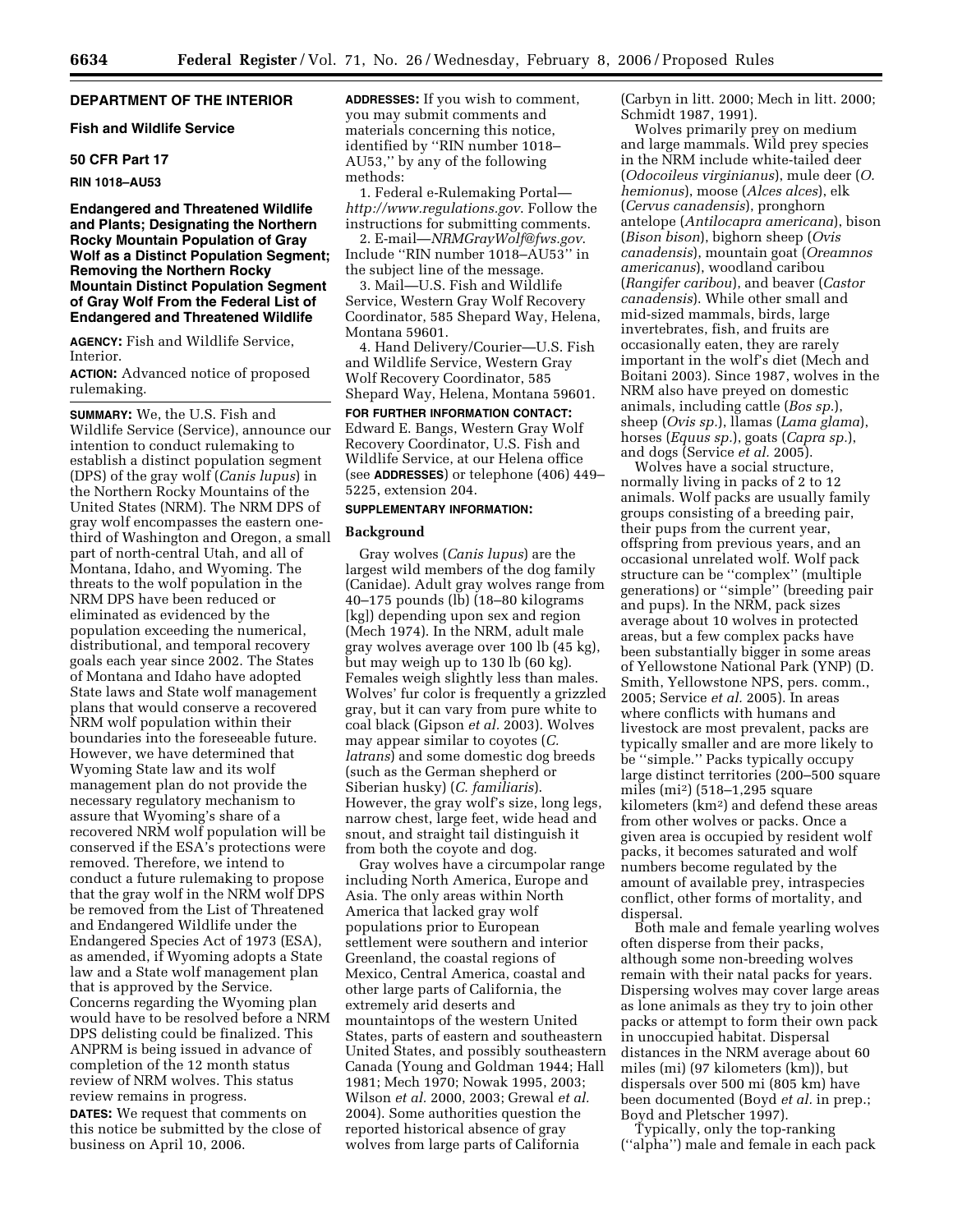#### **DEPARTMENT OF THE INTERIOR**

# **Fish and Wildlife Service**

# **50 CFR Part 17**

#### **RIN 1018–AU53**

#### **Endangered and Threatened Wildlife and Plants; Designating the Northern Rocky Mountain Population of Gray Wolf as a Distinct Population Segment; Removing the Northern Rocky Mountain Distinct Population Segment of Gray Wolf From the Federal List of Endangered and Threatened Wildlife**

**AGENCY:** Fish and Wildlife Service, Interior.

**ACTION:** Advanced notice of proposed rulemaking.

**SUMMARY:** We, the U.S. Fish and Wildlife Service (Service), announce our intention to conduct rulemaking to establish a distinct population segment (DPS) of the gray wolf (*Canis lupus*) in the Northern Rocky Mountains of the United States (NRM). The NRM DPS of gray wolf encompasses the eastern onethird of Washington and Oregon, a small part of north-central Utah, and all of Montana, Idaho, and Wyoming. The threats to the wolf population in the NRM DPS have been reduced or eliminated as evidenced by the population exceeding the numerical, distributional, and temporal recovery goals each year since 2002. The States of Montana and Idaho have adopted State laws and State wolf management plans that would conserve a recovered NRM wolf population within their boundaries into the foreseeable future. However, we have determined that Wyoming State law and its wolf management plan do not provide the necessary regulatory mechanism to assure that Wyoming's share of a recovered NRM wolf population will be conserved if the ESA's protections were removed. Therefore, we intend to conduct a future rulemaking to propose that the gray wolf in the NRM wolf DPS be removed from the List of Threatened and Endangered Wildlife under the Endangered Species Act of 1973 (ESA), as amended, if Wyoming adopts a State law and a State wolf management plan that is approved by the Service. Concerns regarding the Wyoming plan would have to be resolved before a NRM DPS delisting could be finalized. This ANPRM is being issued in advance of completion of the 12 month status review of NRM wolves. This status review remains in progress.

**DATES:** We request that comments on this notice be submitted by the close of business on April 10, 2006.

**ADDRESSES:** If you wish to comment, you may submit comments and materials concerning this notice, identified by ''RIN number 1018– AU53,'' by any of the following methods:

1. Federal e-Rulemaking Portal *http://www.regulations.gov*. Follow the instructions for submitting comments.

2. E-mail—*NRMGrayWolf@fws.gov*. Include ''RIN number 1018–AU53'' in the subject line of the message.

3. Mail—U.S. Fish and Wildlife Service, Western Gray Wolf Recovery Coordinator, 585 Shepard Way, Helena, Montana 59601.

4. Hand Delivery/Courier—U.S. Fish and Wildlife Service, Western Gray Wolf Recovery Coordinator, 585 Shepard Way, Helena, Montana 59601.

# **FOR FURTHER INFORMATION CONTACT:**

Edward E. Bangs, Western Gray Wolf Recovery Coordinator, U.S. Fish and Wildlife Service, at our Helena office (see **ADDRESSES**) or telephone (406) 449– 5225, extension 204.

#### **SUPPLEMENTARY INFORMATION:**

#### **Background**

Gray wolves (*Canis lupus*) are the largest wild members of the dog family (Canidae). Adult gray wolves range from 40–175 pounds (lb) (18–80 kilograms [kg]) depending upon sex and region (Mech 1974). In the NRM, adult male gray wolves average over 100 lb (45 kg), but may weigh up to 130 lb (60 kg). Females weigh slightly less than males. Wolves' fur color is frequently a grizzled gray, but it can vary from pure white to coal black (Gipson *et al.* 2003). Wolves may appear similar to coyotes (*C. latrans*) and some domestic dog breeds (such as the German shepherd or Siberian husky) (*C. familiaris*). However, the gray wolf's size, long legs, narrow chest, large feet, wide head and snout, and straight tail distinguish it from both the coyote and dog.

Gray wolves have a circumpolar range including North America, Europe and Asia. The only areas within North America that lacked gray wolf populations prior to European settlement were southern and interior Greenland, the coastal regions of Mexico, Central America, coastal and other large parts of California, the extremely arid deserts and mountaintops of the western United States, parts of eastern and southeastern United States, and possibly southeastern Canada (Young and Goldman 1944; Hall 1981; Mech 1970; Nowak 1995, 2003; Wilson *et al.* 2000, 2003; Grewal *et al.*  2004). Some authorities question the reported historical absence of gray wolves from large parts of California

(Carbyn in litt. 2000; Mech in litt. 2000; Schmidt 1987, 1991).

Wolves primarily prey on medium and large mammals. Wild prey species in the NRM include white-tailed deer (*Odocoileus virginianus*), mule deer (*O. hemionus*), moose (*Alces alces*), elk (*Cervus canadensis*), pronghorn antelope (*Antilocapra americana*), bison (*Bison bison*), bighorn sheep (*Ovis canadensis*), mountain goat (*Oreamnos americanus*), woodland caribou (*Rangifer caribou*), and beaver (*Castor canadensis*). While other small and mid-sized mammals, birds, large invertebrates, fish, and fruits are occasionally eaten, they are rarely important in the wolf's diet (Mech and Boitani 2003). Since 1987, wolves in the NRM also have preyed on domestic animals, including cattle (*Bos sp.*), sheep (*Ovis sp.*), llamas (*Lama glama*), horses (*Equus sp.*), goats (*Capra sp.*), and dogs (Service *et al.* 2005).

Wolves have a social structure, normally living in packs of 2 to 12 animals. Wolf packs are usually family groups consisting of a breeding pair, their pups from the current year, offspring from previous years, and an occasional unrelated wolf. Wolf pack structure can be ''complex'' (multiple generations) or ''simple'' (breeding pair and pups). In the NRM, pack sizes average about 10 wolves in protected areas, but a few complex packs have been substantially bigger in some areas of Yellowstone National Park (YNP) (D. Smith, Yellowstone NPS, pers. comm., 2005; Service *et al.* 2005). In areas where conflicts with humans and livestock are most prevalent, packs are typically smaller and are more likely to be ''simple.'' Packs typically occupy large distinct territories (200–500 square miles (mi2) (518–1,295 square kilometers (km2) and defend these areas from other wolves or packs. Once a given area is occupied by resident wolf packs, it becomes saturated and wolf numbers become regulated by the amount of available prey, intraspecies conflict, other forms of mortality, and dispersal.

Both male and female yearling wolves often disperse from their packs, although some non-breeding wolves remain with their natal packs for years. Dispersing wolves may cover large areas as lone animals as they try to join other packs or attempt to form their own pack in unoccupied habitat. Dispersal distances in the NRM average about 60 miles (mi) (97 kilometers (km)), but dispersals over 500 mi (805 km) have been documented (Boyd *et al.* in prep.; Boyd and Pletscher 1997).

Typically, only the top-ranking (''alpha'') male and female in each pack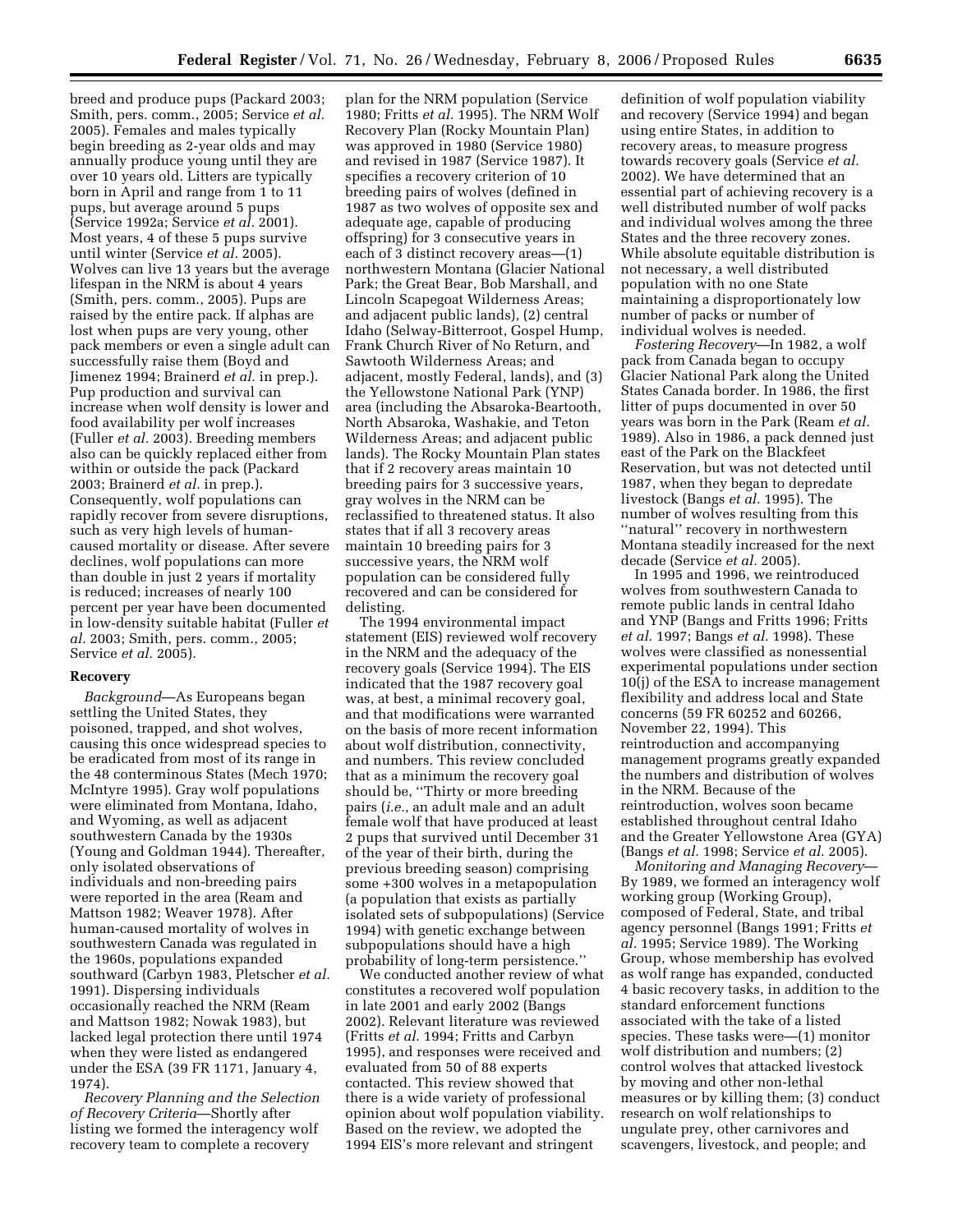breed and produce pups (Packard 2003; Smith, pers. comm., 2005; Service *et al.*  2005). Females and males typically begin breeding as 2-year olds and may annually produce young until they are over 10 years old. Litters are typically born in April and range from 1 to 11 pups, but average around 5 pups (Service 1992a; Service *et al.* 2001). Most years, 4 of these 5 pups survive until winter (Service *et al.* 2005). Wolves can live 13 years but the average lifespan in the NRM is about 4 years (Smith, pers. comm., 2005). Pups are raised by the entire pack. If alphas are lost when pups are very young, other pack members or even a single adult can successfully raise them (Boyd and Jimenez 1994; Brainerd *et al.* in prep.). Pup production and survival can increase when wolf density is lower and food availability per wolf increases (Fuller *et al.* 2003). Breeding members also can be quickly replaced either from within or outside the pack (Packard 2003; Brainerd *et al.* in prep.). Consequently, wolf populations can rapidly recover from severe disruptions, such as very high levels of humancaused mortality or disease. After severe declines, wolf populations can more than double in just 2 years if mortality is reduced; increases of nearly 100 percent per year have been documented in low-density suitable habitat (Fuller *et al.* 2003; Smith, pers. comm., 2005; Service *et al.* 2005).

#### **Recovery**

*Background*—As Europeans began settling the United States, they poisoned, trapped, and shot wolves, causing this once widespread species to be eradicated from most of its range in the 48 conterminous States (Mech 1970; McIntyre 1995). Gray wolf populations were eliminated from Montana, Idaho, and Wyoming, as well as adjacent southwestern Canada by the 1930s (Young and Goldman 1944). Thereafter, only isolated observations of individuals and non-breeding pairs were reported in the area (Ream and Mattson 1982; Weaver 1978). After human-caused mortality of wolves in southwestern Canada was regulated in the 1960s, populations expanded southward (Carbyn 1983, Pletscher *et al.*  1991). Dispersing individuals occasionally reached the NRM (Ream and Mattson 1982; Nowak 1983), but lacked legal protection there until 1974 when they were listed as endangered under the ESA (39 FR 1171, January 4, 1974).

*Recovery Planning and the Selection of Recovery Criteria*—Shortly after listing we formed the interagency wolf recovery team to complete a recovery

plan for the NRM population (Service 1980; Fritts *et al.* 1995). The NRM Wolf Recovery Plan (Rocky Mountain Plan) was approved in 1980 (Service 1980) and revised in 1987 (Service 1987). It specifies a recovery criterion of 10 breeding pairs of wolves (defined in 1987 as two wolves of opposite sex and adequate age, capable of producing offspring) for 3 consecutive years in each of 3 distinct recovery areas—(1) northwestern Montana (Glacier National Park; the Great Bear, Bob Marshall, and Lincoln Scapegoat Wilderness Areas; and adjacent public lands), (2) central Idaho (Selway-Bitterroot, Gospel Hump, Frank Church River of No Return, and Sawtooth Wilderness Areas; and adjacent, mostly Federal, lands), and (3) the Yellowstone National Park (YNP) area (including the Absaroka-Beartooth, North Absaroka, Washakie, and Teton Wilderness Areas; and adjacent public lands). The Rocky Mountain Plan states that if 2 recovery areas maintain 10 breeding pairs for 3 successive years, gray wolves in the NRM can be reclassified to threatened status. It also states that if all 3 recovery areas maintain 10 breeding pairs for 3 successive years, the NRM wolf population can be considered fully recovered and can be considered for delisting.

The 1994 environmental impact statement (EIS) reviewed wolf recovery in the NRM and the adequacy of the recovery goals (Service 1994). The EIS indicated that the 1987 recovery goal was, at best, a minimal recovery goal, and that modifications were warranted on the basis of more recent information about wolf distribution, connectivity, and numbers. This review concluded that as a minimum the recovery goal should be, ''Thirty or more breeding pairs (*i.e.*, an adult male and an adult female wolf that have produced at least 2 pups that survived until December 31 of the year of their birth, during the previous breeding season) comprising some +300 wolves in a metapopulation (a population that exists as partially isolated sets of subpopulations) (Service 1994) with genetic exchange between subpopulations should have a high probability of long-term persistence.''

We conducted another review of what constitutes a recovered wolf population in late 2001 and early 2002 (Bangs 2002). Relevant literature was reviewed (Fritts *et al.* 1994; Fritts and Carbyn 1995), and responses were received and evaluated from 50 of 88 experts contacted. This review showed that there is a wide variety of professional opinion about wolf population viability. Based on the review, we adopted the 1994 EIS's more relevant and stringent

definition of wolf population viability and recovery (Service 1994) and began using entire States, in addition to recovery areas, to measure progress towards recovery goals (Service *et al.*  2002). We have determined that an essential part of achieving recovery is a well distributed number of wolf packs and individual wolves among the three States and the three recovery zones. While absolute equitable distribution is not necessary, a well distributed population with no one State maintaining a disproportionately low number of packs or number of individual wolves is needed.

*Fostering Recovery*—In 1982, a wolf pack from Canada began to occupy Glacier National Park along the United States Canada border. In 1986, the first litter of pups documented in over 50 years was born in the Park (Ream *et al.*  1989). Also in 1986, a pack denned just east of the Park on the Blackfeet Reservation, but was not detected until 1987, when they began to depredate livestock (Bangs *et al.* 1995). The number of wolves resulting from this ''natural'' recovery in northwestern Montana steadily increased for the next decade (Service *et al.* 2005).

In 1995 and 1996, we reintroduced wolves from southwestern Canada to remote public lands in central Idaho and YNP (Bangs and Fritts 1996; Fritts *et al.* 1997; Bangs *et al.* 1998). These wolves were classified as nonessential experimental populations under section 10(j) of the ESA to increase management flexibility and address local and State concerns (59 FR 60252 and 60266, November 22, 1994). This reintroduction and accompanying management programs greatly expanded the numbers and distribution of wolves in the NRM. Because of the reintroduction, wolves soon became established throughout central Idaho and the Greater Yellowstone Area (GYA) (Bangs *et al.* 1998; Service *et al.* 2005).

*Monitoring and Managing Recovery*— By 1989, we formed an interagency wolf working group (Working Group), composed of Federal, State, and tribal agency personnel (Bangs 1991; Fritts *et al.* 1995; Service 1989). The Working Group, whose membership has evolved as wolf range has expanded, conducted 4 basic recovery tasks, in addition to the standard enforcement functions associated with the take of a listed species. These tasks were—(1) monitor wolf distribution and numbers; (2) control wolves that attacked livestock by moving and other non-lethal measures or by killing them; (3) conduct research on wolf relationships to ungulate prey, other carnivores and scavengers, livestock, and people; and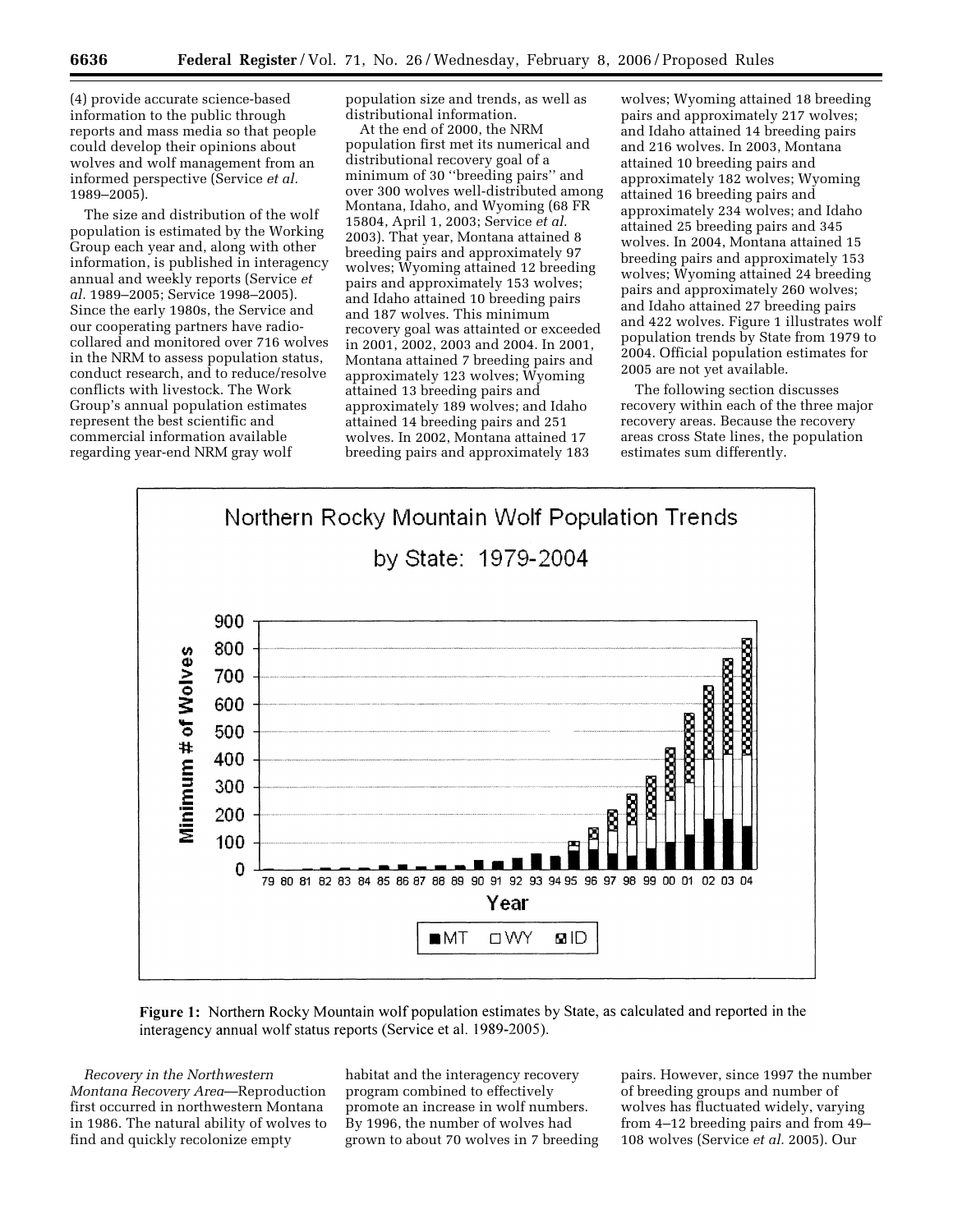(4) provide accurate science-based information to the public through reports and mass media so that people could develop their opinions about wolves and wolf management from an informed perspective (Service *et al.*  1989–2005).

The size and distribution of the wolf population is estimated by the Working Group each year and, along with other information, is published in interagency annual and weekly reports (Service *et al.* 1989–2005; Service 1998–2005). Since the early 1980s, the Service and our cooperating partners have radiocollared and monitored over 716 wolves in the NRM to assess population status, conduct research, and to reduce/resolve conflicts with livestock. The Work Group's annual population estimates represent the best scientific and commercial information available regarding year-end NRM gray wolf

population size and trends, as well as distributional information.

At the end of 2000, the NRM population first met its numerical and distributional recovery goal of a minimum of 30 ''breeding pairs'' and over 300 wolves well-distributed among Montana, Idaho, and Wyoming (68 FR 15804, April 1, 2003; Service *et al.*  2003). That year, Montana attained 8 breeding pairs and approximately 97 wolves; Wyoming attained 12 breeding pairs and approximately 153 wolves; and Idaho attained 10 breeding pairs and 187 wolves. This minimum recovery goal was attainted or exceeded in 2001, 2002, 2003 and 2004. In 2001, Montana attained 7 breeding pairs and approximately 123 wolves; Wyoming attained 13 breeding pairs and approximately 189 wolves; and Idaho attained 14 breeding pairs and 251 wolves. In 2002, Montana attained 17 breeding pairs and approximately 183

wolves; Wyoming attained 18 breeding pairs and approximately 217 wolves; and Idaho attained 14 breeding pairs and 216 wolves. In 2003, Montana attained 10 breeding pairs and approximately 182 wolves; Wyoming attained 16 breeding pairs and approximately 234 wolves; and Idaho attained 25 breeding pairs and 345 wolves. In 2004, Montana attained 15 breeding pairs and approximately 153 wolves; Wyoming attained 24 breeding pairs and approximately 260 wolves; and Idaho attained 27 breeding pairs and 422 wolves. Figure 1 illustrates wolf population trends by State from 1979 to 2004. Official population estimates for 2005 are not yet available.

The following section discusses recovery within each of the three major recovery areas. Because the recovery areas cross State lines, the population estimates sum differently.





*Recovery in the Northwestern Montana Recovery Area*—Reproduction first occurred in northwestern Montana in 1986. The natural ability of wolves to find and quickly recolonize empty

habitat and the interagency recovery program combined to effectively promote an increase in wolf numbers. By 1996, the number of wolves had grown to about 70 wolves in 7 breeding

pairs. However, since 1997 the number of breeding groups and number of wolves has fluctuated widely, varying from 4–12 breeding pairs and from 49– 108 wolves (Service *et al.* 2005). Our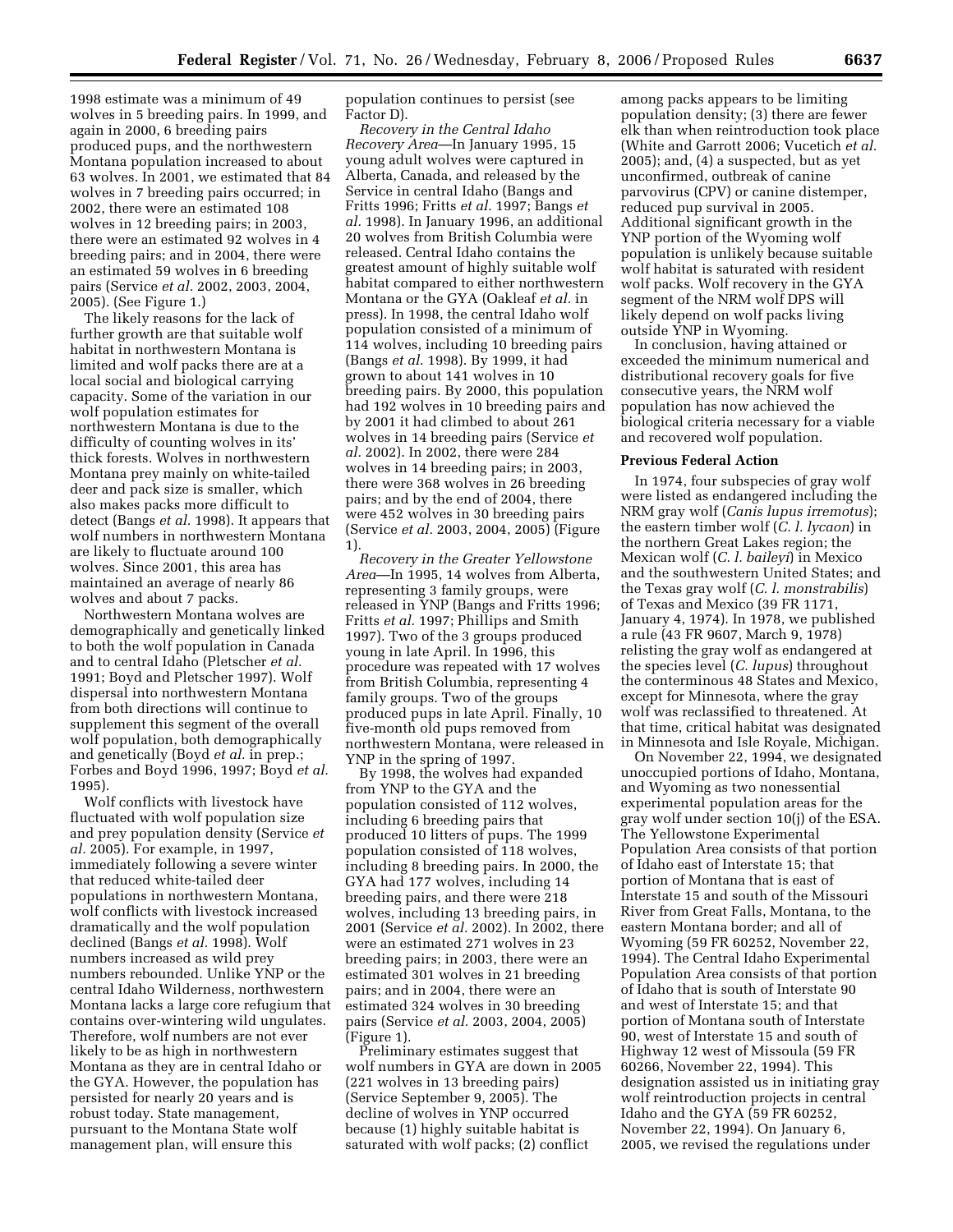1998 estimate was a minimum of 49 wolves in 5 breeding pairs. In 1999, and again in 2000, 6 breeding pairs produced pups, and the northwestern Montana population increased to about 63 wolves. In 2001, we estimated that 84 wolves in 7 breeding pairs occurred; in 2002, there were an estimated 108 wolves in 12 breeding pairs; in 2003, there were an estimated 92 wolves in 4 breeding pairs; and in 2004, there were an estimated 59 wolves in 6 breeding pairs (Service *et al.* 2002, 2003, 2004, 2005). (See Figure 1.)

The likely reasons for the lack of further growth are that suitable wolf habitat in northwestern Montana is limited and wolf packs there are at a local social and biological carrying capacity. Some of the variation in our wolf population estimates for northwestern Montana is due to the difficulty of counting wolves in its' thick forests. Wolves in northwestern Montana prey mainly on white-tailed deer and pack size is smaller, which also makes packs more difficult to detect (Bangs *et al.* 1998). It appears that wolf numbers in northwestern Montana are likely to fluctuate around 100 wolves. Since 2001, this area has maintained an average of nearly 86 wolves and about 7 packs.

Northwestern Montana wolves are demographically and genetically linked to both the wolf population in Canada and to central Idaho (Pletscher *et al.*  1991; Boyd and Pletscher 1997). Wolf dispersal into northwestern Montana from both directions will continue to supplement this segment of the overall wolf population, both demographically and genetically (Boyd *et al.* in prep.; Forbes and Boyd 1996, 1997; Boyd *et al.*  1995).

Wolf conflicts with livestock have fluctuated with wolf population size and prey population density (Service *et al.* 2005). For example, in 1997, immediately following a severe winter that reduced white-tailed deer populations in northwestern Montana, wolf conflicts with livestock increased dramatically and the wolf population declined (Bangs *et al.* 1998). Wolf numbers increased as wild prey numbers rebounded. Unlike YNP or the central Idaho Wilderness, northwestern Montana lacks a large core refugium that contains over-wintering wild ungulates. Therefore, wolf numbers are not ever likely to be as high in northwestern Montana as they are in central Idaho or the GYA. However, the population has persisted for nearly 20 years and is robust today. State management, pursuant to the Montana State wolf management plan, will ensure this

population continues to persist (see Factor D).

*Recovery in the Central Idaho Recovery Area*—In January 1995, 15 young adult wolves were captured in Alberta, Canada, and released by the Service in central Idaho (Bangs and Fritts 1996; Fritts *et al.* 1997; Bangs *et al.* 1998). In January 1996, an additional 20 wolves from British Columbia were released. Central Idaho contains the greatest amount of highly suitable wolf habitat compared to either northwestern Montana or the GYA (Oakleaf *et al.* in press). In 1998, the central Idaho wolf population consisted of a minimum of 114 wolves, including 10 breeding pairs (Bangs *et al.* 1998). By 1999, it had grown to about 141 wolves in 10 breeding pairs. By 2000, this population had 192 wolves in 10 breeding pairs and by 2001 it had climbed to about 261 wolves in 14 breeding pairs (Service *et al.* 2002). In 2002, there were 284 wolves in 14 breeding pairs; in 2003, there were 368 wolves in 26 breeding pairs; and by the end of 2004, there were 452 wolves in 30 breeding pairs (Service *et al.* 2003, 2004, 2005) (Figure 1).

*Recovery in the Greater Yellowstone Area*—In 1995, 14 wolves from Alberta, representing 3 family groups, were released in YNP (Bangs and Fritts 1996; Fritts *et al.* 1997; Phillips and Smith 1997). Two of the 3 groups produced young in late April. In 1996, this procedure was repeated with 17 wolves from British Columbia, representing 4 family groups. Two of the groups produced pups in late April. Finally, 10 five-month old pups removed from northwestern Montana, were released in YNP in the spring of 1997.

By 1998, the wolves had expanded from YNP to the GYA and the population consisted of 112 wolves, including 6 breeding pairs that produced 10 litters of pups. The 1999 population consisted of 118 wolves, including 8 breeding pairs. In 2000, the GYA had 177 wolves, including 14 breeding pairs, and there were 218 wolves, including 13 breeding pairs, in 2001 (Service *et al.* 2002). In 2002, there were an estimated 271 wolves in 23 breeding pairs; in 2003, there were an estimated 301 wolves in 21 breeding pairs; and in 2004, there were an estimated 324 wolves in 30 breeding pairs (Service *et al.* 2003, 2004, 2005) (Figure 1).

Preliminary estimates suggest that wolf numbers in GYA are down in 2005 (221 wolves in 13 breeding pairs) (Service September 9, 2005). The decline of wolves in YNP occurred because (1) highly suitable habitat is saturated with wolf packs; (2) conflict

among packs appears to be limiting population density; (3) there are fewer elk than when reintroduction took place (White and Garrott 2006; Vucetich *et al.*  2005); and, (4) a suspected, but as yet unconfirmed, outbreak of canine parvovirus (CPV) or canine distemper, reduced pup survival in 2005. Additional significant growth in the YNP portion of the Wyoming wolf population is unlikely because suitable wolf habitat is saturated with resident wolf packs. Wolf recovery in the GYA segment of the NRM wolf DPS will likely depend on wolf packs living outside YNP in Wyoming.

In conclusion, having attained or exceeded the minimum numerical and distributional recovery goals for five consecutive years, the NRM wolf population has now achieved the biological criteria necessary for a viable and recovered wolf population.

# **Previous Federal Action**

In 1974, four subspecies of gray wolf were listed as endangered including the NRM gray wolf (*Canis lupus irremotus*); the eastern timber wolf (*C. l. lycaon*) in the northern Great Lakes region; the Mexican wolf (*C. l. baileyi*) in Mexico and the southwestern United States; and the Texas gray wolf (*C. l. monstrabilis*) of Texas and Mexico (39 FR 1171, January 4, 1974). In 1978, we published a rule (43 FR 9607, March 9, 1978) relisting the gray wolf as endangered at the species level (*C. lupus*) throughout the conterminous 48 States and Mexico, except for Minnesota, where the gray wolf was reclassified to threatened. At that time, critical habitat was designated in Minnesota and Isle Royale, Michigan.

On November 22, 1994, we designated unoccupied portions of Idaho, Montana, and Wyoming as two nonessential experimental population areas for the gray wolf under section 10(j) of the ESA. The Yellowstone Experimental Population Area consists of that portion of Idaho east of Interstate 15; that portion of Montana that is east of Interstate 15 and south of the Missouri River from Great Falls, Montana, to the eastern Montana border; and all of Wyoming (59 FR 60252, November 22, 1994). The Central Idaho Experimental Population Area consists of that portion of Idaho that is south of Interstate 90 and west of Interstate 15; and that portion of Montana south of Interstate 90, west of Interstate 15 and south of Highway 12 west of Missoula (59 FR 60266, November 22, 1994). This designation assisted us in initiating gray wolf reintroduction projects in central Idaho and the GYA (59 FR 60252, November 22, 1994). On January 6, 2005, we revised the regulations under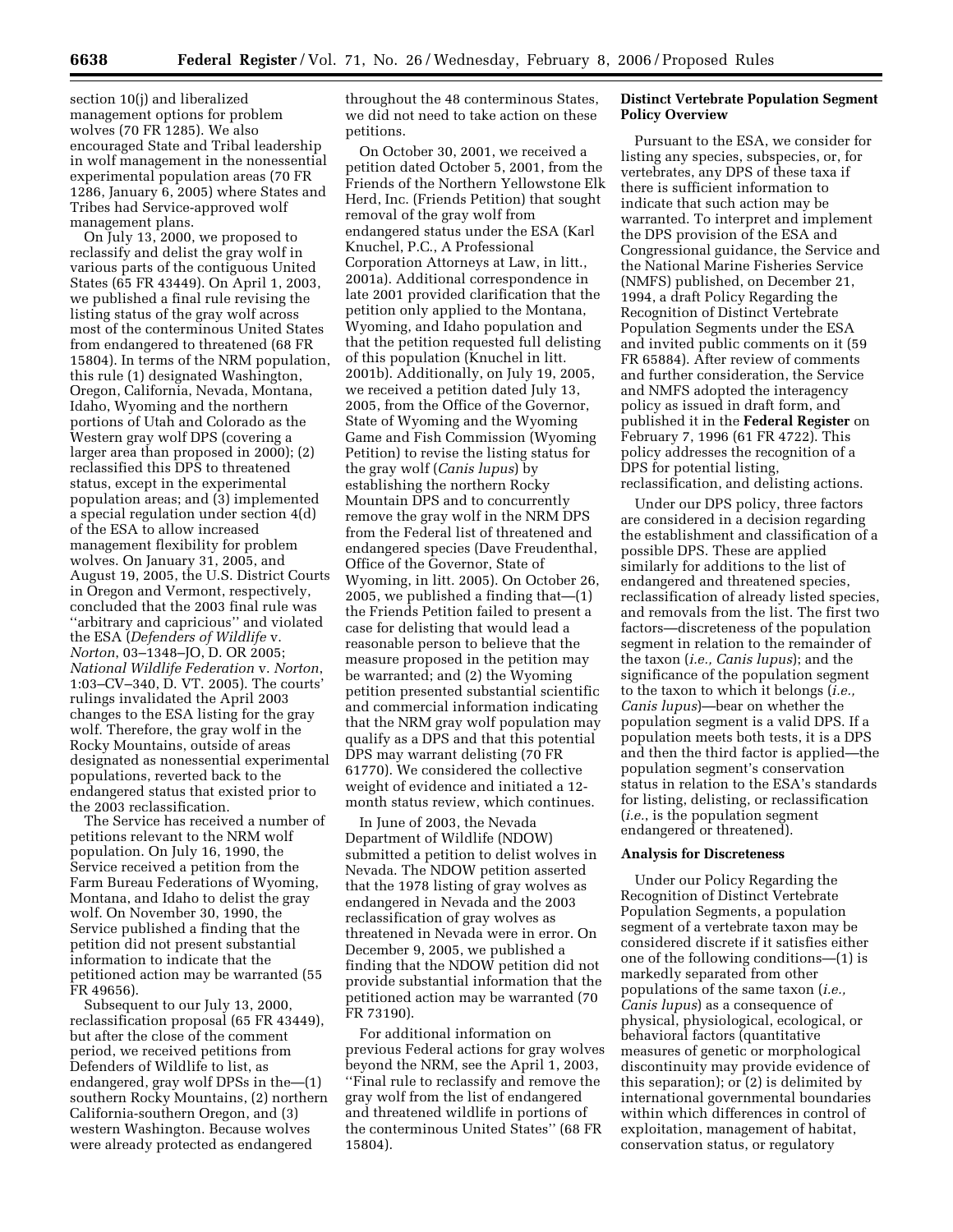section 10(j) and liberalized management options for problem wolves (70 FR 1285). We also encouraged State and Tribal leadership in wolf management in the nonessential experimental population areas (70 FR 1286, January 6, 2005) where States and Tribes had Service-approved wolf management plans.

On July 13, 2000, we proposed to reclassify and delist the gray wolf in various parts of the contiguous United States (65 FR 43449). On April 1, 2003, we published a final rule revising the listing status of the gray wolf across most of the conterminous United States from endangered to threatened (68 FR 15804). In terms of the NRM population, this rule (1) designated Washington, Oregon, California, Nevada, Montana, Idaho, Wyoming and the northern portions of Utah and Colorado as the Western gray wolf DPS (covering a larger area than proposed in 2000); (2) reclassified this DPS to threatened status, except in the experimental population areas; and (3) implemented a special regulation under section 4(d) of the ESA to allow increased management flexibility for problem wolves. On January 31, 2005, and August 19, 2005, the U.S. District Courts in Oregon and Vermont, respectively, concluded that the 2003 final rule was ''arbitrary and capricious'' and violated the ESA (*Defenders of Wildlife* v. *Norton*, 03–1348–JO, D. OR 2005; *National Wildlife Federation* v. *Norton*, 1:03–CV–340, D. VT. 2005). The courts' rulings invalidated the April 2003 changes to the ESA listing for the gray wolf. Therefore, the gray wolf in the Rocky Mountains, outside of areas designated as nonessential experimental populations, reverted back to the endangered status that existed prior to the 2003 reclassification.

The Service has received a number of petitions relevant to the NRM wolf population. On July 16, 1990, the Service received a petition from the Farm Bureau Federations of Wyoming, Montana, and Idaho to delist the gray wolf. On November 30, 1990, the Service published a finding that the petition did not present substantial information to indicate that the petitioned action may be warranted (55 FR 49656).

Subsequent to our July 13, 2000, reclassification proposal (65 FR 43449), but after the close of the comment period, we received petitions from Defenders of Wildlife to list, as endangered, gray wolf DPSs in the—(1) southern Rocky Mountains, (2) northern California-southern Oregon, and (3) western Washington. Because wolves were already protected as endangered

throughout the 48 conterminous States, we did not need to take action on these petitions.

On October 30, 2001, we received a petition dated October 5, 2001, from the Friends of the Northern Yellowstone Elk Herd, Inc. (Friends Petition) that sought removal of the gray wolf from endangered status under the ESA (Karl Knuchel, P.C., A Professional Corporation Attorneys at Law, in litt., 2001a). Additional correspondence in late 2001 provided clarification that the petition only applied to the Montana, Wyoming, and Idaho population and that the petition requested full delisting of this population (Knuchel in litt. 2001b). Additionally, on July 19, 2005, we received a petition dated July 13, 2005, from the Office of the Governor, State of Wyoming and the Wyoming Game and Fish Commission (Wyoming Petition) to revise the listing status for the gray wolf (*Canis lupus*) by establishing the northern Rocky Mountain DPS and to concurrently remove the gray wolf in the NRM DPS from the Federal list of threatened and endangered species (Dave Freudenthal, Office of the Governor, State of Wyoming, in litt. 2005). On October 26, 2005, we published a finding that—(1) the Friends Petition failed to present a case for delisting that would lead a reasonable person to believe that the measure proposed in the petition may be warranted; and (2) the Wyoming petition presented substantial scientific and commercial information indicating that the NRM gray wolf population may qualify as a DPS and that this potential DPS may warrant delisting (70 FR 61770). We considered the collective weight of evidence and initiated a 12 month status review, which continues.

In June of 2003, the Nevada Department of Wildlife (NDOW) submitted a petition to delist wolves in Nevada. The NDOW petition asserted that the 1978 listing of gray wolves as endangered in Nevada and the 2003 reclassification of gray wolves as threatened in Nevada were in error. On December 9, 2005, we published a finding that the NDOW petition did not provide substantial information that the petitioned action may be warranted (70 FR 73190).

For additional information on previous Federal actions for gray wolves beyond the NRM, see the April 1, 2003, ''Final rule to reclassify and remove the gray wolf from the list of endangered and threatened wildlife in portions of the conterminous United States'' (68 FR 15804).

#### **Distinct Vertebrate Population Segment Policy Overview**

Pursuant to the ESA, we consider for listing any species, subspecies, or, for vertebrates, any DPS of these taxa if there is sufficient information to indicate that such action may be warranted. To interpret and implement the DPS provision of the ESA and Congressional guidance, the Service and the National Marine Fisheries Service (NMFS) published, on December 21, 1994, a draft Policy Regarding the Recognition of Distinct Vertebrate Population Segments under the ESA and invited public comments on it (59 FR 65884). After review of comments and further consideration, the Service and NMFS adopted the interagency policy as issued in draft form, and published it in the **Federal Register** on February 7, 1996 (61 FR 4722). This policy addresses the recognition of a DPS for potential listing, reclassification, and delisting actions.

Under our DPS policy, three factors are considered in a decision regarding the establishment and classification of a possible DPS. These are applied similarly for additions to the list of endangered and threatened species, reclassification of already listed species, and removals from the list. The first two factors—discreteness of the population segment in relation to the remainder of the taxon (*i.e., Canis lupus*); and the significance of the population segment to the taxon to which it belongs (*i.e., Canis lupus*)—bear on whether the population segment is a valid DPS. If a population meets both tests, it is a DPS and then the third factor is applied—the population segment's conservation status in relation to the ESA's standards for listing, delisting, or reclassification (*i.e.*, is the population segment endangered or threatened).

#### **Analysis for Discreteness**

Under our Policy Regarding the Recognition of Distinct Vertebrate Population Segments, a population segment of a vertebrate taxon may be considered discrete if it satisfies either one of the following conditions—(1) is markedly separated from other populations of the same taxon (*i.e., Canis lupus*) as a consequence of physical, physiological, ecological, or behavioral factors (quantitative measures of genetic or morphological discontinuity may provide evidence of this separation); or (2) is delimited by international governmental boundaries within which differences in control of exploitation, management of habitat, conservation status, or regulatory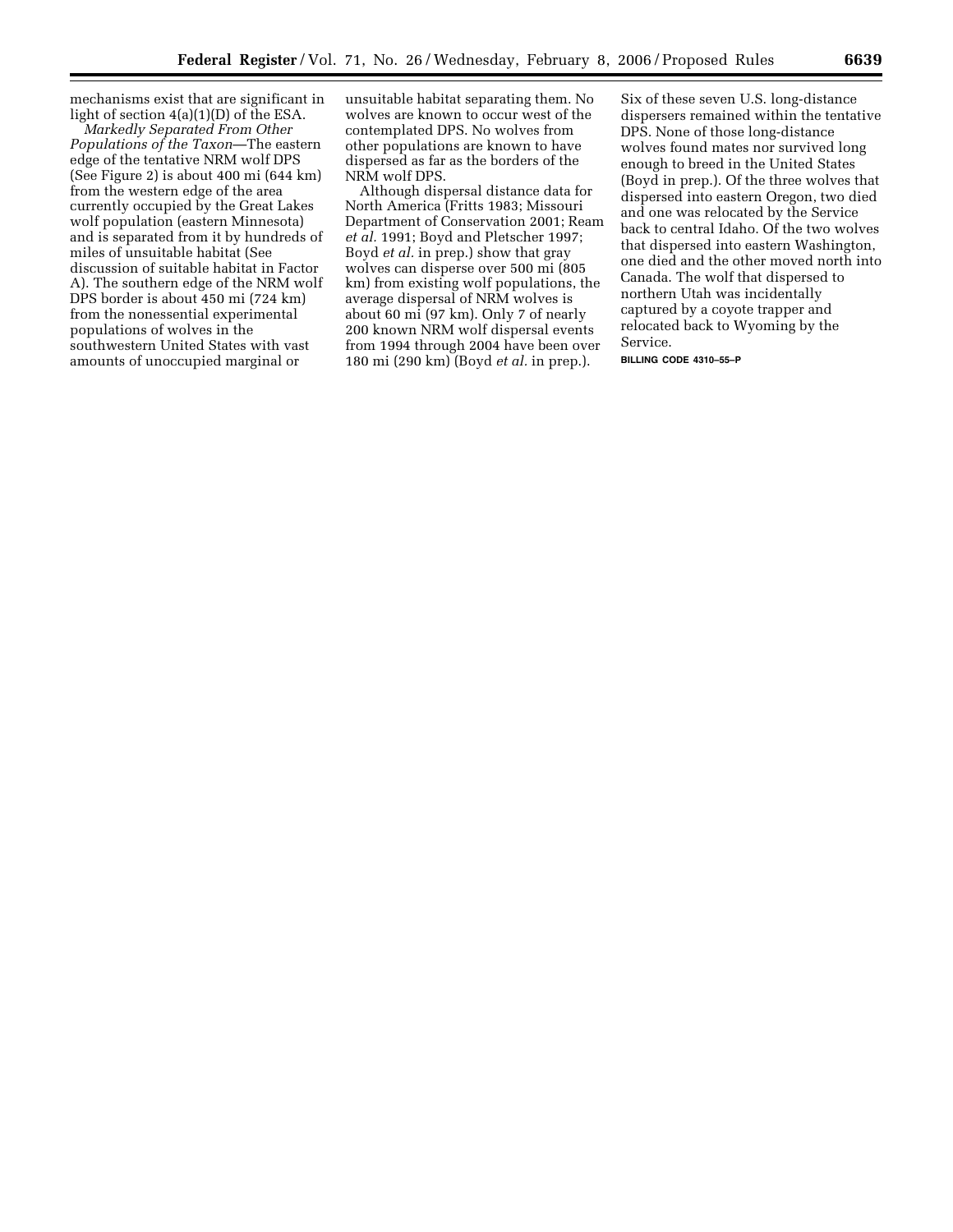mechanisms exist that are significant in light of section 4(a)(1)(D) of the ESA.

*Markedly Separated From Other Populations of the Taxon*—The eastern edge of the tentative NRM wolf DPS (See Figure 2) is about 400 mi (644 km) from the western edge of the area currently occupied by the Great Lakes wolf population (eastern Minnesota) and is separated from it by hundreds of miles of unsuitable habitat (See discussion of suitable habitat in Factor A). The southern edge of the NRM wolf DPS border is about 450 mi (724 km) from the nonessential experimental populations of wolves in the southwestern United States with vast amounts of unoccupied marginal or

unsuitable habitat separating them. No wolves are known to occur west of the contemplated DPS. No wolves from other populations are known to have dispersed as far as the borders of the NRM wolf DPS.

Although dispersal distance data for North America (Fritts 1983; Missouri Department of Conservation 2001; Ream *et al.* 1991; Boyd and Pletscher 1997; Boyd *et al.* in prep.) show that gray wolves can disperse over 500 mi (805 km) from existing wolf populations, the average dispersal of NRM wolves is about 60 mi (97 km). Only 7 of nearly 200 known NRM wolf dispersal events from 1994 through 2004 have been over 180 mi (290 km) (Boyd *et al.* in prep.).

Six of these seven U.S. long-distance dispersers remained within the tentative DPS. None of those long-distance wolves found mates nor survived long enough to breed in the United States (Boyd in prep.). Of the three wolves that dispersed into eastern Oregon, two died and one was relocated by the Service back to central Idaho. Of the two wolves that dispersed into eastern Washington, one died and the other moved north into Canada. The wolf that dispersed to northern Utah was incidentally captured by a coyote trapper and relocated back to Wyoming by the Service.

**BILLING CODE 4310–55–P**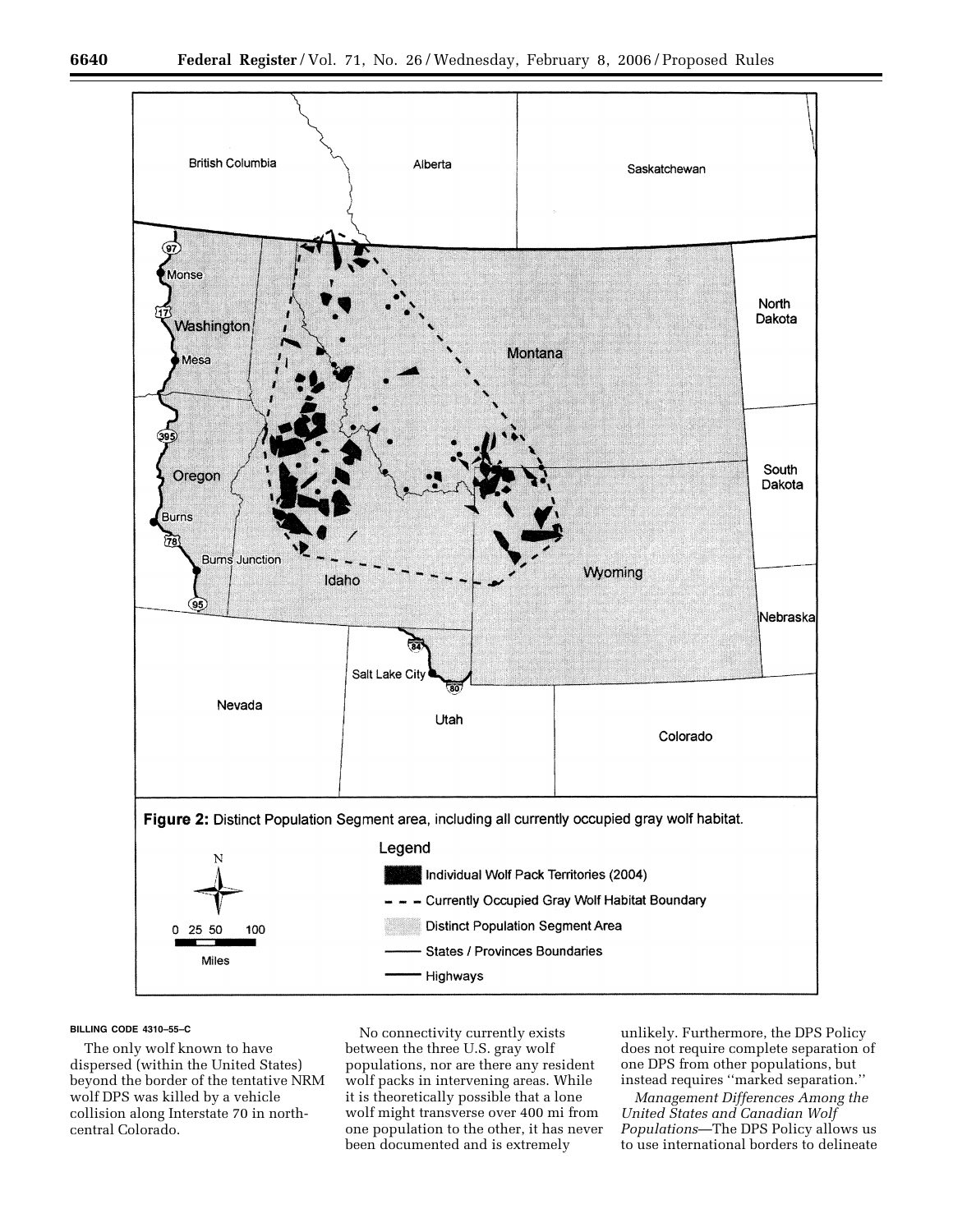

#### **BILLING CODE 4310–55–C**

The only wolf known to have dispersed (within the United States) beyond the border of the tentative NRM wolf DPS was killed by a vehicle collision along Interstate 70 in northcentral Colorado.

No connectivity currently exists between the three U.S. gray wolf populations, nor are there any resident wolf packs in intervening areas. While it is theoretically possible that a lone wolf might transverse over 400 mi from one population to the other, it has never been documented and is extremely

unlikely. Furthermore, the DPS Policy does not require complete separation of one DPS from other populations, but instead requires ''marked separation.''

*Management Differences Among the United States and Canadian Wolf Populations*—The DPS Policy allows us to use international borders to delineate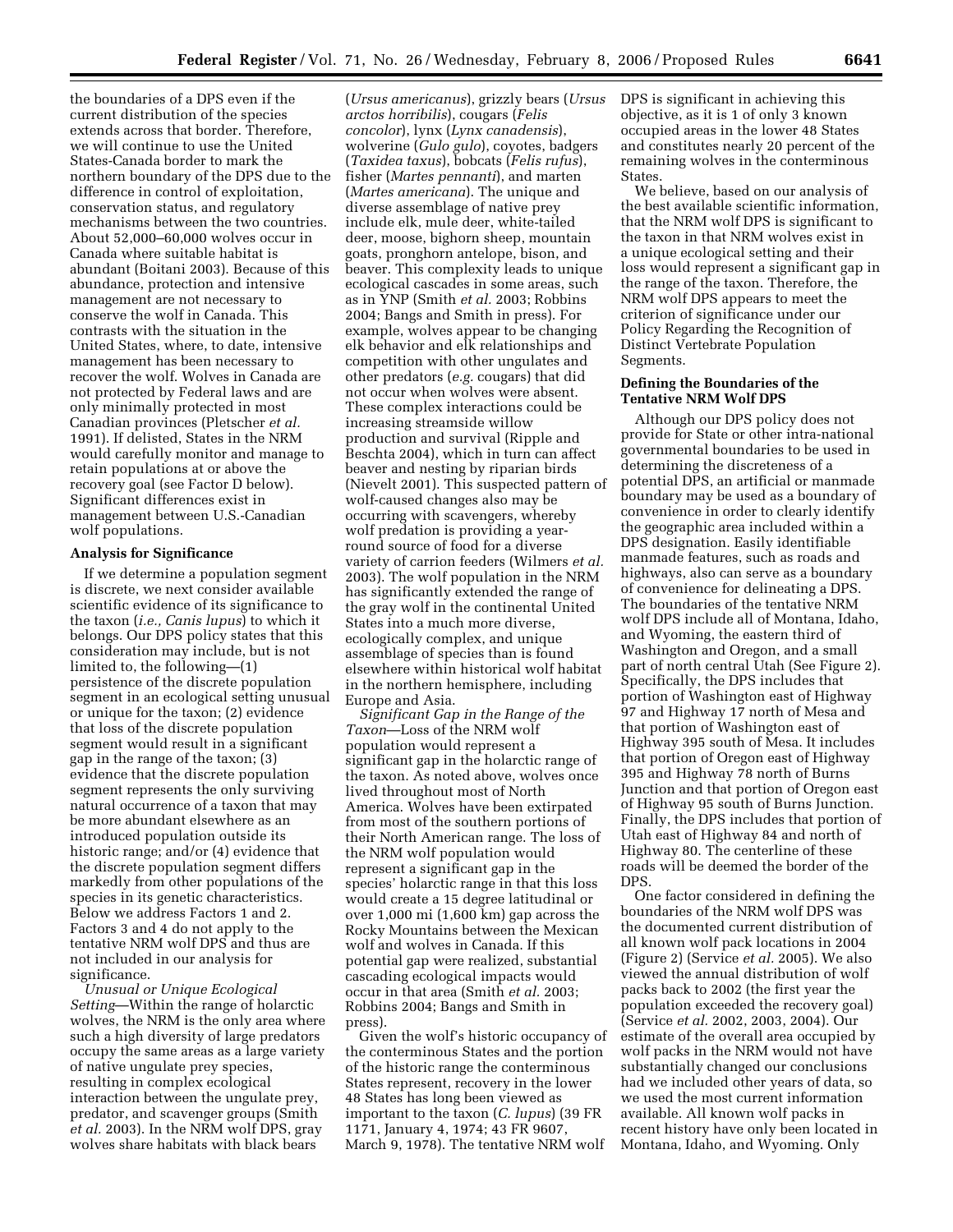the boundaries of a DPS even if the current distribution of the species extends across that border. Therefore, we will continue to use the United States-Canada border to mark the northern boundary of the DPS due to the difference in control of exploitation, conservation status, and regulatory mechanisms between the two countries. About 52,000–60,000 wolves occur in Canada where suitable habitat is abundant (Boitani 2003). Because of this abundance, protection and intensive management are not necessary to conserve the wolf in Canada. This contrasts with the situation in the United States, where, to date, intensive management has been necessary to recover the wolf. Wolves in Canada are not protected by Federal laws and are only minimally protected in most Canadian provinces (Pletscher *et al.*  1991). If delisted, States in the NRM would carefully monitor and manage to retain populations at or above the recovery goal (see Factor D below). Significant differences exist in management between U.S.-Canadian wolf populations.

#### **Analysis for Significance**

If we determine a population segment is discrete, we next consider available scientific evidence of its significance to the taxon (*i.e., Canis lupus*) to which it belongs. Our DPS policy states that this consideration may include, but is not limited to, the following—(1) persistence of the discrete population segment in an ecological setting unusual or unique for the taxon; (2) evidence that loss of the discrete population segment would result in a significant gap in the range of the taxon; (3) evidence that the discrete population segment represents the only surviving natural occurrence of a taxon that may be more abundant elsewhere as an introduced population outside its historic range; and/or (4) evidence that the discrete population segment differs markedly from other populations of the species in its genetic characteristics. Below we address Factors 1 and 2. Factors 3 and 4 do not apply to the tentative NRM wolf DPS and thus are not included in our analysis for significance.

*Unusual or Unique Ecological Setting*—Within the range of holarctic wolves, the NRM is the only area where such a high diversity of large predators occupy the same areas as a large variety of native ungulate prey species, resulting in complex ecological interaction between the ungulate prey, predator, and scavenger groups (Smith *et al.* 2003). In the NRM wolf DPS, gray wolves share habitats with black bears

(*Ursus americanus*), grizzly bears (*Ursus arctos horribilis*), cougars (*Felis concolor*), lynx (*Lynx canadensis*), wolverine (*Gulo gulo*), coyotes, badgers (*Taxidea taxus*), bobcats (*Felis rufus*), fisher (*Martes pennanti*), and marten (*Martes americana*). The unique and diverse assemblage of native prey include elk, mule deer, white-tailed deer, moose, bighorn sheep, mountain goats, pronghorn antelope, bison, and beaver. This complexity leads to unique ecological cascades in some areas, such as in YNP (Smith *et al.* 2003; Robbins 2004; Bangs and Smith in press). For example, wolves appear to be changing elk behavior and elk relationships and competition with other ungulates and other predators (*e.g.* cougars) that did not occur when wolves were absent. These complex interactions could be increasing streamside willow production and survival (Ripple and Beschta 2004), which in turn can affect beaver and nesting by riparian birds (Nievelt 2001). This suspected pattern of wolf-caused changes also may be occurring with scavengers, whereby wolf predation is providing a yearround source of food for a diverse variety of carrion feeders (Wilmers *et al.*  2003). The wolf population in the NRM has significantly extended the range of the gray wolf in the continental United States into a much more diverse, ecologically complex, and unique assemblage of species than is found elsewhere within historical wolf habitat in the northern hemisphere, including Europe and Asia.

*Significant Gap in the Range of the Taxon*—Loss of the NRM wolf population would represent a significant gap in the holarctic range of the taxon. As noted above, wolves once lived throughout most of North America. Wolves have been extirpated from most of the southern portions of their North American range. The loss of the NRM wolf population would represent a significant gap in the species' holarctic range in that this loss would create a 15 degree latitudinal or over 1,000 mi (1,600 km) gap across the Rocky Mountains between the Mexican wolf and wolves in Canada. If this potential gap were realized, substantial cascading ecological impacts would occur in that area (Smith *et al.* 2003; Robbins 2004; Bangs and Smith in press).

Given the wolf's historic occupancy of the conterminous States and the portion of the historic range the conterminous States represent, recovery in the lower 48 States has long been viewed as important to the taxon (*C. lupus*) (39 FR 1171, January 4, 1974; 43 FR 9607, March 9, 1978). The tentative NRM wolf

DPS is significant in achieving this objective, as it is 1 of only 3 known occupied areas in the lower 48 States and constitutes nearly 20 percent of the remaining wolves in the conterminous States.

We believe, based on our analysis of the best available scientific information, that the NRM wolf DPS is significant to the taxon in that NRM wolves exist in a unique ecological setting and their loss would represent a significant gap in the range of the taxon. Therefore, the NRM wolf DPS appears to meet the criterion of significance under our Policy Regarding the Recognition of Distinct Vertebrate Population Segments.

#### **Defining the Boundaries of the Tentative NRM Wolf DPS**

Although our DPS policy does not provide for State or other intra-national governmental boundaries to be used in determining the discreteness of a potential DPS, an artificial or manmade boundary may be used as a boundary of convenience in order to clearly identify the geographic area included within a DPS designation. Easily identifiable manmade features, such as roads and highways, also can serve as a boundary of convenience for delineating a DPS. The boundaries of the tentative NRM wolf DPS include all of Montana, Idaho, and Wyoming, the eastern third of Washington and Oregon, and a small part of north central Utah (See Figure 2). Specifically, the DPS includes that portion of Washington east of Highway 97 and Highway 17 north of Mesa and that portion of Washington east of Highway 395 south of Mesa. It includes that portion of Oregon east of Highway 395 and Highway 78 north of Burns Junction and that portion of Oregon east of Highway 95 south of Burns Junction. Finally, the DPS includes that portion of Utah east of Highway 84 and north of Highway 80. The centerline of these roads will be deemed the border of the DPS.

One factor considered in defining the boundaries of the NRM wolf DPS was the documented current distribution of all known wolf pack locations in 2004 (Figure 2) (Service *et al.* 2005). We also viewed the annual distribution of wolf packs back to 2002 (the first year the population exceeded the recovery goal) (Service *et al.* 2002, 2003, 2004). Our estimate of the overall area occupied by wolf packs in the NRM would not have substantially changed our conclusions had we included other years of data, so we used the most current information available. All known wolf packs in recent history have only been located in Montana, Idaho, and Wyoming. Only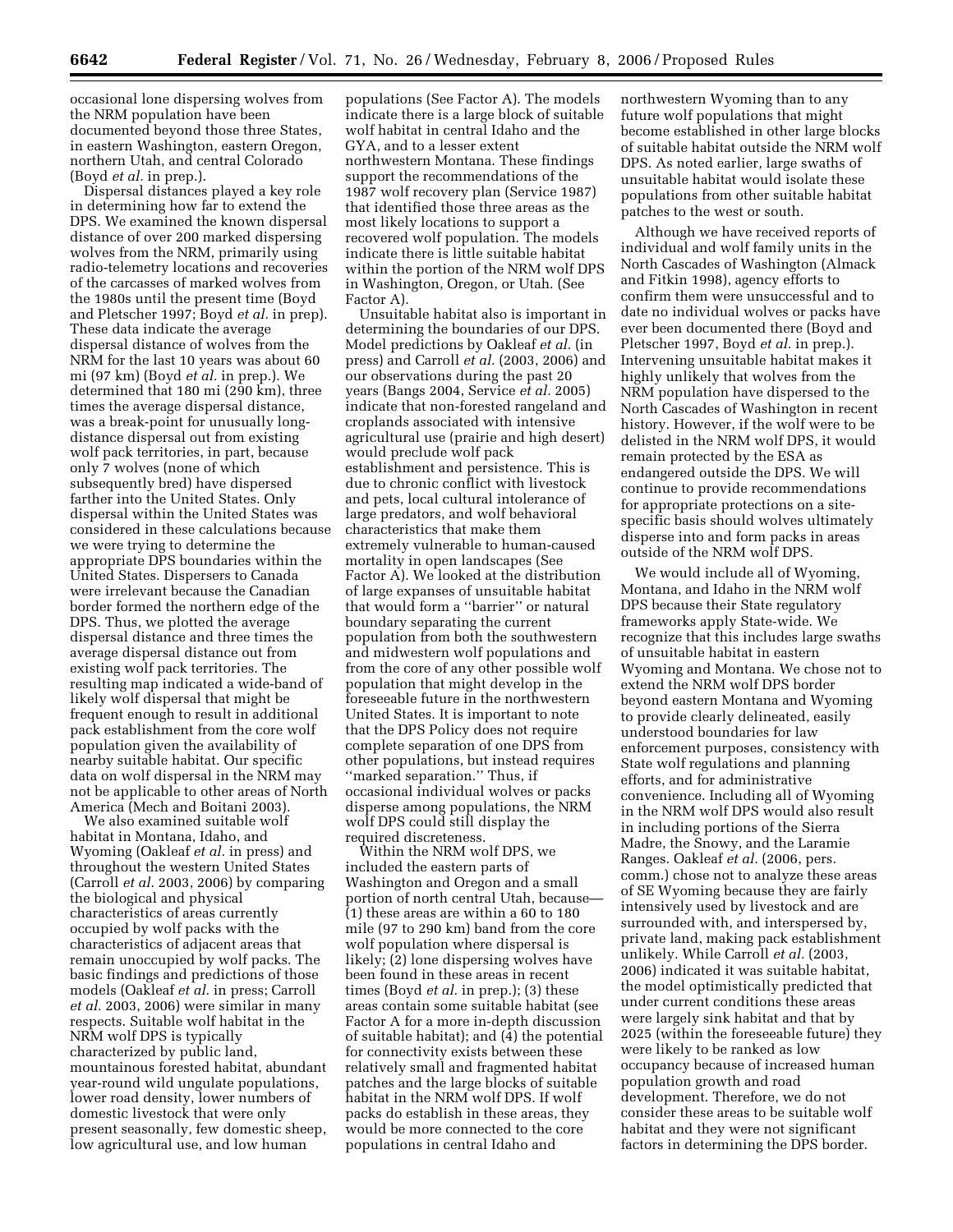occasional lone dispersing wolves from the NRM population have been documented beyond those three States, in eastern Washington, eastern Oregon, northern Utah, and central Colorado (Boyd *et al.* in prep.).

Dispersal distances played a key role in determining how far to extend the DPS. We examined the known dispersal distance of over 200 marked dispersing wolves from the NRM, primarily using radio-telemetry locations and recoveries of the carcasses of marked wolves from the 1980s until the present time (Boyd and Pletscher 1997; Boyd *et al.* in prep). These data indicate the average dispersal distance of wolves from the NRM for the last 10 years was about 60 mi (97 km) (Boyd *et al.* in prep.). We determined that 180 mi (290 km), three times the average dispersal distance, was a break-point for unusually longdistance dispersal out from existing wolf pack territories, in part, because only 7 wolves (none of which subsequently bred) have dispersed farther into the United States. Only dispersal within the United States was considered in these calculations because we were trying to determine the appropriate DPS boundaries within the United States. Dispersers to Canada were irrelevant because the Canadian border formed the northern edge of the DPS. Thus, we plotted the average dispersal distance and three times the average dispersal distance out from existing wolf pack territories. The resulting map indicated a wide-band of likely wolf dispersal that might be frequent enough to result in additional pack establishment from the core wolf population given the availability of nearby suitable habitat. Our specific data on wolf dispersal in the NRM may not be applicable to other areas of North America (Mech and Boitani 2003).

We also examined suitable wolf habitat in Montana, Idaho, and Wyoming (Oakleaf *et al.* in press) and throughout the western United States (Carroll *et al.* 2003, 2006) by comparing the biological and physical characteristics of areas currently occupied by wolf packs with the characteristics of adjacent areas that remain unoccupied by wolf packs. The basic findings and predictions of those models (Oakleaf *et al.* in press; Carroll *et al.* 2003, 2006) were similar in many respects. Suitable wolf habitat in the NRM wolf DPS is typically characterized by public land, mountainous forested habitat, abundant year-round wild ungulate populations, lower road density, lower numbers of domestic livestock that were only present seasonally, few domestic sheep, low agricultural use, and low human

populations (See Factor A). The models indicate there is a large block of suitable wolf habitat in central Idaho and the GYA, and to a lesser extent northwestern Montana. These findings support the recommendations of the 1987 wolf recovery plan (Service 1987) that identified those three areas as the most likely locations to support a recovered wolf population. The models indicate there is little suitable habitat within the portion of the NRM wolf DPS in Washington, Oregon, or Utah. (See Factor A).

Unsuitable habitat also is important in determining the boundaries of our DPS. Model predictions by Oakleaf *et al.* (in press) and Carroll *et al.* (2003, 2006) and our observations during the past 20 years (Bangs 2004, Service *et al.* 2005) indicate that non-forested rangeland and croplands associated with intensive agricultural use (prairie and high desert) would preclude wolf pack establishment and persistence. This is due to chronic conflict with livestock and pets, local cultural intolerance of large predators, and wolf behavioral characteristics that make them extremely vulnerable to human-caused mortality in open landscapes (See Factor A). We looked at the distribution of large expanses of unsuitable habitat that would form a ''barrier'' or natural boundary separating the current population from both the southwestern and midwestern wolf populations and from the core of any other possible wolf population that might develop in the foreseeable future in the northwestern United States. It is important to note that the DPS Policy does not require complete separation of one DPS from other populations, but instead requires ''marked separation.'' Thus, if occasional individual wolves or packs disperse among populations, the NRM wolf DPS could still display the required discreteness.

Within the NRM wolf DPS, we included the eastern parts of Washington and Oregon and a small portion of north central Utah, because— (1) these areas are within a 60 to 180 mile (97 to 290 km) band from the core wolf population where dispersal is likely; (2) lone dispersing wolves have been found in these areas in recent times (Boyd *et al.* in prep.); (3) these areas contain some suitable habitat (see Factor A for a more in-depth discussion of suitable habitat); and (4) the potential for connectivity exists between these relatively small and fragmented habitat patches and the large blocks of suitable habitat in the NRM wolf DPS. If wolf packs do establish in these areas, they would be more connected to the core populations in central Idaho and

northwestern Wyoming than to any future wolf populations that might become established in other large blocks of suitable habitat outside the NRM wolf DPS. As noted earlier, large swaths of unsuitable habitat would isolate these populations from other suitable habitat patches to the west or south.

Although we have received reports of individual and wolf family units in the North Cascades of Washington (Almack and Fitkin 1998), agency efforts to confirm them were unsuccessful and to date no individual wolves or packs have ever been documented there (Boyd and Pletscher 1997, Boyd *et al.* in prep.). Intervening unsuitable habitat makes it highly unlikely that wolves from the NRM population have dispersed to the North Cascades of Washington in recent history. However, if the wolf were to be delisted in the NRM wolf DPS, it would remain protected by the ESA as endangered outside the DPS. We will continue to provide recommendations for appropriate protections on a sitespecific basis should wolves ultimately disperse into and form packs in areas outside of the NRM wolf DPS.

We would include all of Wyoming, Montana, and Idaho in the NRM wolf DPS because their State regulatory frameworks apply State-wide. We recognize that this includes large swaths of unsuitable habitat in eastern Wyoming and Montana. We chose not to extend the NRM wolf DPS border beyond eastern Montana and Wyoming to provide clearly delineated, easily understood boundaries for law enforcement purposes, consistency with State wolf regulations and planning efforts, and for administrative convenience. Including all of Wyoming in the NRM wolf DPS would also result in including portions of the Sierra Madre, the Snowy, and the Laramie Ranges. Oakleaf *et al.* (2006, pers. comm.) chose not to analyze these areas of SE Wyoming because they are fairly intensively used by livestock and are surrounded with, and interspersed by, private land, making pack establishment unlikely. While Carroll *et al.* (2003, 2006) indicated it was suitable habitat, the model optimistically predicted that under current conditions these areas were largely sink habitat and that by 2025 (within the foreseeable future) they were likely to be ranked as low occupancy because of increased human population growth and road development. Therefore, we do not consider these areas to be suitable wolf habitat and they were not significant factors in determining the DPS border.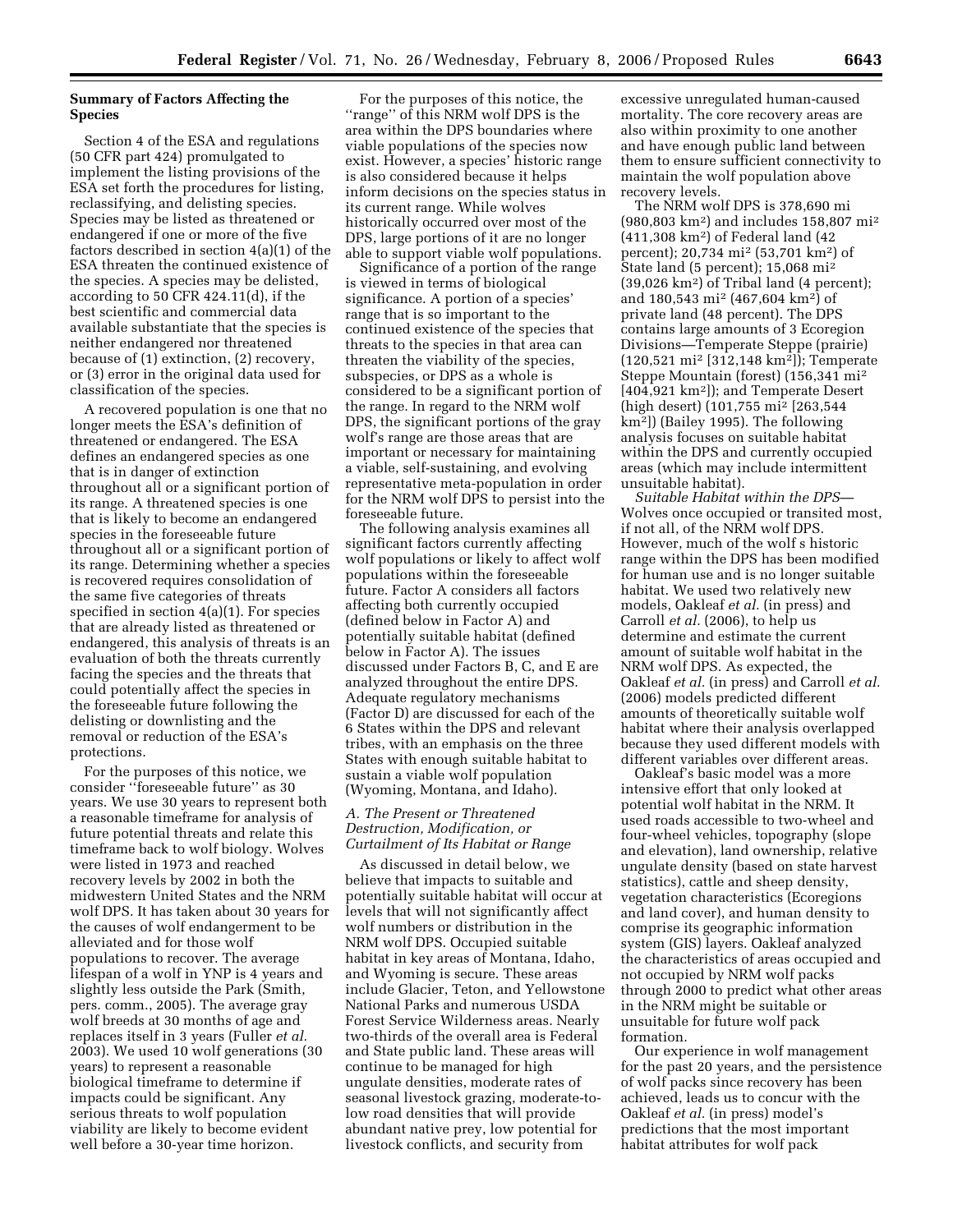# **Summary of Factors Affecting the Species**

Section 4 of the ESA and regulations (50 CFR part 424) promulgated to implement the listing provisions of the ESA set forth the procedures for listing, reclassifying, and delisting species. Species may be listed as threatened or endangered if one or more of the five factors described in section 4(a)(1) of the ESA threaten the continued existence of the species. A species may be delisted, according to 50 CFR 424.11(d), if the best scientific and commercial data available substantiate that the species is neither endangered nor threatened because of (1) extinction, (2) recovery, or (3) error in the original data used for classification of the species.

A recovered population is one that no longer meets the ESA's definition of threatened or endangered. The ESA defines an endangered species as one that is in danger of extinction throughout all or a significant portion of its range. A threatened species is one that is likely to become an endangered species in the foreseeable future throughout all or a significant portion of its range. Determining whether a species is recovered requires consolidation of the same five categories of threats specified in section 4(a)(1). For species that are already listed as threatened or endangered, this analysis of threats is an evaluation of both the threats currently facing the species and the threats that could potentially affect the species in the foreseeable future following the delisting or downlisting and the removal or reduction of the ESA's protections.

For the purposes of this notice, we consider ''foreseeable future'' as 30 years. We use 30 years to represent both a reasonable timeframe for analysis of future potential threats and relate this timeframe back to wolf biology. Wolves were listed in 1973 and reached recovery levels by 2002 in both the midwestern United States and the NRM wolf DPS. It has taken about 30 years for the causes of wolf endangerment to be alleviated and for those wolf populations to recover. The average lifespan of a wolf in YNP is 4 years and slightly less outside the Park (Smith, pers. comm., 2005). The average gray wolf breeds at 30 months of age and replaces itself in 3 years (Fuller *et al.*  2003). We used 10 wolf generations (30 years) to represent a reasonable biological timeframe to determine if impacts could be significant. Any serious threats to wolf population viability are likely to become evident well before a 30-year time horizon.

For the purposes of this notice, the ''range'' of this NRM wolf DPS is the area within the DPS boundaries where viable populations of the species now exist. However, a species' historic range is also considered because it helps inform decisions on the species status in its current range. While wolves historically occurred over most of the DPS, large portions of it are no longer able to support viable wolf populations.

Significance of a portion of the range is viewed in terms of biological significance. A portion of a species' range that is so important to the continued existence of the species that threats to the species in that area can threaten the viability of the species, subspecies, or DPS as a whole is considered to be a significant portion of the range. In regard to the NRM wolf DPS, the significant portions of the gray wolf's range are those areas that are important or necessary for maintaining a viable, self-sustaining, and evolving representative meta-population in order for the NRM wolf DPS to persist into the foreseeable future.

The following analysis examines all significant factors currently affecting wolf populations or likely to affect wolf populations within the foreseeable future. Factor A considers all factors affecting both currently occupied (defined below in Factor A) and potentially suitable habitat (defined below in Factor A). The issues discussed under Factors B, C, and E are analyzed throughout the entire DPS. Adequate regulatory mechanisms (Factor D) are discussed for each of the 6 States within the DPS and relevant tribes, with an emphasis on the three States with enough suitable habitat to sustain a viable wolf population (Wyoming, Montana, and Idaho).

#### *A. The Present or Threatened Destruction, Modification, or Curtailment of Its Habitat or Range*

As discussed in detail below, we believe that impacts to suitable and potentially suitable habitat will occur at levels that will not significantly affect wolf numbers or distribution in the NRM wolf DPS. Occupied suitable habitat in key areas of Montana, Idaho, and Wyoming is secure. These areas include Glacier, Teton, and Yellowstone National Parks and numerous USDA Forest Service Wilderness areas. Nearly two-thirds of the overall area is Federal and State public land. These areas will continue to be managed for high ungulate densities, moderate rates of seasonal livestock grazing, moderate-tolow road densities that will provide abundant native prey, low potential for livestock conflicts, and security from

excessive unregulated human-caused mortality. The core recovery areas are also within proximity to one another and have enough public land between them to ensure sufficient connectivity to maintain the wolf population above recovery levels.

The NRM wolf DPS is 378,690 mi (980,803 km2) and includes 158,807 mi2 (411,308 km2) of Federal land (42 percent); 20,734 mi2 (53,701 km2) of State land (5 percent); 15,068 mi2 (39,026 km2) of Tribal land (4 percent); and 180,543 mi2 (467,604 km2) of private land (48 percent). The DPS contains large amounts of 3 Ecoregion Divisions—Temperate Steppe (prairie) (120,521 mi2 [312,148 km2]); Temperate Steppe Mountain (forest) (156,341 mi2 [404,921 km2]); and Temperate Desert (high desert) (101,755 mi2 [263,544 km2]) (Bailey 1995). The following analysis focuses on suitable habitat within the DPS and currently occupied areas (which may include intermittent unsuitable habitat).

*Suitable Habitat within the DPS*— Wolves once occupied or transited most, if not all, of the NRM wolf DPS. However, much of the wolf s historic range within the DPS has been modified for human use and is no longer suitable habitat. We used two relatively new models, Oakleaf *et al.* (in press) and Carroll *et al.* (2006), to help us determine and estimate the current amount of suitable wolf habitat in the NRM wolf DPS. As expected, the Oakleaf *et al.* (in press) and Carroll *et al.*  (2006) models predicted different amounts of theoretically suitable wolf habitat where their analysis overlapped because they used different models with different variables over different areas.

Oakleaf's basic model was a more intensive effort that only looked at potential wolf habitat in the NRM. It used roads accessible to two-wheel and four-wheel vehicles, topography (slope and elevation), land ownership, relative ungulate density (based on state harvest statistics), cattle and sheep density, vegetation characteristics (Ecoregions and land cover), and human density to comprise its geographic information system (GIS) layers. Oakleaf analyzed the characteristics of areas occupied and not occupied by NRM wolf packs through 2000 to predict what other areas in the NRM might be suitable or unsuitable for future wolf pack formation.

Our experience in wolf management for the past 20 years, and the persistence of wolf packs since recovery has been achieved, leads us to concur with the Oakleaf *et al.* (in press) model's predictions that the most important habitat attributes for wolf pack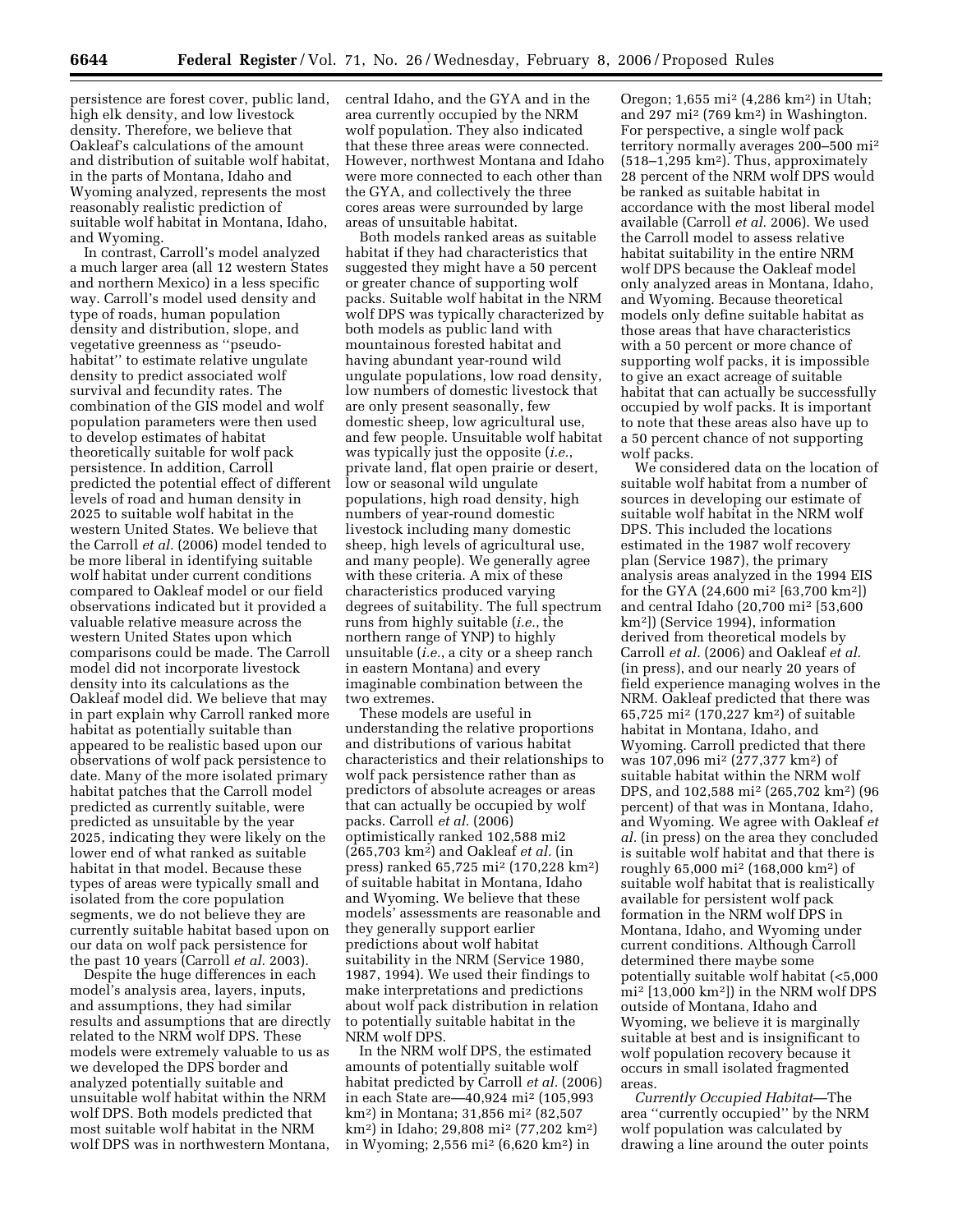persistence are forest cover, public land, high elk density, and low livestock density. Therefore, we believe that Oakleaf's calculations of the amount and distribution of suitable wolf habitat, in the parts of Montana, Idaho and Wyoming analyzed, represents the most reasonably realistic prediction of suitable wolf habitat in Montana, Idaho, and Wyoming.

In contrast, Carroll's model analyzed a much larger area (all 12 western States and northern Mexico) in a less specific way. Carroll's model used density and type of roads, human population density and distribution, slope, and vegetative greenness as ''pseudohabitat'' to estimate relative ungulate density to predict associated wolf survival and fecundity rates. The combination of the GIS model and wolf population parameters were then used to develop estimates of habitat theoretically suitable for wolf pack persistence. In addition, Carroll predicted the potential effect of different levels of road and human density in 2025 to suitable wolf habitat in the western United States. We believe that the Carroll *et al.* (2006) model tended to be more liberal in identifying suitable wolf habitat under current conditions compared to Oakleaf model or our field observations indicated but it provided a valuable relative measure across the western United States upon which comparisons could be made. The Carroll model did not incorporate livestock density into its calculations as the Oakleaf model did. We believe that may in part explain why Carroll ranked more habitat as potentially suitable than appeared to be realistic based upon our observations of wolf pack persistence to date. Many of the more isolated primary habitat patches that the Carroll model predicted as currently suitable, were predicted as unsuitable by the year 2025, indicating they were likely on the lower end of what ranked as suitable habitat in that model. Because these types of areas were typically small and isolated from the core population segments, we do not believe they are currently suitable habitat based upon on our data on wolf pack persistence for the past 10 years (Carroll *et al.* 2003).

Despite the huge differences in each model's analysis area, layers, inputs, and assumptions, they had similar results and assumptions that are directly related to the NRM wolf DPS. These models were extremely valuable to us as we developed the DPS border and analyzed potentially suitable and unsuitable wolf habitat within the NRM wolf DPS. Both models predicted that most suitable wolf habitat in the NRM wolf DPS was in northwestern Montana,

central Idaho, and the GYA and in the area currently occupied by the NRM wolf population. They also indicated that these three areas were connected. However, northwest Montana and Idaho were more connected to each other than the GYA, and collectively the three cores areas were surrounded by large areas of unsuitable habitat.

Both models ranked areas as suitable habitat if they had characteristics that suggested they might have a 50 percent or greater chance of supporting wolf packs. Suitable wolf habitat in the NRM wolf DPS was typically characterized by both models as public land with mountainous forested habitat and having abundant year-round wild ungulate populations, low road density, low numbers of domestic livestock that are only present seasonally, few domestic sheep, low agricultural use, and few people. Unsuitable wolf habitat was typically just the opposite (*i.e.*, private land, flat open prairie or desert, low or seasonal wild ungulate populations, high road density, high numbers of year-round domestic livestock including many domestic sheep, high levels of agricultural use, and many people). We generally agree with these criteria. A mix of these characteristics produced varying degrees of suitability. The full spectrum runs from highly suitable (*i.e.*, the northern range of YNP) to highly unsuitable (*i.e.*, a city or a sheep ranch in eastern Montana) and every imaginable combination between the two extremes.

These models are useful in understanding the relative proportions and distributions of various habitat characteristics and their relationships to wolf pack persistence rather than as predictors of absolute acreages or areas that can actually be occupied by wolf packs. Carroll *et al.* (2006) optimistically ranked 102,588 mi2 (265,703 km2) and Oakleaf *et al.* (in press) ranked 65,725 mi2 (170,228 km2) of suitable habitat in Montana, Idaho and Wyoming. We believe that these models' assessments are reasonable and they generally support earlier predictions about wolf habitat suitability in the NRM (Service 1980, 1987, 1994). We used their findings to make interpretations and predictions about wolf pack distribution in relation to potentially suitable habitat in the NRM wolf DPS.

In the NRM wolf DPS, the estimated amounts of potentially suitable wolf habitat predicted by Carroll *et al.* (2006) in each State are—40,924 mi2 (105,993 km2) in Montana; 31,856 mi2 (82,507 km2) in Idaho; 29,808 mi2 (77,202 km2) in Wyoming; 2,556 mi2 (6,620 km2) in

Oregon; 1,655 mi2 (4,286 km2) in Utah; and 297 mi2 (769 km2) in Washington. For perspective, a single wolf pack territory normally averages 200–500 mi2 (518–1,295 km2). Thus, approximately 28 percent of the NRM wolf DPS would be ranked as suitable habitat in accordance with the most liberal model available (Carroll *et al.* 2006). We used the Carroll model to assess relative habitat suitability in the entire NRM wolf DPS because the Oakleaf model only analyzed areas in Montana, Idaho, and Wyoming. Because theoretical models only define suitable habitat as those areas that have characteristics with a 50 percent or more chance of supporting wolf packs, it is impossible to give an exact acreage of suitable habitat that can actually be successfully occupied by wolf packs. It is important to note that these areas also have up to a 50 percent chance of not supporting wolf packs.

We considered data on the location of suitable wolf habitat from a number of sources in developing our estimate of suitable wolf habitat in the NRM wolf DPS. This included the locations estimated in the 1987 wolf recovery plan (Service 1987), the primary analysis areas analyzed in the 1994 EIS for the GYA (24,600 mi2 [63,700 km2]) and central Idaho (20,700 mi2 [53,600 km2]) (Service 1994), information derived from theoretical models by Carroll *et al.* (2006) and Oakleaf *et al.*  (in press), and our nearly 20 years of field experience managing wolves in the NRM. Oakleaf predicted that there was 65,725 mi2 (170,227 km2) of suitable habitat in Montana, Idaho, and Wyoming. Carroll predicted that there was 107,096 mi2 (277,377 km2) of suitable habitat within the NRM wolf DPS, and 102,588 mi2 (265,702 km2) (96 percent) of that was in Montana, Idaho, and Wyoming. We agree with Oakleaf *et al.* (in press) on the area they concluded is suitable wolf habitat and that there is roughly 65,000 mi2 (168,000 km2) of suitable wolf habitat that is realistically available for persistent wolf pack formation in the NRM wolf DPS in Montana, Idaho, and Wyoming under current conditions. Although Carroll determined there maybe some potentially suitable wolf habitat (<5,000 mi2 [13,000 km2]) in the NRM wolf DPS outside of Montana, Idaho and Wyoming, we believe it is marginally suitable at best and is insignificant to wolf population recovery because it occurs in small isolated fragmented areas.

*Currently Occupied Habitat*—The area ''currently occupied'' by the NRM wolf population was calculated by drawing a line around the outer points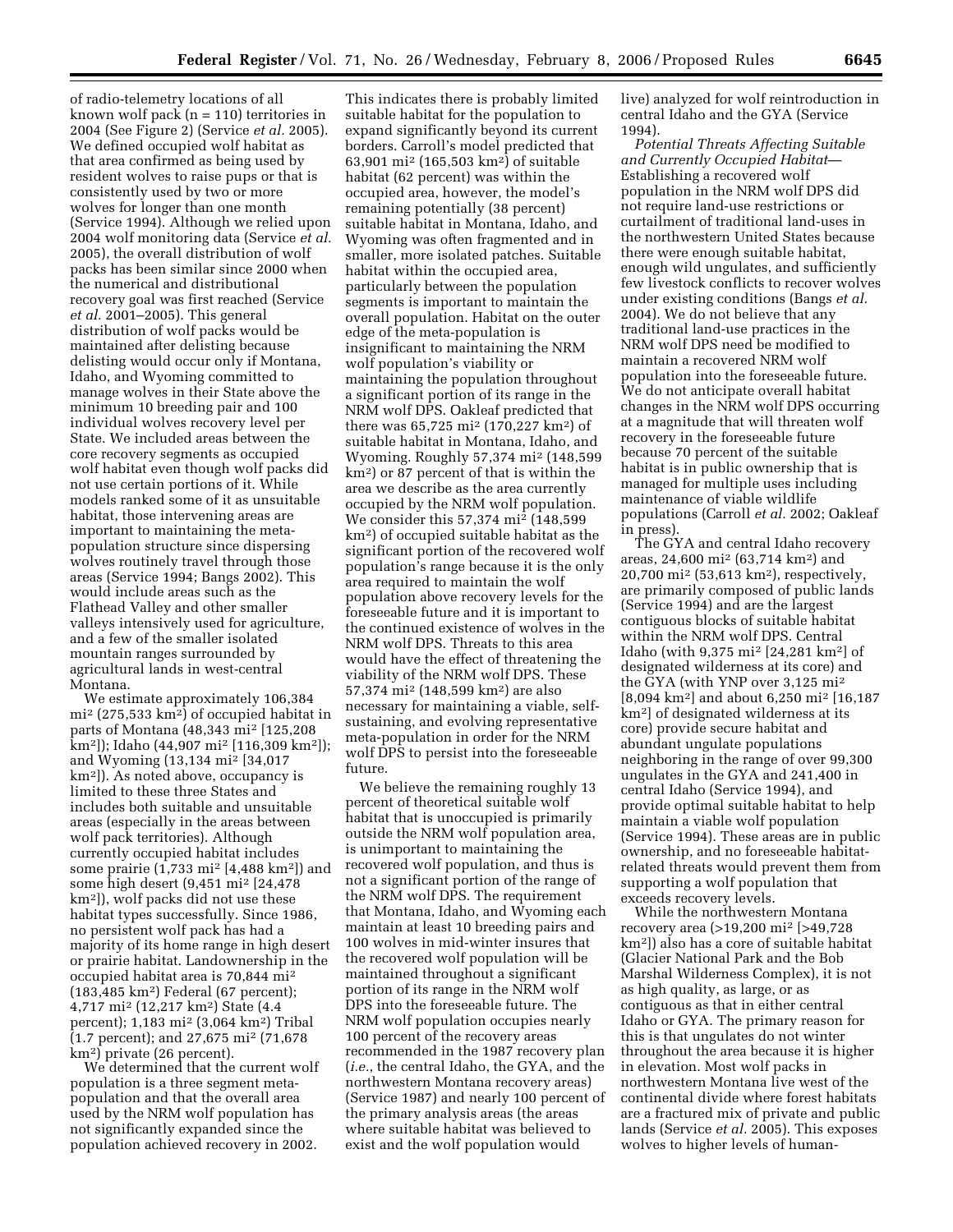of radio-telemetry locations of all known wolf pack (n = 110) territories in 2004 (See Figure 2) (Service *et al.* 2005). We defined occupied wolf habitat as that area confirmed as being used by resident wolves to raise pups or that is consistently used by two or more wolves for longer than one month (Service 1994). Although we relied upon 2004 wolf monitoring data (Service *et al.*  2005), the overall distribution of wolf packs has been similar since 2000 when the numerical and distributional recovery goal was first reached (Service *et al.* 2001–2005). This general distribution of wolf packs would be maintained after delisting because delisting would occur only if Montana, Idaho, and Wyoming committed to manage wolves in their State above the minimum 10 breeding pair and 100 individual wolves recovery level per State. We included areas between the core recovery segments as occupied wolf habitat even though wolf packs did not use certain portions of it. While models ranked some of it as unsuitable habitat, those intervening areas are important to maintaining the metapopulation structure since dispersing wolves routinely travel through those areas (Service 1994; Bangs 2002). This would include areas such as the Flathead Valley and other smaller valleys intensively used for agriculture, and a few of the smaller isolated mountain ranges surrounded by agricultural lands in west-central Montana.

We estimate approximately 106,384 mi2 (275,533 km2) of occupied habitat in parts of Montana (48,343 mi2 [125,208 km2]); Idaho (44,907 mi2 [116,309 km2]); and Wyoming (13,134 mi2 [34,017 km2]). As noted above, occupancy is limited to these three States and includes both suitable and unsuitable areas (especially in the areas between wolf pack territories). Although currently occupied habitat includes some prairie (1,733 mi2 [4,488 km2]) and some high desert (9,451 mi2 [24,478 km2]), wolf packs did not use these habitat types successfully. Since 1986, no persistent wolf pack has had a majority of its home range in high desert or prairie habitat. Landownership in the occupied habitat area is 70,844 mi2 (183,485 km2) Federal (67 percent); 4,717 mi2 (12,217 km2) State (4.4 percent); 1,183 mi2 (3,064 km2) Tribal (1.7 percent); and 27,675 mi2 (71,678 km2) private (26 percent).

We determined that the current wolf population is a three segment metapopulation and that the overall area used by the NRM wolf population has not significantly expanded since the population achieved recovery in 2002.

This indicates there is probably limited suitable habitat for the population to expand significantly beyond its current borders. Carroll's model predicted that 63,901 mi2 (165,503 km2) of suitable habitat (62 percent) was within the occupied area, however, the model's remaining potentially (38 percent) suitable habitat in Montana, Idaho, and Wyoming was often fragmented and in smaller, more isolated patches. Suitable habitat within the occupied area, particularly between the population segments is important to maintain the overall population. Habitat on the outer edge of the meta-population is insignificant to maintaining the NRM wolf population's viability or maintaining the population throughout a significant portion of its range in the NRM wolf DPS. Oakleaf predicted that there was 65,725 mi2 (170,227 km2) of suitable habitat in Montana, Idaho, and Wyoming. Roughly 57,374 mi2 (148,599 km2) or 87 percent of that is within the area we describe as the area currently occupied by the NRM wolf population. We consider this 57,374 mi2 (148,599 km2) of occupied suitable habitat as the significant portion of the recovered wolf population's range because it is the only area required to maintain the wolf population above recovery levels for the foreseeable future and it is important to the continued existence of wolves in the NRM wolf DPS. Threats to this area would have the effect of threatening the viability of the NRM wolf DPS. These 57,374 mi2 (148,599 km2) are also necessary for maintaining a viable, selfsustaining, and evolving representative meta-population in order for the NRM wolf DPS to persist into the foreseeable future.

We believe the remaining roughly 13 percent of theoretical suitable wolf habitat that is unoccupied is primarily outside the NRM wolf population area, is unimportant to maintaining the recovered wolf population, and thus is not a significant portion of the range of the NRM wolf DPS. The requirement that Montana, Idaho, and Wyoming each maintain at least 10 breeding pairs and 100 wolves in mid-winter insures that the recovered wolf population will be maintained throughout a significant portion of its range in the NRM wolf DPS into the foreseeable future. The NRM wolf population occupies nearly 100 percent of the recovery areas recommended in the 1987 recovery plan (*i.e.*, the central Idaho, the GYA, and the northwestern Montana recovery areas) (Service 1987) and nearly 100 percent of the primary analysis areas (the areas where suitable habitat was believed to exist and the wolf population would

live) analyzed for wolf reintroduction in central Idaho and the GYA (Service 1994).

*Potential Threats Affecting Suitable and Currently Occupied Habitat*— Establishing a recovered wolf population in the NRM wolf DPS did not require land-use restrictions or curtailment of traditional land-uses in the northwestern United States because there were enough suitable habitat, enough wild ungulates, and sufficiently few livestock conflicts to recover wolves under existing conditions (Bangs *et al.*  2004). We do not believe that any traditional land-use practices in the NRM wolf DPS need be modified to maintain a recovered NRM wolf population into the foreseeable future. We do not anticipate overall habitat changes in the NRM wolf DPS occurring at a magnitude that will threaten wolf recovery in the foreseeable future because 70 percent of the suitable habitat is in public ownership that is managed for multiple uses including maintenance of viable wildlife populations (Carroll *et al.* 2002; Oakleaf in press).

The GYA and central Idaho recovery areas, 24,600 mi2 (63,714 km2) and 20,700 mi2 (53,613 km2), respectively, are primarily composed of public lands (Service 1994) and are the largest contiguous blocks of suitable habitat within the NRM wolf DPS. Central Idaho (with 9,375 mi2 [24,281 km2] of designated wilderness at its core) and the GYA (with YNP over 3,125 mi2 [8,094 km2] and about 6,250 mi2 [16,187 km2] of designated wilderness at its core) provide secure habitat and abundant ungulate populations neighboring in the range of over 99,300 ungulates in the GYA and 241,400 in central Idaho (Service 1994), and provide optimal suitable habitat to help maintain a viable wolf population (Service 1994). These areas are in public ownership, and no foreseeable habitatrelated threats would prevent them from supporting a wolf population that exceeds recovery levels.

While the northwestern Montana recovery area (>19,200 mi2 [>49,728 km2]) also has a core of suitable habitat (Glacier National Park and the Bob Marshal Wilderness Complex), it is not as high quality, as large, or as contiguous as that in either central Idaho or GYA. The primary reason for this is that ungulates do not winter throughout the area because it is higher in elevation. Most wolf packs in northwestern Montana live west of the continental divide where forest habitats are a fractured mix of private and public lands (Service *et al.* 2005). This exposes wolves to higher levels of human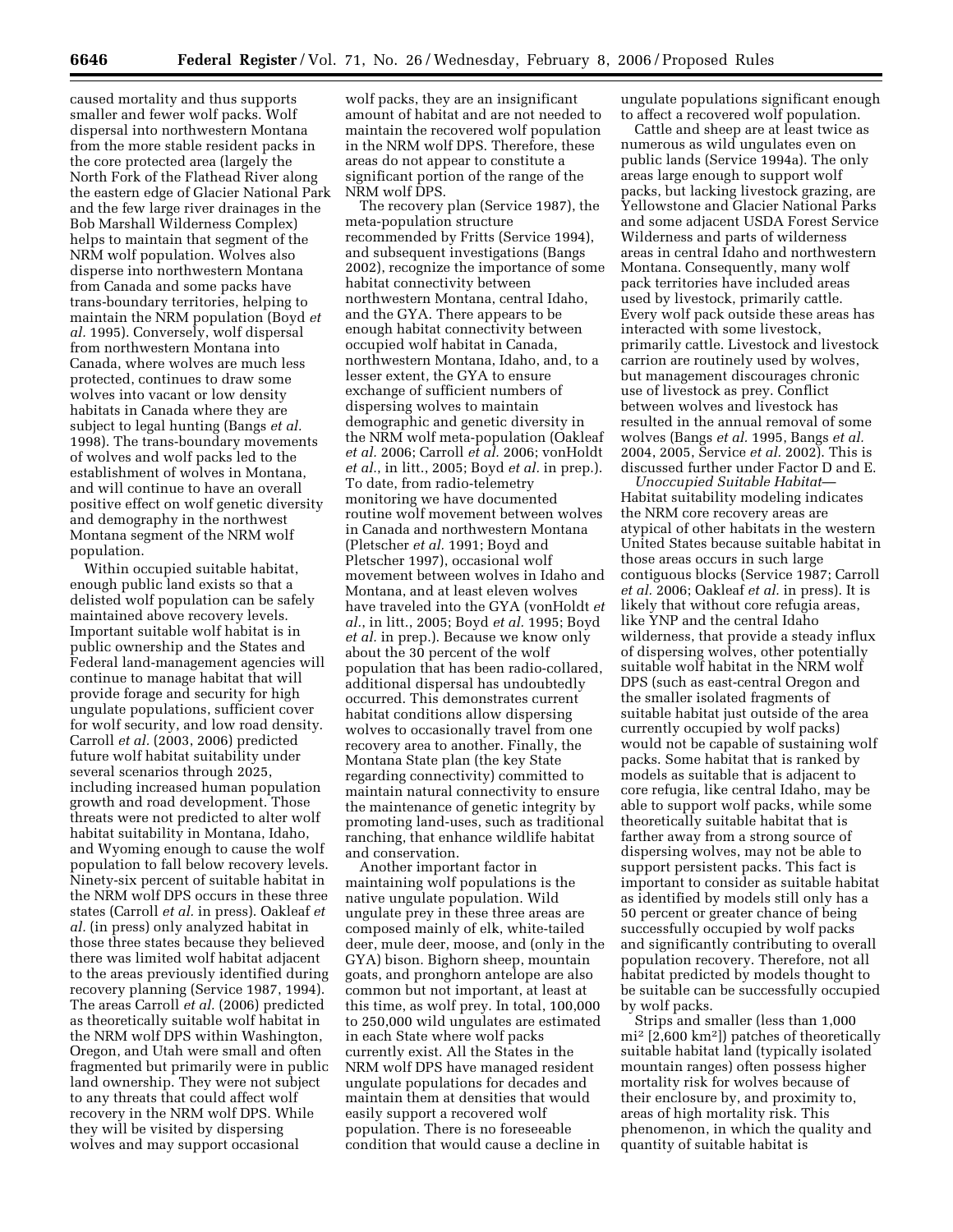caused mortality and thus supports smaller and fewer wolf packs. Wolf dispersal into northwestern Montana from the more stable resident packs in the core protected area (largely the North Fork of the Flathead River along the eastern edge of Glacier National Park and the few large river drainages in the Bob Marshall Wilderness Complex) helps to maintain that segment of the NRM wolf population. Wolves also disperse into northwestern Montana from Canada and some packs have trans-boundary territories, helping to maintain the NRM population (Boyd *et al.* 1995). Conversely, wolf dispersal from northwestern Montana into Canada, where wolves are much less protected, continues to draw some wolves into vacant or low density habitats in Canada where they are subject to legal hunting (Bangs *et al.*  1998). The trans-boundary movements of wolves and wolf packs led to the establishment of wolves in Montana, and will continue to have an overall positive effect on wolf genetic diversity and demography in the northwest Montana segment of the NRM wolf population.

Within occupied suitable habitat, enough public land exists so that a delisted wolf population can be safely maintained above recovery levels. Important suitable wolf habitat is in public ownership and the States and Federal land-management agencies will continue to manage habitat that will provide forage and security for high ungulate populations, sufficient cover for wolf security, and low road density. Carroll *et al.* (2003, 2006) predicted future wolf habitat suitability under several scenarios through 2025, including increased human population growth and road development. Those threats were not predicted to alter wolf habitat suitability in Montana, Idaho, and Wyoming enough to cause the wolf population to fall below recovery levels. Ninety-six percent of suitable habitat in the NRM wolf DPS occurs in these three states (Carroll *et al.* in press). Oakleaf *et al.* (in press) only analyzed habitat in those three states because they believed there was limited wolf habitat adjacent to the areas previously identified during recovery planning (Service 1987, 1994). The areas Carroll *et al.* (2006) predicted as theoretically suitable wolf habitat in the NRM wolf DPS within Washington, Oregon, and Utah were small and often fragmented but primarily were in public land ownership. They were not subject to any threats that could affect wolf recovery in the NRM wolf DPS. While they will be visited by dispersing wolves and may support occasional

wolf packs, they are an insignificant amount of habitat and are not needed to maintain the recovered wolf population in the NRM wolf DPS. Therefore, these areas do not appear to constitute a significant portion of the range of the NRM wolf DPS.

The recovery plan (Service 1987), the meta-population structure recommended by Fritts (Service 1994), and subsequent investigations (Bangs 2002), recognize the importance of some habitat connectivity between northwestern Montana, central Idaho, and the GYA. There appears to be enough habitat connectivity between occupied wolf habitat in Canada, northwestern Montana, Idaho, and, to a lesser extent, the GYA to ensure exchange of sufficient numbers of dispersing wolves to maintain demographic and genetic diversity in the NRM wolf meta-population (Oakleaf *et al.* 2006; Carroll *et al.* 2006; vonHoldt *et al.*, in litt., 2005; Boyd *et al.* in prep.). To date, from radio-telemetry monitoring we have documented routine wolf movement between wolves in Canada and northwestern Montana (Pletscher *et al.* 1991; Boyd and Pletscher 1997), occasional wolf movement between wolves in Idaho and Montana, and at least eleven wolves have traveled into the GYA (vonHoldt *et al.*, in litt., 2005; Boyd *et al.* 1995; Boyd *et al.* in prep.). Because we know only about the 30 percent of the wolf population that has been radio-collared, additional dispersal has undoubtedly occurred. This demonstrates current habitat conditions allow dispersing wolves to occasionally travel from one recovery area to another. Finally, the Montana State plan (the key State regarding connectivity) committed to maintain natural connectivity to ensure the maintenance of genetic integrity by promoting land-uses, such as traditional ranching, that enhance wildlife habitat and conservation.

Another important factor in maintaining wolf populations is the native ungulate population. Wild ungulate prey in these three areas are composed mainly of elk, white-tailed deer, mule deer, moose, and (only in the GYA) bison. Bighorn sheep, mountain goats, and pronghorn antelope are also common but not important, at least at this time, as wolf prey. In total, 100,000 to 250,000 wild ungulates are estimated in each State where wolf packs currently exist. All the States in the NRM wolf DPS have managed resident ungulate populations for decades and maintain them at densities that would easily support a recovered wolf population. There is no foreseeable condition that would cause a decline in

ungulate populations significant enough to affect a recovered wolf population.

Cattle and sheep are at least twice as numerous as wild ungulates even on public lands (Service 1994a). The only areas large enough to support wolf packs, but lacking livestock grazing, are Yellowstone and Glacier National Parks and some adjacent USDA Forest Service Wilderness and parts of wilderness areas in central Idaho and northwestern Montana. Consequently, many wolf pack territories have included areas used by livestock, primarily cattle. Every wolf pack outside these areas has interacted with some livestock, primarily cattle. Livestock and livestock carrion are routinely used by wolves, but management discourages chronic use of livestock as prey. Conflict between wolves and livestock has resulted in the annual removal of some wolves (Bangs *et al.* 1995, Bangs *et al.*  2004, 2005, Service *et al.* 2002). This is discussed further under Factor D and E.

*Unoccupied Suitable Habitat*— Habitat suitability modeling indicates the NRM core recovery areas are atypical of other habitats in the western United States because suitable habitat in those areas occurs in such large contiguous blocks (Service 1987; Carroll *et al.* 2006; Oakleaf *et al.* in press). It is likely that without core refugia areas, like YNP and the central Idaho wilderness, that provide a steady influx of dispersing wolves, other potentially suitable wolf habitat in the NRM wolf DPS (such as east-central Oregon and the smaller isolated fragments of suitable habitat just outside of the area currently occupied by wolf packs) would not be capable of sustaining wolf packs. Some habitat that is ranked by models as suitable that is adjacent to core refugia, like central Idaho, may be able to support wolf packs, while some theoretically suitable habitat that is farther away from a strong source of dispersing wolves, may not be able to support persistent packs. This fact is important to consider as suitable habitat as identified by models still only has a 50 percent or greater chance of being successfully occupied by wolf packs and significantly contributing to overall population recovery. Therefore, not all habitat predicted by models thought to be suitable can be successfully occupied by wolf packs.

Strips and smaller (less than 1,000 mi2 [2,600 km2]) patches of theoretically suitable habitat land (typically isolated mountain ranges) often possess higher mortality risk for wolves because of their enclosure by, and proximity to, areas of high mortality risk. This phenomenon, in which the quality and quantity of suitable habitat is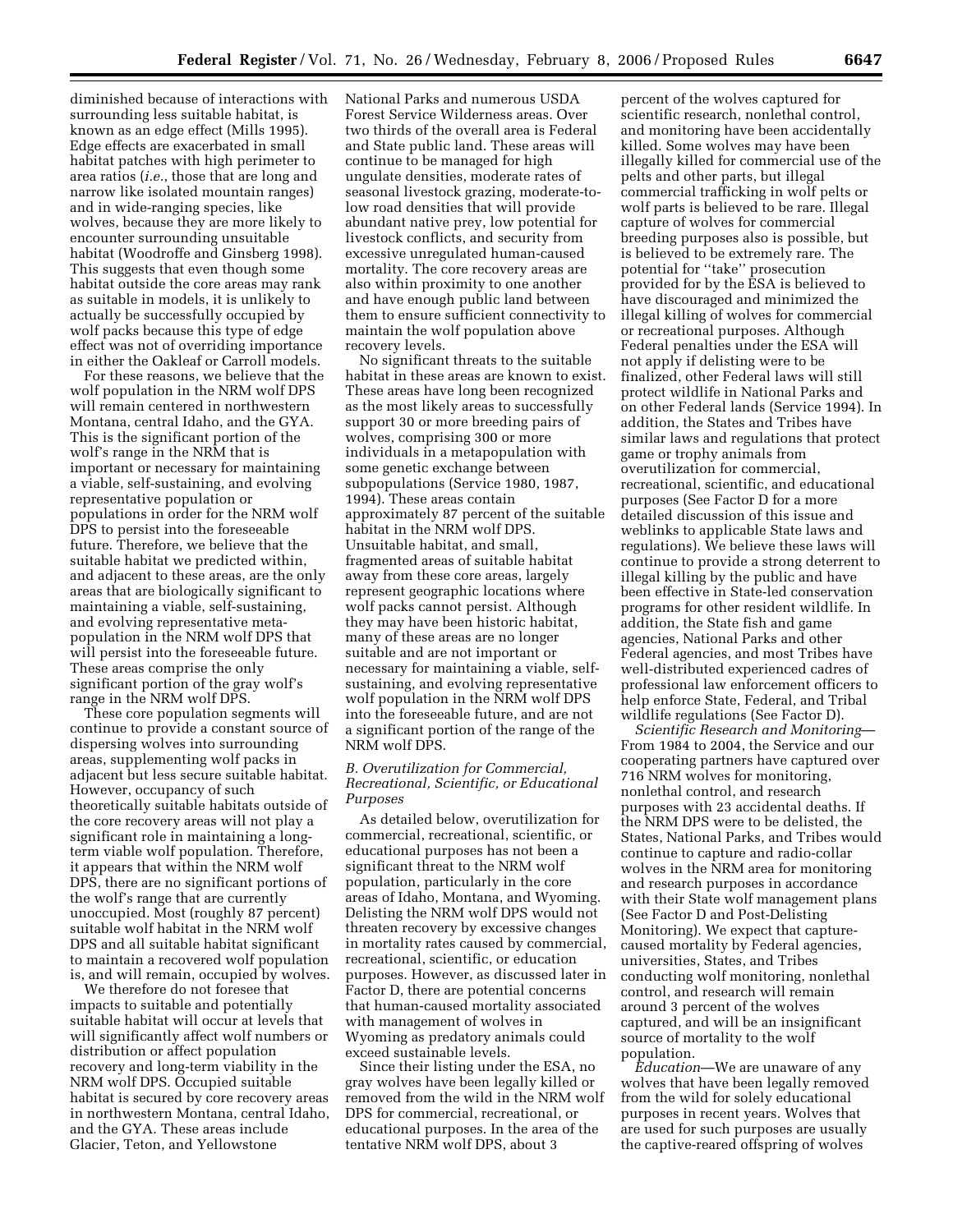diminished because of interactions with surrounding less suitable habitat, is known as an edge effect (Mills 1995). Edge effects are exacerbated in small habitat patches with high perimeter to area ratios (*i.e.*, those that are long and narrow like isolated mountain ranges) and in wide-ranging species, like wolves, because they are more likely to encounter surrounding unsuitable habitat (Woodroffe and Ginsberg 1998). This suggests that even though some habitat outside the core areas may rank as suitable in models, it is unlikely to actually be successfully occupied by wolf packs because this type of edge effect was not of overriding importance in either the Oakleaf or Carroll models.

For these reasons, we believe that the wolf population in the NRM wolf DPS will remain centered in northwestern Montana, central Idaho, and the GYA. This is the significant portion of the wolf's range in the NRM that is important or necessary for maintaining a viable, self-sustaining, and evolving representative population or populations in order for the NRM wolf DPS to persist into the foreseeable future. Therefore, we believe that the suitable habitat we predicted within, and adjacent to these areas, are the only areas that are biologically significant to maintaining a viable, self-sustaining, and evolving representative metapopulation in the NRM wolf DPS that will persist into the foreseeable future. These areas comprise the only significant portion of the gray wolf's range in the NRM wolf DPS.

These core population segments will continue to provide a constant source of dispersing wolves into surrounding areas, supplementing wolf packs in adjacent but less secure suitable habitat. However, occupancy of such theoretically suitable habitats outside of the core recovery areas will not play a significant role in maintaining a longterm viable wolf population. Therefore, it appears that within the NRM wolf DPS, there are no significant portions of the wolf's range that are currently unoccupied. Most (roughly 87 percent) suitable wolf habitat in the NRM wolf DPS and all suitable habitat significant to maintain a recovered wolf population is, and will remain, occupied by wolves.

We therefore do not foresee that impacts to suitable and potentially suitable habitat will occur at levels that will significantly affect wolf numbers or distribution or affect population recovery and long-term viability in the NRM wolf DPS. Occupied suitable habitat is secured by core recovery areas in northwestern Montana, central Idaho, and the GYA. These areas include Glacier, Teton, and Yellowstone

National Parks and numerous USDA Forest Service Wilderness areas. Over two thirds of the overall area is Federal and State public land. These areas will continue to be managed for high ungulate densities, moderate rates of seasonal livestock grazing, moderate-tolow road densities that will provide abundant native prey, low potential for livestock conflicts, and security from excessive unregulated human-caused mortality. The core recovery areas are also within proximity to one another and have enough public land between them to ensure sufficient connectivity to maintain the wolf population above recovery levels.

No significant threats to the suitable habitat in these areas are known to exist. These areas have long been recognized as the most likely areas to successfully support 30 or more breeding pairs of wolves, comprising 300 or more individuals in a metapopulation with some genetic exchange between subpopulations (Service 1980, 1987, 1994). These areas contain approximately 87 percent of the suitable habitat in the NRM wolf DPS. Unsuitable habitat, and small, fragmented areas of suitable habitat away from these core areas, largely represent geographic locations where wolf packs cannot persist. Although they may have been historic habitat, many of these areas are no longer suitable and are not important or necessary for maintaining a viable, selfsustaining, and evolving representative wolf population in the NRM wolf DPS into the foreseeable future, and are not a significant portion of the range of the NRM wolf DPS.

# *B. Overutilization for Commercial, Recreational, Scientific, or Educational Purposes*

As detailed below, overutilization for commercial, recreational, scientific, or educational purposes has not been a significant threat to the NRM wolf population, particularly in the core areas of Idaho, Montana, and Wyoming. Delisting the NRM wolf DPS would not threaten recovery by excessive changes in mortality rates caused by commercial, recreational, scientific, or education purposes. However, as discussed later in Factor D, there are potential concerns that human-caused mortality associated with management of wolves in Wyoming as predatory animals could exceed sustainable levels.

Since their listing under the ESA, no gray wolves have been legally killed or removed from the wild in the NRM wolf DPS for commercial, recreational, or educational purposes. In the area of the tentative NRM wolf DPS, about 3

percent of the wolves captured for scientific research, nonlethal control, and monitoring have been accidentally killed. Some wolves may have been illegally killed for commercial use of the pelts and other parts, but illegal commercial trafficking in wolf pelts or wolf parts is believed to be rare. Illegal capture of wolves for commercial breeding purposes also is possible, but is believed to be extremely rare. The potential for ''take'' prosecution provided for by the ESA is believed to have discouraged and minimized the illegal killing of wolves for commercial or recreational purposes. Although Federal penalties under the ESA will not apply if delisting were to be finalized, other Federal laws will still protect wildlife in National Parks and on other Federal lands (Service 1994). In addition, the States and Tribes have similar laws and regulations that protect game or trophy animals from overutilization for commercial, recreational, scientific, and educational purposes (See Factor D for a more detailed discussion of this issue and weblinks to applicable State laws and regulations). We believe these laws will continue to provide a strong deterrent to illegal killing by the public and have been effective in State-led conservation programs for other resident wildlife. In addition, the State fish and game agencies, National Parks and other Federal agencies, and most Tribes have well-distributed experienced cadres of professional law enforcement officers to help enforce State, Federal, and Tribal wildlife regulations (See Factor D).

*Scientific Research and Monitoring*— From 1984 to 2004, the Service and our cooperating partners have captured over 716 NRM wolves for monitoring, nonlethal control, and research purposes with 23 accidental deaths. If the NRM DPS were to be delisted, the States, National Parks, and Tribes would continue to capture and radio-collar wolves in the NRM area for monitoring and research purposes in accordance with their State wolf management plans (See Factor D and Post-Delisting Monitoring). We expect that capturecaused mortality by Federal agencies, universities, States, and Tribes conducting wolf monitoring, nonlethal control, and research will remain around 3 percent of the wolves captured, and will be an insignificant source of mortality to the wolf population.

*Education*—We are unaware of any wolves that have been legally removed from the wild for solely educational purposes in recent years. Wolves that are used for such purposes are usually the captive-reared offspring of wolves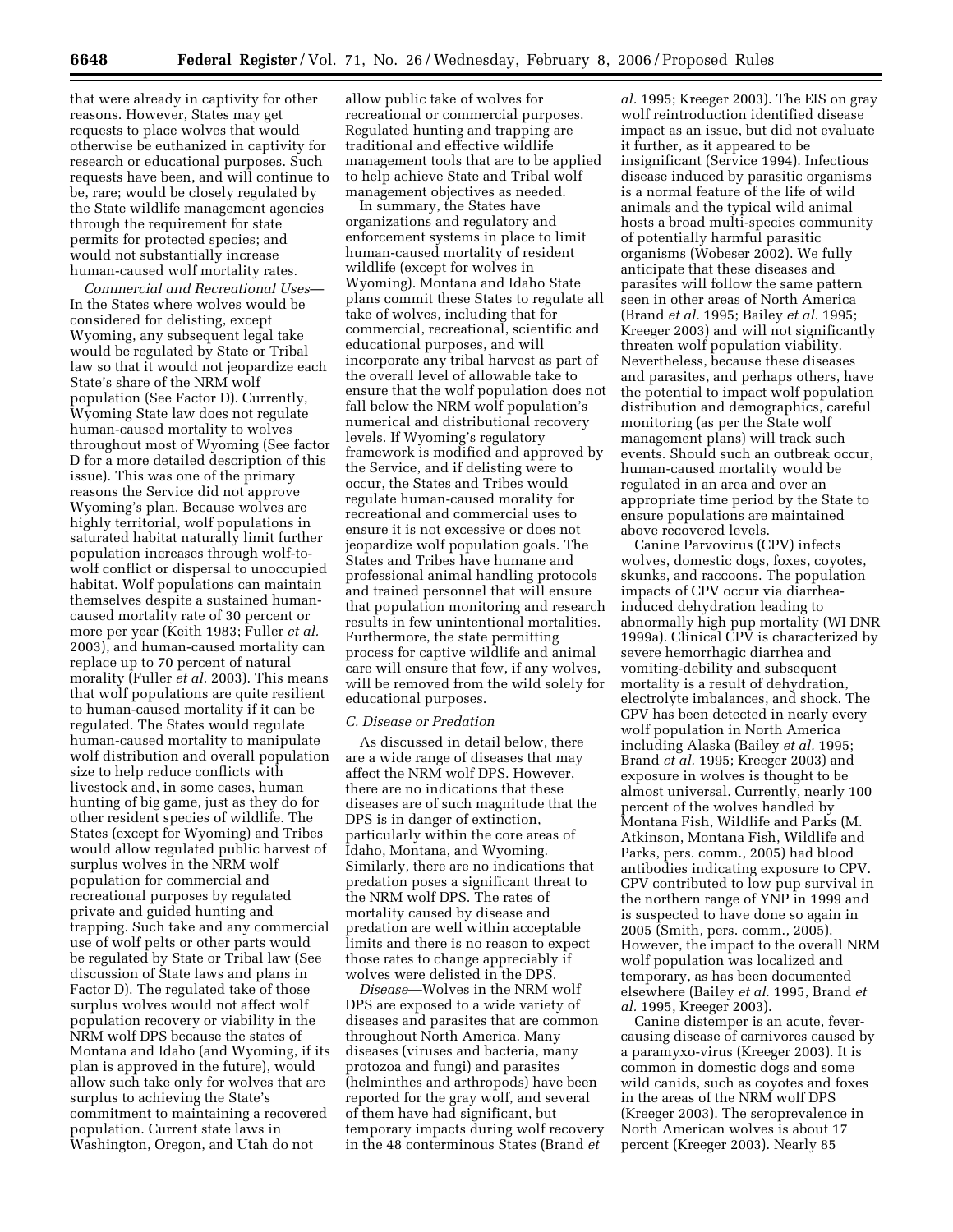that were already in captivity for other reasons. However, States may get requests to place wolves that would otherwise be euthanized in captivity for research or educational purposes. Such requests have been, and will continue to be, rare; would be closely regulated by the State wildlife management agencies through the requirement for state permits for protected species; and would not substantially increase human-caused wolf mortality rates.

*Commercial and Recreational Uses*— In the States where wolves would be considered for delisting, except Wyoming, any subsequent legal take would be regulated by State or Tribal law so that it would not jeopardize each State's share of the NRM wolf population (See Factor D). Currently, Wyoming State law does not regulate human-caused mortality to wolves throughout most of Wyoming (See factor D for a more detailed description of this issue). This was one of the primary reasons the Service did not approve Wyoming's plan. Because wolves are highly territorial, wolf populations in saturated habitat naturally limit further population increases through wolf-towolf conflict or dispersal to unoccupied habitat. Wolf populations can maintain themselves despite a sustained humancaused mortality rate of 30 percent or more per year (Keith 1983; Fuller *et al.*  2003), and human-caused mortality can replace up to 70 percent of natural morality (Fuller *et al.* 2003). This means that wolf populations are quite resilient to human-caused mortality if it can be regulated. The States would regulate human-caused mortality to manipulate wolf distribution and overall population size to help reduce conflicts with livestock and, in some cases, human hunting of big game, just as they do for other resident species of wildlife. The States (except for Wyoming) and Tribes would allow regulated public harvest of surplus wolves in the NRM wolf population for commercial and recreational purposes by regulated private and guided hunting and trapping. Such take and any commercial use of wolf pelts or other parts would be regulated by State or Tribal law (See discussion of State laws and plans in Factor D). The regulated take of those surplus wolves would not affect wolf population recovery or viability in the NRM wolf DPS because the states of Montana and Idaho (and Wyoming, if its plan is approved in the future), would allow such take only for wolves that are surplus to achieving the State's commitment to maintaining a recovered population. Current state laws in Washington, Oregon, and Utah do not

allow public take of wolves for recreational or commercial purposes. Regulated hunting and trapping are traditional and effective wildlife management tools that are to be applied to help achieve State and Tribal wolf management objectives as needed.

In summary, the States have organizations and regulatory and enforcement systems in place to limit human-caused mortality of resident wildlife (except for wolves in Wyoming). Montana and Idaho State plans commit these States to regulate all take of wolves, including that for commercial, recreational, scientific and educational purposes, and will incorporate any tribal harvest as part of the overall level of allowable take to ensure that the wolf population does not fall below the NRM wolf population's numerical and distributional recovery levels. If Wyoming's regulatory framework is modified and approved by the Service, and if delisting were to occur, the States and Tribes would regulate human-caused morality for recreational and commercial uses to ensure it is not excessive or does not jeopardize wolf population goals. The States and Tribes have humane and professional animal handling protocols and trained personnel that will ensure that population monitoring and research results in few unintentional mortalities. Furthermore, the state permitting process for captive wildlife and animal care will ensure that few, if any wolves, will be removed from the wild solely for educational purposes.

#### *C. Disease or Predation*

As discussed in detail below, there are a wide range of diseases that may affect the NRM wolf DPS. However, there are no indications that these diseases are of such magnitude that the DPS is in danger of extinction, particularly within the core areas of Idaho, Montana, and Wyoming. Similarly, there are no indications that predation poses a significant threat to the NRM wolf DPS. The rates of mortality caused by disease and predation are well within acceptable limits and there is no reason to expect those rates to change appreciably if wolves were delisted in the DPS.

*Disease*—Wolves in the NRM wolf DPS are exposed to a wide variety of diseases and parasites that are common throughout North America. Many diseases (viruses and bacteria, many protozoa and fungi) and parasites (helminthes and arthropods) have been reported for the gray wolf, and several of them have had significant, but temporary impacts during wolf recovery in the 48 conterminous States (Brand *et* 

*al.* 1995; Kreeger 2003). The EIS on gray wolf reintroduction identified disease impact as an issue, but did not evaluate it further, as it appeared to be insignificant (Service 1994). Infectious disease induced by parasitic organisms is a normal feature of the life of wild animals and the typical wild animal hosts a broad multi-species community of potentially harmful parasitic organisms (Wobeser 2002). We fully anticipate that these diseases and parasites will follow the same pattern seen in other areas of North America (Brand *et al.* 1995; Bailey *et al.* 1995; Kreeger 2003) and will not significantly threaten wolf population viability. Nevertheless, because these diseases and parasites, and perhaps others, have the potential to impact wolf population distribution and demographics, careful monitoring (as per the State wolf management plans) will track such events. Should such an outbreak occur, human-caused mortality would be regulated in an area and over an appropriate time period by the State to ensure populations are maintained above recovered levels.

Canine Parvovirus (CPV) infects wolves, domestic dogs, foxes, coyotes, skunks, and raccoons. The population impacts of CPV occur via diarrheainduced dehydration leading to abnormally high pup mortality (WI DNR 1999a). Clinical  $\overline{CPV}$  is characterized by severe hemorrhagic diarrhea and vomiting-debility and subsequent mortality is a result of dehydration, electrolyte imbalances, and shock. The CPV has been detected in nearly every wolf population in North America including Alaska (Bailey *et al.* 1995; Brand *et al.* 1995; Kreeger 2003) and exposure in wolves is thought to be almost universal. Currently, nearly 100 percent of the wolves handled by Montana Fish, Wildlife and Parks (M. Atkinson, Montana Fish, Wildlife and Parks, pers. comm., 2005) had blood antibodies indicating exposure to CPV. CPV contributed to low pup survival in the northern range of YNP in 1999 and is suspected to have done so again in 2005 (Smith, pers. comm., 2005). However, the impact to the overall NRM wolf population was localized and temporary, as has been documented elsewhere (Bailey *et al.* 1995, Brand *et al.* 1995, Kreeger 2003).

Canine distemper is an acute, fevercausing disease of carnivores caused by a paramyxo-virus (Kreeger 2003). It is common in domestic dogs and some wild canids, such as coyotes and foxes in the areas of the NRM wolf DPS (Kreeger 2003). The seroprevalence in North American wolves is about 17 percent (Kreeger 2003). Nearly 85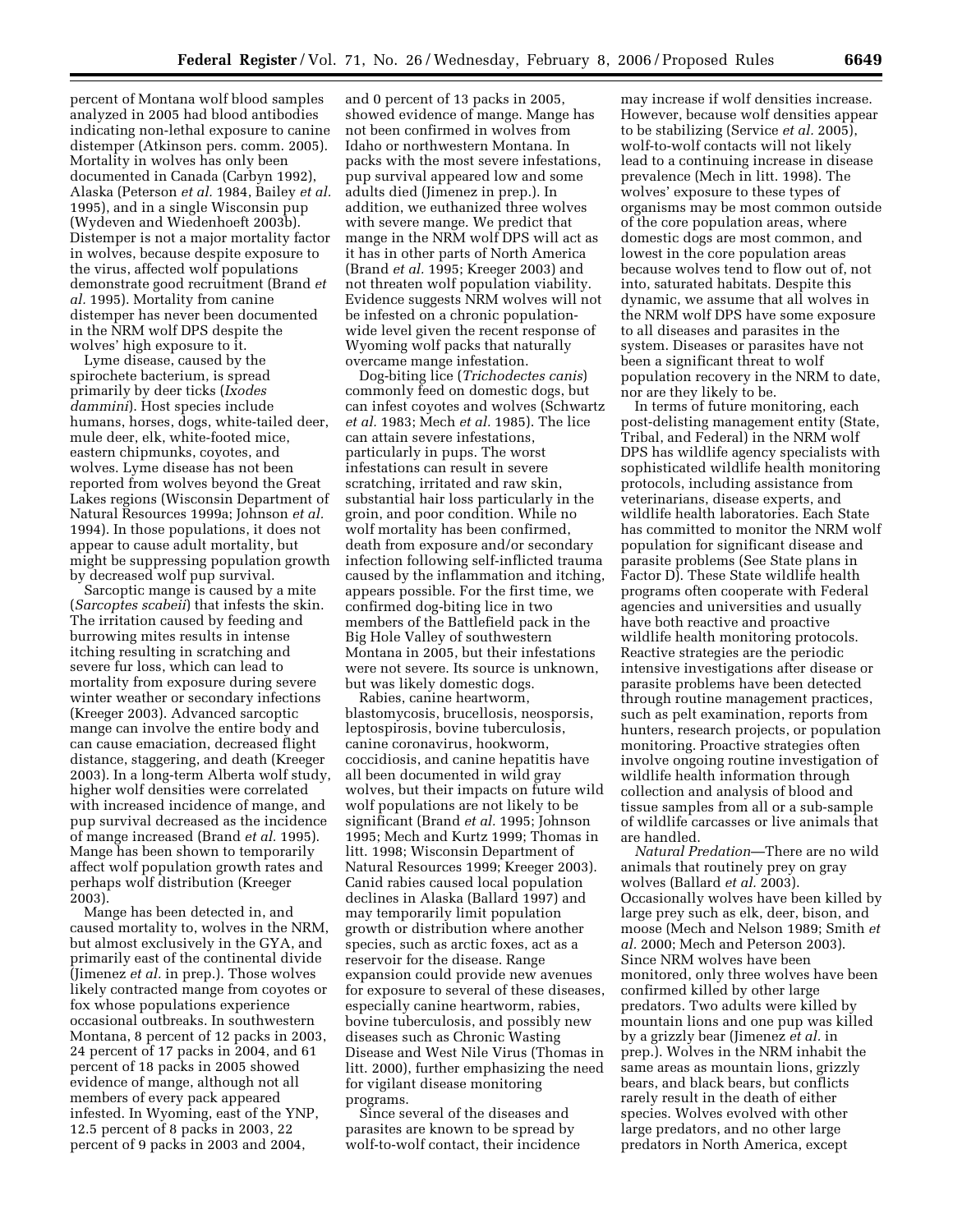percent of Montana wolf blood samples analyzed in 2005 had blood antibodies indicating non-lethal exposure to canine distemper (Atkinson pers. comm. 2005). Mortality in wolves has only been documented in Canada (Carbyn 1992), Alaska (Peterson *et al.* 1984, Bailey *et al.*  1995), and in a single Wisconsin pup (Wydeven and Wiedenhoeft 2003b). Distemper is not a major mortality factor in wolves, because despite exposure to the virus, affected wolf populations demonstrate good recruitment (Brand *et al.* 1995). Mortality from canine distemper has never been documented in the NRM wolf DPS despite the wolves' high exposure to it.

Lyme disease, caused by the spirochete bacterium, is spread primarily by deer ticks (*Ixodes dammini*). Host species include humans, horses, dogs, white-tailed deer, mule deer, elk, white-footed mice, eastern chipmunks, coyotes, and wolves. Lyme disease has not been reported from wolves beyond the Great Lakes regions (Wisconsin Department of Natural Resources 1999a; Johnson *et al.*  1994). In those populations, it does not appear to cause adult mortality, but might be suppressing population growth by decreased wolf pup survival.

Sarcoptic mange is caused by a mite (*Sarcoptes scabeii*) that infests the skin. The irritation caused by feeding and burrowing mites results in intense itching resulting in scratching and severe fur loss, which can lead to mortality from exposure during severe winter weather or secondary infections (Kreeger 2003). Advanced sarcoptic mange can involve the entire body and can cause emaciation, decreased flight distance, staggering, and death (Kreeger 2003). In a long-term Alberta wolf study, higher wolf densities were correlated with increased incidence of mange, and pup survival decreased as the incidence of mange increased (Brand *et al.* 1995). Mange has been shown to temporarily affect wolf population growth rates and perhaps wolf distribution (Kreeger 2003).

Mange has been detected in, and caused mortality to, wolves in the NRM, but almost exclusively in the GYA, and primarily east of the continental divide (Jimenez *et al.* in prep.). Those wolves likely contracted mange from coyotes or fox whose populations experience occasional outbreaks. In southwestern Montana, 8 percent of 12 packs in 2003, 24 percent of 17 packs in 2004, and 61 percent of 18 packs in 2005 showed evidence of mange, although not all members of every pack appeared infested. In Wyoming, east of the YNP, 12.5 percent of 8 packs in 2003, 22 percent of 9 packs in 2003 and 2004,

and 0 percent of 13 packs in 2005, showed evidence of mange. Mange has not been confirmed in wolves from Idaho or northwestern Montana. In packs with the most severe infestations, pup survival appeared low and some adults died (Jimenez in prep.). In addition, we euthanized three wolves with severe mange. We predict that mange in the NRM wolf DPS will act as it has in other parts of North America (Brand *et al.* 1995; Kreeger 2003) and not threaten wolf population viability. Evidence suggests NRM wolves will not be infested on a chronic populationwide level given the recent response of Wyoming wolf packs that naturally overcame mange infestation.

Dog-biting lice (*Trichodectes canis*) commonly feed on domestic dogs, but can infest coyotes and wolves (Schwartz *et al.* 1983; Mech *et al.* 1985). The lice can attain severe infestations, particularly in pups. The worst infestations can result in severe scratching, irritated and raw skin, substantial hair loss particularly in the groin, and poor condition. While no wolf mortality has been confirmed, death from exposure and/or secondary infection following self-inflicted trauma caused by the inflammation and itching, appears possible. For the first time, we confirmed dog-biting lice in two members of the Battlefield pack in the Big Hole Valley of southwestern Montana in 2005, but their infestations were not severe. Its source is unknown, but was likely domestic dogs.

Rabies, canine heartworm, blastomycosis, brucellosis, neosporsis, leptospirosis, bovine tuberculosis, canine coronavirus, hookworm, coccidiosis, and canine hepatitis have all been documented in wild gray wolves, but their impacts on future wild wolf populations are not likely to be significant (Brand *et al.* 1995; Johnson 1995; Mech and Kurtz 1999; Thomas in litt. 1998; Wisconsin Department of Natural Resources 1999; Kreeger 2003). Canid rabies caused local population declines in Alaska (Ballard 1997) and may temporarily limit population growth or distribution where another species, such as arctic foxes, act as a reservoir for the disease. Range expansion could provide new avenues for exposure to several of these diseases, especially canine heartworm, rabies, bovine tuberculosis, and possibly new diseases such as Chronic Wasting Disease and West Nile Virus (Thomas in litt. 2000), further emphasizing the need for vigilant disease monitoring programs.

Since several of the diseases and parasites are known to be spread by wolf-to-wolf contact, their incidence

may increase if wolf densities increase. However, because wolf densities appear to be stabilizing (Service *et al.* 2005), wolf-to-wolf contacts will not likely lead to a continuing increase in disease prevalence (Mech in litt. 1998). The wolves' exposure to these types of organisms may be most common outside of the core population areas, where domestic dogs are most common, and lowest in the core population areas because wolves tend to flow out of, not into, saturated habitats. Despite this dynamic, we assume that all wolves in the NRM wolf DPS have some exposure to all diseases and parasites in the system. Diseases or parasites have not been a significant threat to wolf population recovery in the NRM to date, nor are they likely to be.

In terms of future monitoring, each post-delisting management entity (State, Tribal, and Federal) in the NRM wolf DPS has wildlife agency specialists with sophisticated wildlife health monitoring protocols, including assistance from veterinarians, disease experts, and wildlife health laboratories. Each State has committed to monitor the NRM wolf population for significant disease and parasite problems (See State plans in Factor D). These State wildlife health programs often cooperate with Federal agencies and universities and usually have both reactive and proactive wildlife health monitoring protocols. Reactive strategies are the periodic intensive investigations after disease or parasite problems have been detected through routine management practices, such as pelt examination, reports from hunters, research projects, or population monitoring. Proactive strategies often involve ongoing routine investigation of wildlife health information through collection and analysis of blood and tissue samples from all or a sub-sample of wildlife carcasses or live animals that are handled.

*Natural Predation*—There are no wild animals that routinely prey on gray wolves (Ballard *et al.* 2003). Occasionally wolves have been killed by large prey such as elk, deer, bison, and moose (Mech and Nelson 1989; Smith *et al.* 2000; Mech and Peterson 2003). Since NRM wolves have been monitored, only three wolves have been confirmed killed by other large predators. Two adults were killed by mountain lions and one pup was killed by a grizzly bear (Jimenez *et al.* in prep.). Wolves in the NRM inhabit the same areas as mountain lions, grizzly bears, and black bears, but conflicts rarely result in the death of either species. Wolves evolved with other large predators, and no other large predators in North America, except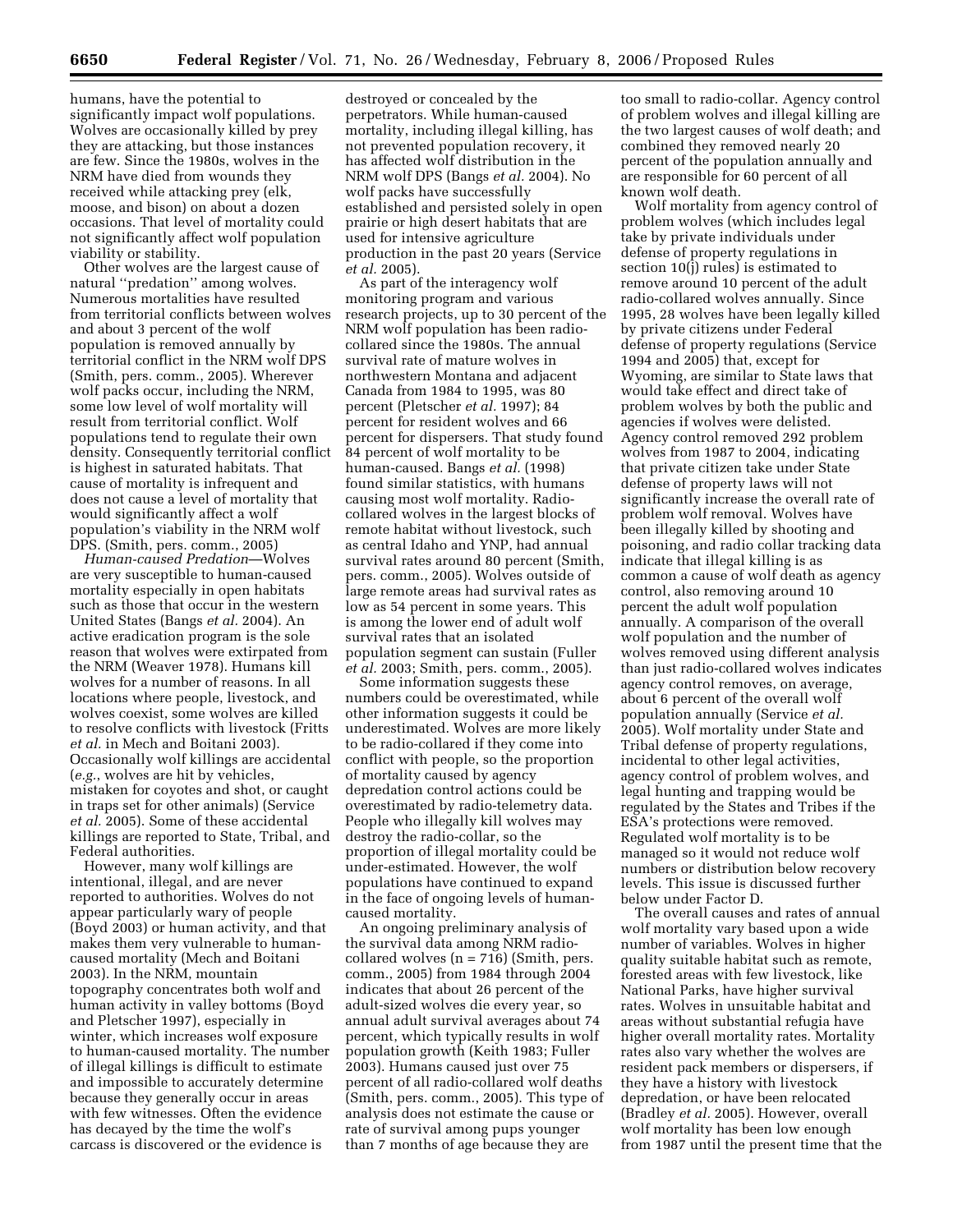humans, have the potential to significantly impact wolf populations. Wolves are occasionally killed by prey they are attacking, but those instances are few. Since the 1980s, wolves in the NRM have died from wounds they received while attacking prey (elk, moose, and bison) on about a dozen occasions. That level of mortality could not significantly affect wolf population viability or stability.

Other wolves are the largest cause of natural ''predation'' among wolves. Numerous mortalities have resulted from territorial conflicts between wolves and about 3 percent of the wolf population is removed annually by territorial conflict in the NRM wolf DPS (Smith, pers. comm., 2005). Wherever wolf packs occur, including the NRM, some low level of wolf mortality will result from territorial conflict. Wolf populations tend to regulate their own density. Consequently territorial conflict is highest in saturated habitats. That cause of mortality is infrequent and does not cause a level of mortality that would significantly affect a wolf population's viability in the NRM wolf DPS. (Smith, pers. comm., 2005)

*Human-caused Predation*—Wolves are very susceptible to human-caused mortality especially in open habitats such as those that occur in the western United States (Bangs *et al.* 2004). An active eradication program is the sole reason that wolves were extirpated from the NRM (Weaver 1978). Humans kill wolves for a number of reasons. In all locations where people, livestock, and wolves coexist, some wolves are killed to resolve conflicts with livestock (Fritts *et al.* in Mech and Boitani 2003). Occasionally wolf killings are accidental (*e.g.*, wolves are hit by vehicles, mistaken for coyotes and shot, or caught in traps set for other animals) (Service *et al.* 2005). Some of these accidental killings are reported to State, Tribal, and Federal authorities.

However, many wolf killings are intentional, illegal, and are never reported to authorities. Wolves do not appear particularly wary of people (Boyd 2003) or human activity, and that makes them very vulnerable to humancaused mortality (Mech and Boitani 2003). In the NRM, mountain topography concentrates both wolf and human activity in valley bottoms (Boyd and Pletscher 1997), especially in winter, which increases wolf exposure to human-caused mortality. The number of illegal killings is difficult to estimate and impossible to accurately determine because they generally occur in areas with few witnesses. Often the evidence has decayed by the time the wolf's carcass is discovered or the evidence is

destroyed or concealed by the perpetrators. While human-caused mortality, including illegal killing, has not prevented population recovery, it has affected wolf distribution in the NRM wolf DPS (Bangs *et al.* 2004). No wolf packs have successfully established and persisted solely in open prairie or high desert habitats that are used for intensive agriculture production in the past 20 years (Service *et al.* 2005).

As part of the interagency wolf monitoring program and various research projects, up to 30 percent of the NRM wolf population has been radiocollared since the 1980s. The annual survival rate of mature wolves in northwestern Montana and adjacent Canada from 1984 to 1995, was 80 percent (Pletscher *et al.* 1997); 84 percent for resident wolves and 66 percent for dispersers. That study found 84 percent of wolf mortality to be human-caused. Bangs *et al.* (1998) found similar statistics, with humans causing most wolf mortality. Radiocollared wolves in the largest blocks of remote habitat without livestock, such as central Idaho and YNP, had annual survival rates around 80 percent (Smith, pers. comm., 2005). Wolves outside of large remote areas had survival rates as low as 54 percent in some years. This is among the lower end of adult wolf survival rates that an isolated population segment can sustain (Fuller *et al.* 2003; Smith, pers. comm., 2005).

Some information suggests these numbers could be overestimated, while other information suggests it could be underestimated. Wolves are more likely to be radio-collared if they come into conflict with people, so the proportion of mortality caused by agency depredation control actions could be overestimated by radio-telemetry data. People who illegally kill wolves may destroy the radio-collar, so the proportion of illegal mortality could be under-estimated. However, the wolf populations have continued to expand in the face of ongoing levels of humancaused mortality.

An ongoing preliminary analysis of the survival data among NRM radiocollared wolves  $(n = 716)$  (Smith, pers. comm., 2005) from 1984 through 2004 indicates that about 26 percent of the adult-sized wolves die every year, so annual adult survival averages about 74 percent, which typically results in wolf population growth (Keith 1983; Fuller 2003). Humans caused just over 75 percent of all radio-collared wolf deaths (Smith, pers. comm., 2005). This type of analysis does not estimate the cause or rate of survival among pups younger than 7 months of age because they are

too small to radio-collar. Agency control of problem wolves and illegal killing are the two largest causes of wolf death; and combined they removed nearly 20 percent of the population annually and are responsible for 60 percent of all known wolf death.

Wolf mortality from agency control of problem wolves (which includes legal take by private individuals under defense of property regulations in section 10(j) rules) is estimated to remove around 10 percent of the adult radio-collared wolves annually. Since 1995, 28 wolves have been legally killed by private citizens under Federal defense of property regulations (Service 1994 and 2005) that, except for Wyoming, are similar to State laws that would take effect and direct take of problem wolves by both the public and agencies if wolves were delisted. Agency control removed 292 problem wolves from 1987 to 2004, indicating that private citizen take under State defense of property laws will not significantly increase the overall rate of problem wolf removal. Wolves have been illegally killed by shooting and poisoning, and radio collar tracking data indicate that illegal killing is as common a cause of wolf death as agency control, also removing around 10 percent the adult wolf population annually. A comparison of the overall wolf population and the number of wolves removed using different analysis than just radio-collared wolves indicates agency control removes, on average, about 6 percent of the overall wolf population annually (Service *et al.*  2005). Wolf mortality under State and Tribal defense of property regulations, incidental to other legal activities, agency control of problem wolves, and legal hunting and trapping would be regulated by the States and Tribes if the ESA's protections were removed. Regulated wolf mortality is to be managed so it would not reduce wolf numbers or distribution below recovery levels. This issue is discussed further below under Factor D.

The overall causes and rates of annual wolf mortality vary based upon a wide number of variables. Wolves in higher quality suitable habitat such as remote, forested areas with few livestock, like National Parks, have higher survival rates. Wolves in unsuitable habitat and areas without substantial refugia have higher overall mortality rates. Mortality rates also vary whether the wolves are resident pack members or dispersers, if they have a history with livestock depredation, or have been relocated (Bradley *et al.* 2005). However, overall wolf mortality has been low enough from 1987 until the present time that the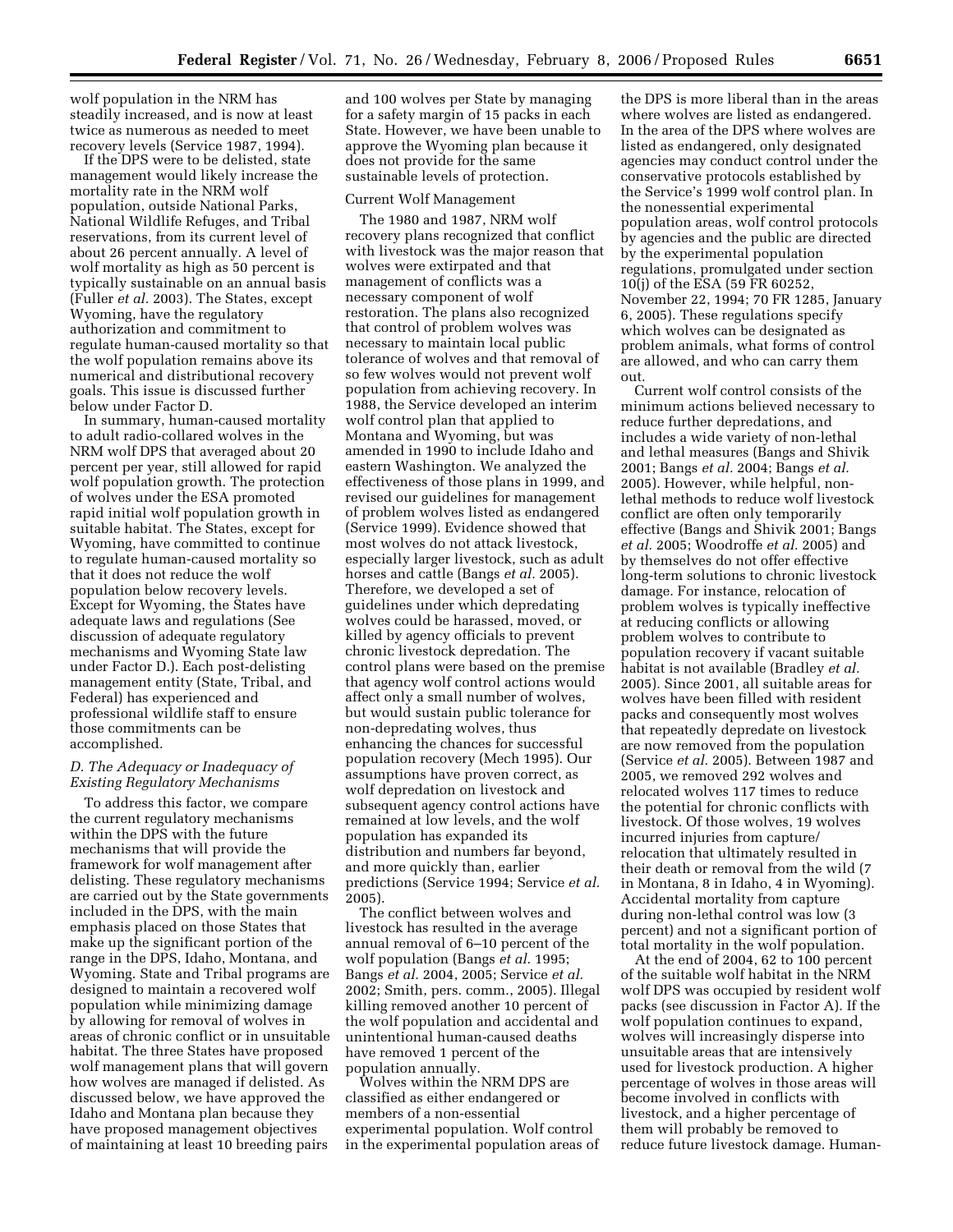wolf population in the NRM has steadily increased, and is now at least twice as numerous as needed to meet recovery levels (Service 1987, 1994).

If the DPS were to be delisted, state management would likely increase the mortality rate in the NRM wolf population, outside National Parks, National Wildlife Refuges, and Tribal reservations, from its current level of about 26 percent annually. A level of wolf mortality as high as 50 percent is typically sustainable on an annual basis (Fuller *et al.* 2003). The States, except Wyoming, have the regulatory authorization and commitment to regulate human-caused mortality so that the wolf population remains above its numerical and distributional recovery goals. This issue is discussed further below under Factor D.

In summary, human-caused mortality to adult radio-collared wolves in the NRM wolf DPS that averaged about 20 percent per year, still allowed for rapid wolf population growth. The protection of wolves under the ESA promoted rapid initial wolf population growth in suitable habitat. The States, except for Wyoming, have committed to continue to regulate human-caused mortality so that it does not reduce the wolf population below recovery levels. Except for Wyoming, the States have adequate laws and regulations (See discussion of adequate regulatory mechanisms and Wyoming State law under Factor D.). Each post-delisting management entity (State, Tribal, and Federal) has experienced and professional wildlife staff to ensure those commitments can be accomplished.

#### *D. The Adequacy or Inadequacy of Existing Regulatory Mechanisms*

To address this factor, we compare the current regulatory mechanisms within the DPS with the future mechanisms that will provide the framework for wolf management after delisting. These regulatory mechanisms are carried out by the State governments included in the DPS, with the main emphasis placed on those States that make up the significant portion of the range in the DPS, Idaho, Montana, and Wyoming. State and Tribal programs are designed to maintain a recovered wolf population while minimizing damage by allowing for removal of wolves in areas of chronic conflict or in unsuitable habitat. The three States have proposed wolf management plans that will govern how wolves are managed if delisted. As discussed below, we have approved the Idaho and Montana plan because they have proposed management objectives of maintaining at least 10 breeding pairs

and 100 wolves per State by managing for a safety margin of 15 packs in each State. However, we have been unable to approve the Wyoming plan because it does not provide for the same sustainable levels of protection.

#### Current Wolf Management

The 1980 and 1987, NRM wolf recovery plans recognized that conflict with livestock was the major reason that wolves were extirpated and that management of conflicts was a necessary component of wolf restoration. The plans also recognized that control of problem wolves was necessary to maintain local public tolerance of wolves and that removal of so few wolves would not prevent wolf population from achieving recovery. In 1988, the Service developed an interim wolf control plan that applied to Montana and Wyoming, but was amended in 1990 to include Idaho and eastern Washington. We analyzed the effectiveness of those plans in 1999, and revised our guidelines for management of problem wolves listed as endangered (Service 1999). Evidence showed that most wolves do not attack livestock, especially larger livestock, such as adult horses and cattle (Bangs *et al.* 2005). Therefore, we developed a set of guidelines under which depredating wolves could be harassed, moved, or killed by agency officials to prevent chronic livestock depredation. The control plans were based on the premise that agency wolf control actions would affect only a small number of wolves, but would sustain public tolerance for non-depredating wolves, thus enhancing the chances for successful population recovery (Mech 1995). Our assumptions have proven correct, as wolf depredation on livestock and subsequent agency control actions have remained at low levels, and the wolf population has expanded its distribution and numbers far beyond, and more quickly than, earlier predictions (Service 1994; Service *et al.*  2005).

The conflict between wolves and livestock has resulted in the average annual removal of 6–10 percent of the wolf population (Bangs *et al.* 1995; Bangs *et al.* 2004, 2005; Service *et al.*  2002; Smith, pers. comm., 2005). Illegal killing removed another 10 percent of the wolf population and accidental and unintentional human-caused deaths have removed 1 percent of the population annually.

Wolves within the NRM DPS are classified as either endangered or members of a non-essential experimental population. Wolf control in the experimental population areas of

the DPS is more liberal than in the areas where wolves are listed as endangered. In the area of the DPS where wolves are listed as endangered, only designated agencies may conduct control under the conservative protocols established by the Service's 1999 wolf control plan. In the nonessential experimental population areas, wolf control protocols by agencies and the public are directed by the experimental population regulations, promulgated under section 10(j) of the ESA (59 FR 60252, November 22, 1994; 70 FR 1285, January 6, 2005). These regulations specify which wolves can be designated as problem animals, what forms of control are allowed, and who can carry them out.

Current wolf control consists of the minimum actions believed necessary to reduce further depredations, and includes a wide variety of non-lethal and lethal measures (Bangs and Shivik 2001; Bangs *et al.* 2004; Bangs *et al.*  2005). However, while helpful, nonlethal methods to reduce wolf livestock conflict are often only temporarily effective (Bangs and Shivik 2001; Bangs *et al.* 2005; Woodroffe *et al.* 2005) and by themselves do not offer effective long-term solutions to chronic livestock damage. For instance, relocation of problem wolves is typically ineffective at reducing conflicts or allowing problem wolves to contribute to population recovery if vacant suitable habitat is not available (Bradley *et al.*  2005). Since 2001, all suitable areas for wolves have been filled with resident packs and consequently most wolves that repeatedly depredate on livestock are now removed from the population (Service *et al.* 2005). Between 1987 and 2005, we removed 292 wolves and relocated wolves 117 times to reduce the potential for chronic conflicts with livestock. Of those wolves, 19 wolves incurred injuries from capture/ relocation that ultimately resulted in their death or removal from the wild (7 in Montana, 8 in Idaho, 4 in Wyoming). Accidental mortality from capture during non-lethal control was low (3 percent) and not a significant portion of total mortality in the wolf population.

At the end of 2004, 62 to 100 percent of the suitable wolf habitat in the NRM wolf DPS was occupied by resident wolf packs (see discussion in Factor A). If the wolf population continues to expand, wolves will increasingly disperse into unsuitable areas that are intensively used for livestock production. A higher percentage of wolves in those areas will become involved in conflicts with livestock, and a higher percentage of them will probably be removed to reduce future livestock damage. Human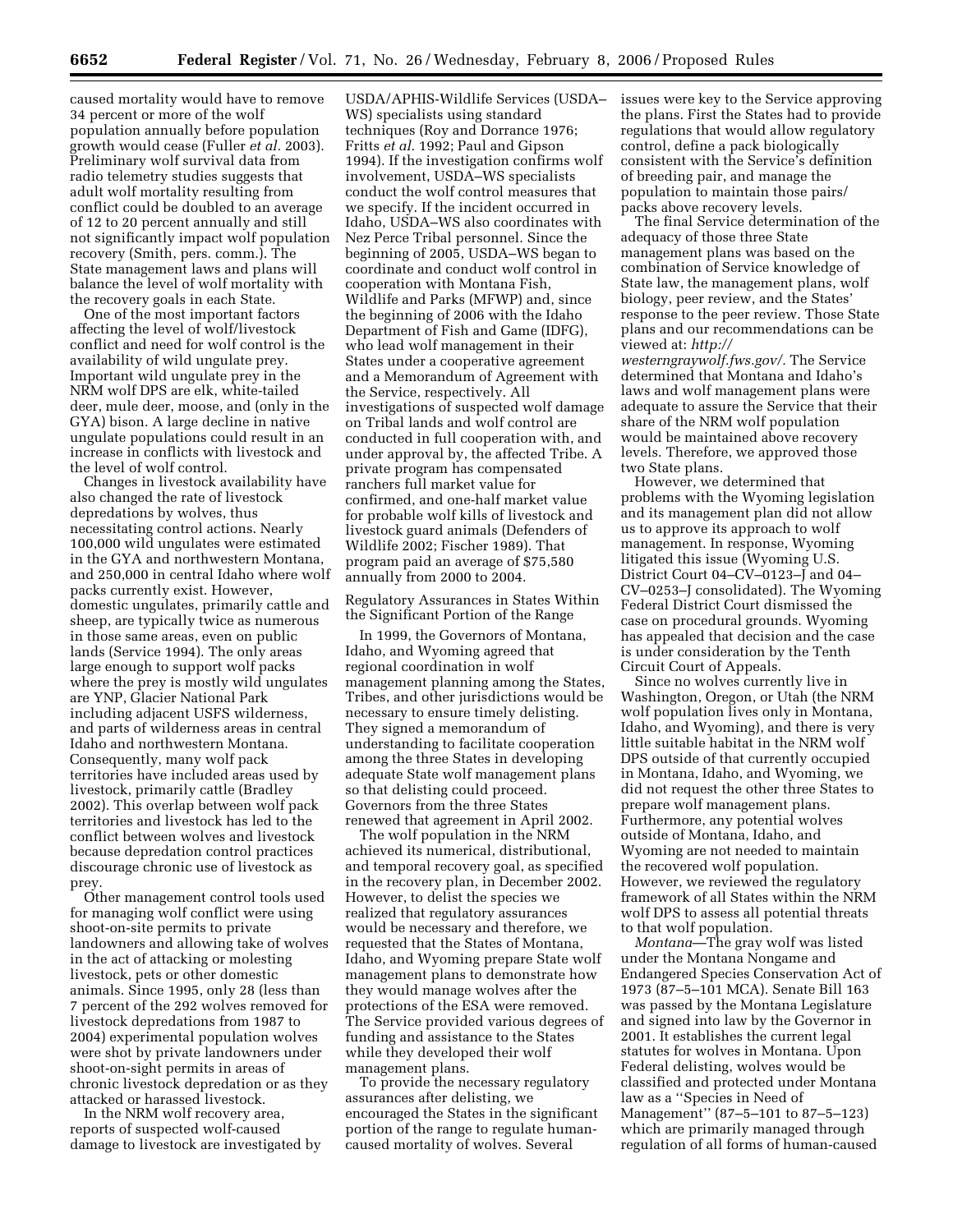caused mortality would have to remove 34 percent or more of the wolf population annually before population growth would cease (Fuller *et al.* 2003). Preliminary wolf survival data from radio telemetry studies suggests that adult wolf mortality resulting from conflict could be doubled to an average of 12 to 20 percent annually and still not significantly impact wolf population recovery (Smith, pers. comm.). The State management laws and plans will balance the level of wolf mortality with the recovery goals in each State.

One of the most important factors affecting the level of wolf/livestock conflict and need for wolf control is the availability of wild ungulate prey. Important wild ungulate prey in the NRM wolf DPS are elk, white-tailed deer, mule deer, moose, and (only in the GYA) bison. A large decline in native ungulate populations could result in an increase in conflicts with livestock and the level of wolf control.

Changes in livestock availability have also changed the rate of livestock depredations by wolves, thus necessitating control actions. Nearly 100,000 wild ungulates were estimated in the GYA and northwestern Montana, and 250,000 in central Idaho where wolf packs currently exist. However, domestic ungulates, primarily cattle and sheep, are typically twice as numerous in those same areas, even on public lands (Service 1994). The only areas large enough to support wolf packs where the prey is mostly wild ungulates are YNP, Glacier National Park including adjacent USFS wilderness, and parts of wilderness areas in central Idaho and northwestern Montana. Consequently, many wolf pack territories have included areas used by livestock, primarily cattle (Bradley 2002). This overlap between wolf pack territories and livestock has led to the conflict between wolves and livestock because depredation control practices discourage chronic use of livestock as prey.

Other management control tools used for managing wolf conflict were using shoot-on-site permits to private landowners and allowing take of wolves in the act of attacking or molesting livestock, pets or other domestic animals. Since 1995, only 28 (less than 7 percent of the 292 wolves removed for livestock depredations from 1987 to 2004) experimental population wolves were shot by private landowners under shoot-on-sight permits in areas of chronic livestock depredation or as they attacked or harassed livestock.

In the NRM wolf recovery area, reports of suspected wolf-caused damage to livestock are investigated by

USDA/APHIS-Wildlife Services (USDA– WS) specialists using standard techniques (Roy and Dorrance 1976; Fritts *et al.* 1992; Paul and Gipson 1994). If the investigation confirms wolf involvement, USDA–WS specialists conduct the wolf control measures that we specify. If the incident occurred in Idaho, USDA–WS also coordinates with Nez Perce Tribal personnel. Since the beginning of 2005, USDA–WS began to coordinate and conduct wolf control in cooperation with Montana Fish, Wildlife and Parks (MFWP) and, since the beginning of 2006 with the Idaho Department of Fish and Game (IDFG), who lead wolf management in their States under a cooperative agreement and a Memorandum of Agreement with the Service, respectively. All investigations of suspected wolf damage on Tribal lands and wolf control are conducted in full cooperation with, and under approval by, the affected Tribe. A private program has compensated ranchers full market value for confirmed, and one-half market value for probable wolf kills of livestock and livestock guard animals (Defenders of Wildlife 2002; Fischer 1989). That program paid an average of \$75,580 annually from 2000 to 2004.

Regulatory Assurances in States Within the Significant Portion of the Range

In 1999, the Governors of Montana, Idaho, and Wyoming agreed that regional coordination in wolf management planning among the States, Tribes, and other jurisdictions would be necessary to ensure timely delisting. They signed a memorandum of understanding to facilitate cooperation among the three States in developing adequate State wolf management plans so that delisting could proceed. Governors from the three States renewed that agreement in April 2002.

The wolf population in the NRM achieved its numerical, distributional, and temporal recovery goal, as specified in the recovery plan, in December 2002. However, to delist the species we realized that regulatory assurances would be necessary and therefore, we requested that the States of Montana, Idaho, and Wyoming prepare State wolf management plans to demonstrate how they would manage wolves after the protections of the ESA were removed. The Service provided various degrees of funding and assistance to the States while they developed their wolf management plans.

To provide the necessary regulatory assurances after delisting, we encouraged the States in the significant portion of the range to regulate humancaused mortality of wolves. Several

issues were key to the Service approving the plans. First the States had to provide regulations that would allow regulatory control, define a pack biologically consistent with the Service's definition of breeding pair, and manage the population to maintain those pairs/ packs above recovery levels.

The final Service determination of the adequacy of those three State management plans was based on the combination of Service knowledge of State law, the management plans, wolf biology, peer review, and the States' response to the peer review. Those State plans and our recommendations can be viewed at: *http://* 

*westerngraywolf.fws.gov/.* The Service determined that Montana and Idaho's laws and wolf management plans were adequate to assure the Service that their share of the NRM wolf population would be maintained above recovery levels. Therefore, we approved those two State plans.

However, we determined that problems with the Wyoming legislation and its management plan did not allow us to approve its approach to wolf management. In response, Wyoming litigated this issue (Wyoming U.S. District Court 04–CV–0123–J and 04– CV–0253–J consolidated). The Wyoming Federal District Court dismissed the case on procedural grounds. Wyoming has appealed that decision and the case is under consideration by the Tenth Circuit Court of Appeals.

Since no wolves currently live in Washington, Oregon, or Utah (the NRM wolf population lives only in Montana, Idaho, and Wyoming), and there is very little suitable habitat in the NRM wolf DPS outside of that currently occupied in Montana, Idaho, and Wyoming, we did not request the other three States to prepare wolf management plans. Furthermore, any potential wolves outside of Montana, Idaho, and Wyoming are not needed to maintain the recovered wolf population. However, we reviewed the regulatory framework of all States within the NRM wolf DPS to assess all potential threats to that wolf population.

*Montana*—The gray wolf was listed under the Montana Nongame and Endangered Species Conservation Act of 1973 (87–5–101 MCA). Senate Bill 163 was passed by the Montana Legislature and signed into law by the Governor in 2001. It establishes the current legal statutes for wolves in Montana. Upon Federal delisting, wolves would be classified and protected under Montana law as a ''Species in Need of Management'' (87–5–101 to 87–5–123) which are primarily managed through regulation of all forms of human-caused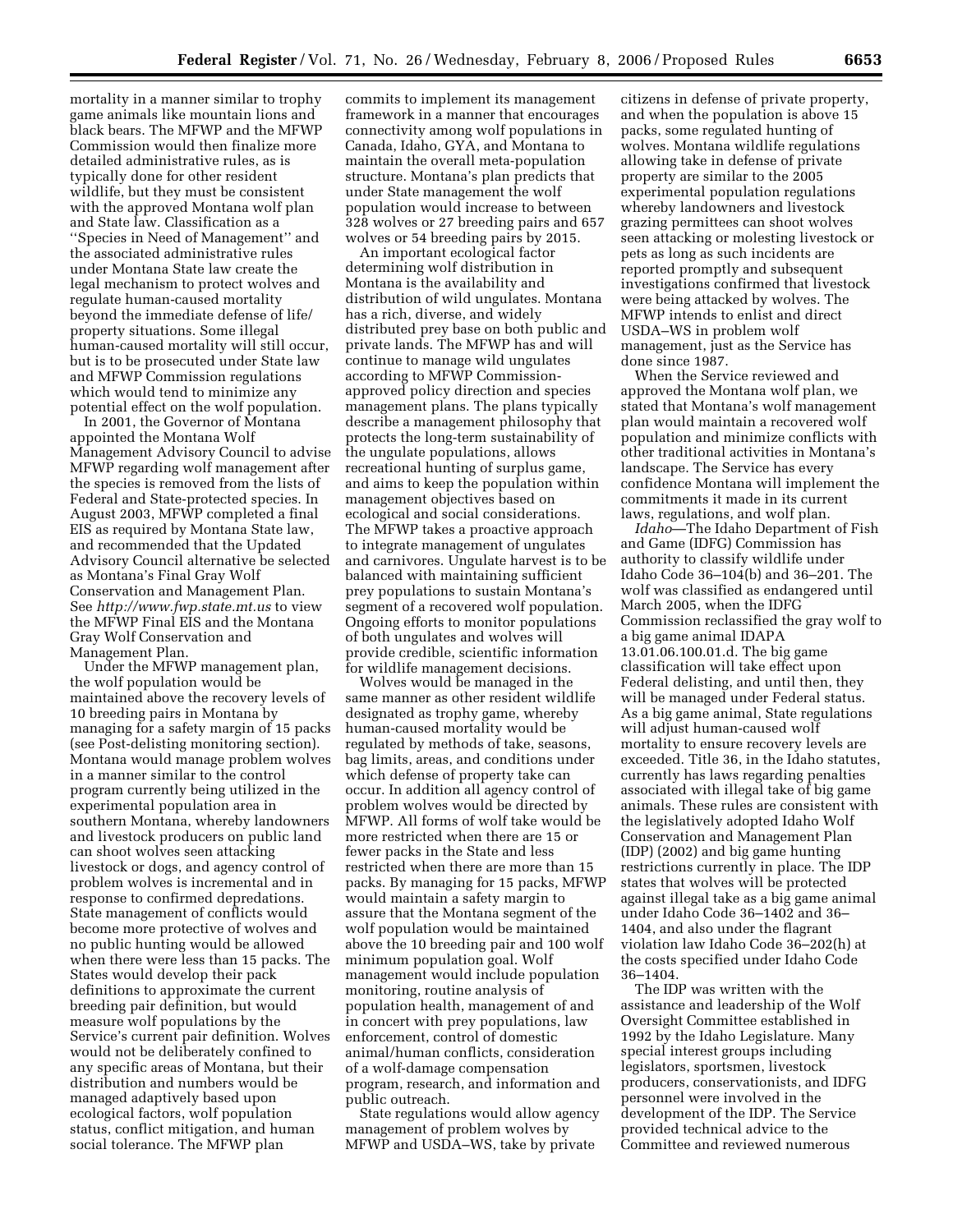mortality in a manner similar to trophy game animals like mountain lions and black bears. The MFWP and the MFWP Commission would then finalize more detailed administrative rules, as is typically done for other resident wildlife, but they must be consistent with the approved Montana wolf plan and State law. Classification as a ''Species in Need of Management'' and the associated administrative rules under Montana State law create the legal mechanism to protect wolves and regulate human-caused mortality beyond the immediate defense of life/ property situations. Some illegal human-caused mortality will still occur, but is to be prosecuted under State law and MFWP Commission regulations which would tend to minimize any potential effect on the wolf population.

In 2001, the Governor of Montana appointed the Montana Wolf Management Advisory Council to advise MFWP regarding wolf management after the species is removed from the lists of Federal and State-protected species. In August 2003, MFWP completed a final EIS as required by Montana State law, and recommended that the Updated Advisory Council alternative be selected as Montana's Final Gray Wolf Conservation and Management Plan. See *http://www.fwp.state.mt.us* to view the MFWP Final EIS and the Montana Gray Wolf Conservation and Management Plan.

Under the MFWP management plan, the wolf population would be maintained above the recovery levels of 10 breeding pairs in Montana by managing for a safety margin of 15 packs (see Post-delisting monitoring section). Montana would manage problem wolves in a manner similar to the control program currently being utilized in the experimental population area in southern Montana, whereby landowners and livestock producers on public land can shoot wolves seen attacking livestock or dogs, and agency control of problem wolves is incremental and in response to confirmed depredations. State management of conflicts would become more protective of wolves and no public hunting would be allowed when there were less than 15 packs. The States would develop their pack definitions to approximate the current breeding pair definition, but would measure wolf populations by the Service's current pair definition. Wolves would not be deliberately confined to any specific areas of Montana, but their distribution and numbers would be managed adaptively based upon ecological factors, wolf population status, conflict mitigation, and human social tolerance. The MFWP plan

commits to implement its management framework in a manner that encourages connectivity among wolf populations in Canada, Idaho, GYA, and Montana to maintain the overall meta-population structure. Montana's plan predicts that under State management the wolf population would increase to between 328 wolves or 27 breeding pairs and 657 wolves or 54 breeding pairs by 2015.

An important ecological factor determining wolf distribution in Montana is the availability and distribution of wild ungulates. Montana has a rich, diverse, and widely distributed prey base on both public and private lands. The MFWP has and will continue to manage wild ungulates according to MFWP Commissionapproved policy direction and species management plans. The plans typically describe a management philosophy that protects the long-term sustainability of the ungulate populations, allows recreational hunting of surplus game, and aims to keep the population within management objectives based on ecological and social considerations. The MFWP takes a proactive approach to integrate management of ungulates and carnivores. Ungulate harvest is to be balanced with maintaining sufficient prey populations to sustain Montana's segment of a recovered wolf population. Ongoing efforts to monitor populations of both ungulates and wolves will provide credible, scientific information for wildlife management decisions.

Wolves would be managed in the same manner as other resident wildlife designated as trophy game, whereby human-caused mortality would be regulated by methods of take, seasons, bag limits, areas, and conditions under which defense of property take can occur. In addition all agency control of problem wolves would be directed by MFWP. All forms of wolf take would be more restricted when there are 15 or fewer packs in the State and less restricted when there are more than 15 packs. By managing for 15 packs, MFWP would maintain a safety margin to assure that the Montana segment of the wolf population would be maintained above the 10 breeding pair and 100 wolf minimum population goal. Wolf management would include population monitoring, routine analysis of population health, management of and in concert with prey populations, law enforcement, control of domestic animal/human conflicts, consideration of a wolf-damage compensation program, research, and information and public outreach.

State regulations would allow agency management of problem wolves by MFWP and USDA–WS, take by private

citizens in defense of private property, and when the population is above 15 packs, some regulated hunting of wolves. Montana wildlife regulations allowing take in defense of private property are similar to the 2005 experimental population regulations whereby landowners and livestock grazing permittees can shoot wolves seen attacking or molesting livestock or pets as long as such incidents are reported promptly and subsequent investigations confirmed that livestock were being attacked by wolves. The MFWP intends to enlist and direct USDA–WS in problem wolf management, just as the Service has done since 1987.

When the Service reviewed and approved the Montana wolf plan, we stated that Montana's wolf management plan would maintain a recovered wolf population and minimize conflicts with other traditional activities in Montana's landscape. The Service has every confidence Montana will implement the commitments it made in its current laws, regulations, and wolf plan.

*Idaho*—The Idaho Department of Fish and Game (IDFG) Commission has authority to classify wildlife under Idaho Code 36–104(b) and 36–201. The wolf was classified as endangered until March 2005, when the IDFG Commission reclassified the gray wolf to a big game animal IDAPA 13.01.06.100.01.d. The big game classification will take effect upon Federal delisting, and until then, they will be managed under Federal status. As a big game animal, State regulations will adjust human-caused wolf mortality to ensure recovery levels are exceeded. Title 36, in the Idaho statutes, currently has laws regarding penalties associated with illegal take of big game animals. These rules are consistent with the legislatively adopted Idaho Wolf Conservation and Management Plan (IDP) (2002) and big game hunting restrictions currently in place. The IDP states that wolves will be protected against illegal take as a big game animal under Idaho Code 36–1402 and 36– 1404, and also under the flagrant violation law Idaho Code 36–202(h) at the costs specified under Idaho Code 36–1404.

The IDP was written with the assistance and leadership of the Wolf Oversight Committee established in 1992 by the Idaho Legislature. Many special interest groups including legislators, sportsmen, livestock producers, conservationists, and IDFG personnel were involved in the development of the IDP. The Service provided technical advice to the Committee and reviewed numerous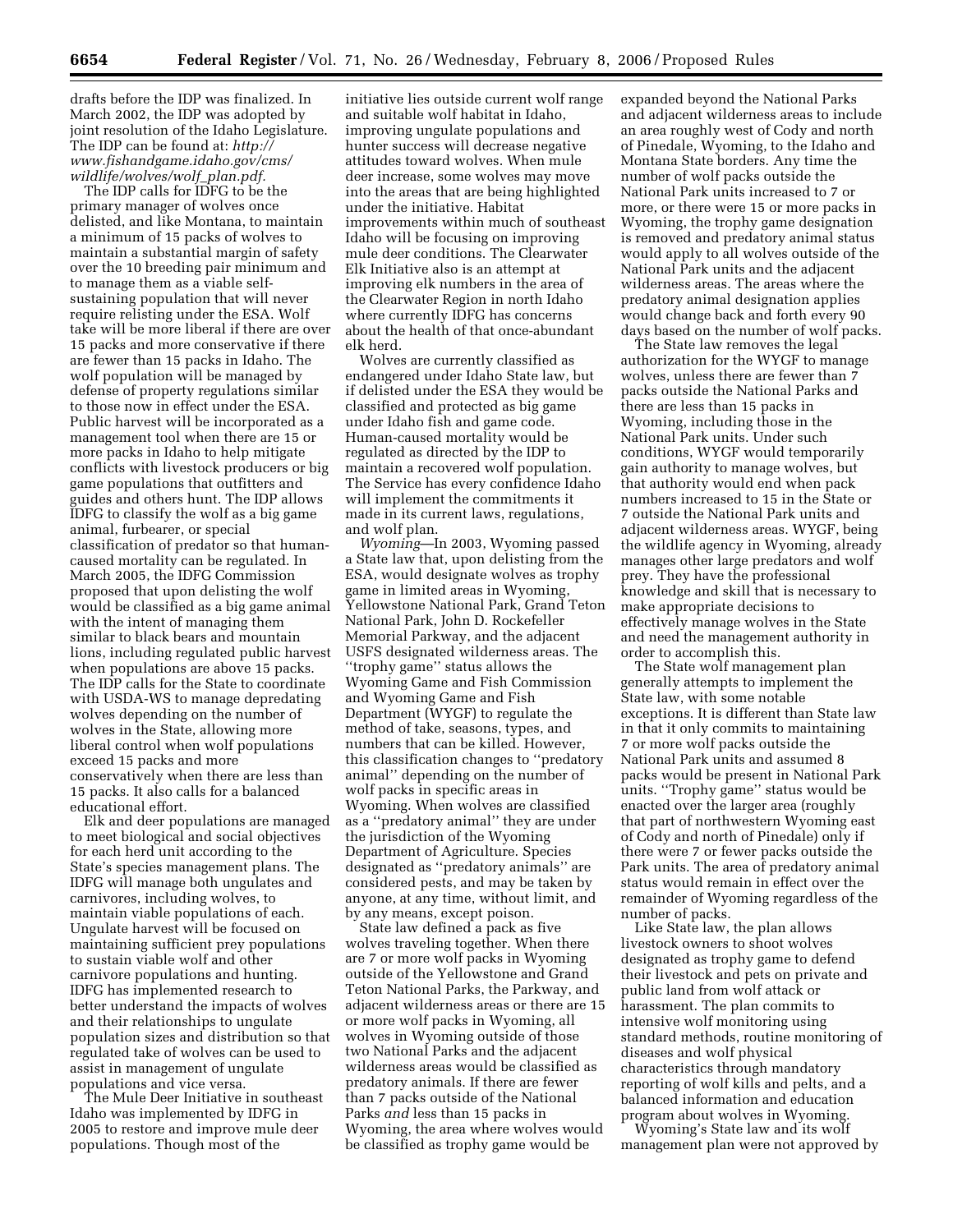drafts before the IDP was finalized. In March 2002, the IDP was adopted by joint resolution of the Idaho Legislature. The IDP can be found at: *http:// www.fishandgame.idaho.gov/cms/ wildlife/wolves/wolf*\_*plan.pdf.* 

The IDP calls for IDFG to be the primary manager of wolves once delisted, and like Montana, to maintain a minimum of 15 packs of wolves to maintain a substantial margin of safety over the 10 breeding pair minimum and to manage them as a viable selfsustaining population that will never require relisting under the ESA. Wolf take will be more liberal if there are over 15 packs and more conservative if there are fewer than 15 packs in Idaho. The wolf population will be managed by defense of property regulations similar to those now in effect under the ESA. Public harvest will be incorporated as a management tool when there are 15 or more packs in Idaho to help mitigate conflicts with livestock producers or big game populations that outfitters and guides and others hunt. The IDP allows IDFG to classify the wolf as a big game animal, furbearer, or special classification of predator so that humancaused mortality can be regulated. In March 2005, the IDFG Commission proposed that upon delisting the wolf would be classified as a big game animal with the intent of managing them similar to black bears and mountain lions, including regulated public harvest when populations are above 15 packs. The IDP calls for the State to coordinate with USDA-WS to manage depredating wolves depending on the number of wolves in the State, allowing more liberal control when wolf populations exceed 15 packs and more conservatively when there are less than 15 packs. It also calls for a balanced educational effort.

Elk and deer populations are managed to meet biological and social objectives for each herd unit according to the State's species management plans. The IDFG will manage both ungulates and carnivores, including wolves, to maintain viable populations of each. Ungulate harvest will be focused on maintaining sufficient prey populations to sustain viable wolf and other carnivore populations and hunting. IDFG has implemented research to better understand the impacts of wolves and their relationships to ungulate population sizes and distribution so that regulated take of wolves can be used to assist in management of ungulate populations and vice versa.

The Mule Deer Initiative in southeast Idaho was implemented by IDFG in 2005 to restore and improve mule deer populations. Though most of the

initiative lies outside current wolf range and suitable wolf habitat in Idaho, improving ungulate populations and hunter success will decrease negative attitudes toward wolves. When mule deer increase, some wolves may move into the areas that are being highlighted under the initiative. Habitat improvements within much of southeast Idaho will be focusing on improving mule deer conditions. The Clearwater Elk Initiative also is an attempt at improving elk numbers in the area of the Clearwater Region in north Idaho where currently IDFG has concerns about the health of that once-abundant elk herd.

Wolves are currently classified as endangered under Idaho State law, but if delisted under the ESA they would be classified and protected as big game under Idaho fish and game code. Human-caused mortality would be regulated as directed by the IDP to maintain a recovered wolf population. The Service has every confidence Idaho will implement the commitments it made in its current laws, regulations, and wolf plan.

*Wyoming*—In 2003, Wyoming passed a State law that, upon delisting from the ESA, would designate wolves as trophy game in limited areas in Wyoming, Yellowstone National Park, Grand Teton National Park, John D. Rockefeller Memorial Parkway, and the adjacent USFS designated wilderness areas. The ''trophy game'' status allows the Wyoming Game and Fish Commission and Wyoming Game and Fish Department (WYGF) to regulate the method of take, seasons, types, and numbers that can be killed. However, this classification changes to ''predatory animal'' depending on the number of wolf packs in specific areas in Wyoming. When wolves are classified as a ''predatory animal'' they are under the jurisdiction of the Wyoming Department of Agriculture. Species designated as ''predatory animals'' are considered pests, and may be taken by anyone, at any time, without limit, and by any means, except poison.

State law defined a pack as five wolves traveling together. When there are 7 or more wolf packs in Wyoming outside of the Yellowstone and Grand Teton National Parks, the Parkway, and adjacent wilderness areas or there are 15 or more wolf packs in Wyoming, all wolves in Wyoming outside of those two National Parks and the adjacent wilderness areas would be classified as predatory animals. If there are fewer than 7 packs outside of the National Parks *and* less than 15 packs in Wyoming, the area where wolves would be classified as trophy game would be

expanded beyond the National Parks and adjacent wilderness areas to include an area roughly west of Cody and north of Pinedale, Wyoming, to the Idaho and Montana State borders. Any time the number of wolf packs outside the National Park units increased to 7 or more, or there were 15 or more packs in Wyoming, the trophy game designation is removed and predatory animal status would apply to all wolves outside of the National Park units and the adjacent wilderness areas. The areas where the predatory animal designation applies would change back and forth every 90 days based on the number of wolf packs.

The State law removes the legal authorization for the WYGF to manage wolves, unless there are fewer than 7 packs outside the National Parks and there are less than 15 packs in Wyoming, including those in the National Park units. Under such conditions, WYGF would temporarily gain authority to manage wolves, but that authority would end when pack numbers increased to 15 in the State or 7 outside the National Park units and adjacent wilderness areas. WYGF, being the wildlife agency in Wyoming, already manages other large predators and wolf prey. They have the professional knowledge and skill that is necessary to make appropriate decisions to effectively manage wolves in the State and need the management authority in order to accomplish this.

The State wolf management plan generally attempts to implement the State law, with some notable exceptions. It is different than State law in that it only commits to maintaining 7 or more wolf packs outside the National Park units and assumed 8 packs would be present in National Park units. ''Trophy game'' status would be enacted over the larger area (roughly that part of northwestern Wyoming east of Cody and north of Pinedale) only if there were 7 or fewer packs outside the Park units. The area of predatory animal status would remain in effect over the remainder of Wyoming regardless of the number of packs.

Like State law, the plan allows livestock owners to shoot wolves designated as trophy game to defend their livestock and pets on private and public land from wolf attack or harassment. The plan commits to intensive wolf monitoring using standard methods, routine monitoring of diseases and wolf physical characteristics through mandatory reporting of wolf kills and pelts, and a balanced information and education program about wolves in Wyoming.

Wyoming's State law and its wolf management plan were not approved by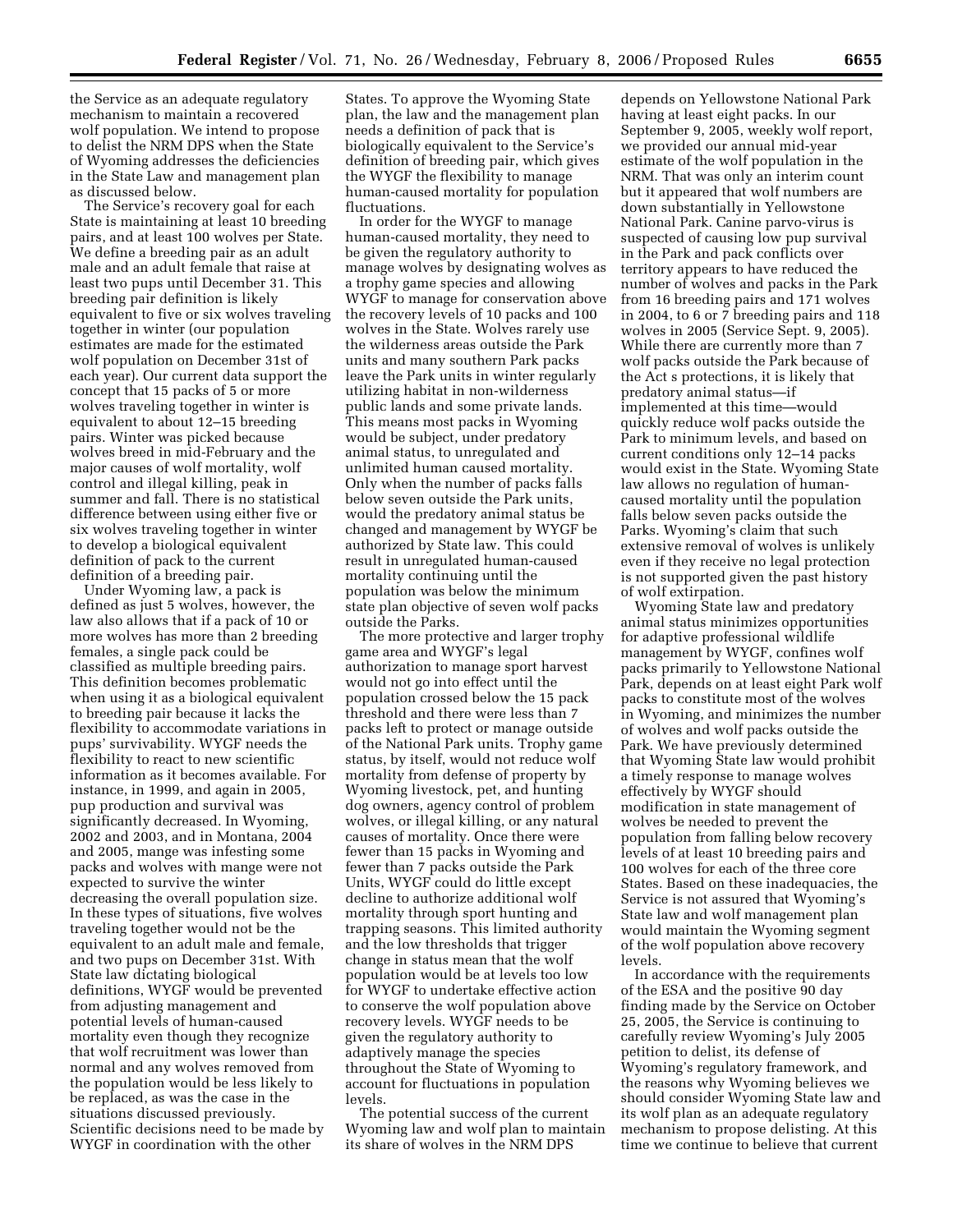the Service as an adequate regulatory mechanism to maintain a recovered wolf population. We intend to propose to delist the NRM DPS when the State of Wyoming addresses the deficiencies in the State Law and management plan as discussed below.

The Service's recovery goal for each State is maintaining at least 10 breeding pairs, and at least 100 wolves per State. We define a breeding pair as an adult male and an adult female that raise at least two pups until December 31. This breeding pair definition is likely equivalent to five or six wolves traveling together in winter (our population estimates are made for the estimated wolf population on December 31st of each year). Our current data support the concept that 15 packs of 5 or more wolves traveling together in winter is equivalent to about 12–15 breeding pairs. Winter was picked because wolves breed in mid-February and the major causes of wolf mortality, wolf control and illegal killing, peak in summer and fall. There is no statistical difference between using either five or six wolves traveling together in winter to develop a biological equivalent definition of pack to the current definition of a breeding pair.

Under Wyoming law, a pack is defined as just 5 wolves, however, the law also allows that if a pack of 10 or more wolves has more than 2 breeding females, a single pack could be classified as multiple breeding pairs. This definition becomes problematic when using it as a biological equivalent to breeding pair because it lacks the flexibility to accommodate variations in pups' survivability. WYGF needs the flexibility to react to new scientific information as it becomes available. For instance, in 1999, and again in 2005, pup production and survival was significantly decreased. In Wyoming, 2002 and 2003, and in Montana, 2004 and 2005, mange was infesting some packs and wolves with mange were not expected to survive the winter decreasing the overall population size. In these types of situations, five wolves traveling together would not be the equivalent to an adult male and female, and two pups on December 31st. With State law dictating biological definitions, WYGF would be prevented from adjusting management and potential levels of human-caused mortality even though they recognize that wolf recruitment was lower than normal and any wolves removed from the population would be less likely to be replaced, as was the case in the situations discussed previously. Scientific decisions need to be made by WYGF in coordination with the other

States. To approve the Wyoming State plan, the law and the management plan needs a definition of pack that is biologically equivalent to the Service's definition of breeding pair, which gives the WYGF the flexibility to manage human-caused mortality for population fluctuations.

In order for the WYGF to manage human-caused mortality, they need to be given the regulatory authority to manage wolves by designating wolves as a trophy game species and allowing WYGF to manage for conservation above the recovery levels of 10 packs and 100 wolves in the State. Wolves rarely use the wilderness areas outside the Park units and many southern Park packs leave the Park units in winter regularly utilizing habitat in non-wilderness public lands and some private lands. This means most packs in Wyoming would be subject, under predatory animal status, to unregulated and unlimited human caused mortality. Only when the number of packs falls below seven outside the Park units, would the predatory animal status be changed and management by WYGF be authorized by State law. This could result in unregulated human-caused mortality continuing until the population was below the minimum state plan objective of seven wolf packs outside the Parks.

The more protective and larger trophy game area and WYGF's legal authorization to manage sport harvest would not go into effect until the population crossed below the 15 pack threshold and there were less than 7 packs left to protect or manage outside of the National Park units. Trophy game status, by itself, would not reduce wolf mortality from defense of property by Wyoming livestock, pet, and hunting dog owners, agency control of problem wolves, or illegal killing, or any natural causes of mortality. Once there were fewer than 15 packs in Wyoming and fewer than 7 packs outside the Park Units, WYGF could do little except decline to authorize additional wolf mortality through sport hunting and trapping seasons. This limited authority and the low thresholds that trigger change in status mean that the wolf population would be at levels too low for WYGF to undertake effective action to conserve the wolf population above recovery levels. WYGF needs to be given the regulatory authority to adaptively manage the species throughout the State of Wyoming to account for fluctuations in population levels.

The potential success of the current Wyoming law and wolf plan to maintain its share of wolves in the NRM DPS

depends on Yellowstone National Park having at least eight packs. In our September 9, 2005, weekly wolf report, we provided our annual mid-year estimate of the wolf population in the NRM. That was only an interim count but it appeared that wolf numbers are down substantially in Yellowstone National Park. Canine parvo-virus is suspected of causing low pup survival in the Park and pack conflicts over territory appears to have reduced the number of wolves and packs in the Park from 16 breeding pairs and 171 wolves in 2004, to 6 or 7 breeding pairs and 118 wolves in 2005 (Service Sept. 9, 2005). While there are currently more than 7 wolf packs outside the Park because of the Act s protections, it is likely that predatory animal status—if implemented at this time—would quickly reduce wolf packs outside the Park to minimum levels, and based on current conditions only 12–14 packs would exist in the State. Wyoming State law allows no regulation of humancaused mortality until the population falls below seven packs outside the Parks. Wyoming's claim that such extensive removal of wolves is unlikely even if they receive no legal protection is not supported given the past history of wolf extirpation.

Wyoming State law and predatory animal status minimizes opportunities for adaptive professional wildlife management by WYGF, confines wolf packs primarily to Yellowstone National Park, depends on at least eight Park wolf packs to constitute most of the wolves in Wyoming, and minimizes the number of wolves and wolf packs outside the Park. We have previously determined that Wyoming State law would prohibit a timely response to manage wolves effectively by WYGF should modification in state management of wolves be needed to prevent the population from falling below recovery levels of at least 10 breeding pairs and 100 wolves for each of the three core States. Based on these inadequacies, the Service is not assured that Wyoming's State law and wolf management plan would maintain the Wyoming segment of the wolf population above recovery levels.

In accordance with the requirements of the ESA and the positive 90 day finding made by the Service on October 25, 2005, the Service is continuing to carefully review Wyoming's July 2005 petition to delist, its defense of Wyoming's regulatory framework, and the reasons why Wyoming believes we should consider Wyoming State law and its wolf plan as an adequate regulatory mechanism to propose delisting. At this time we continue to believe that current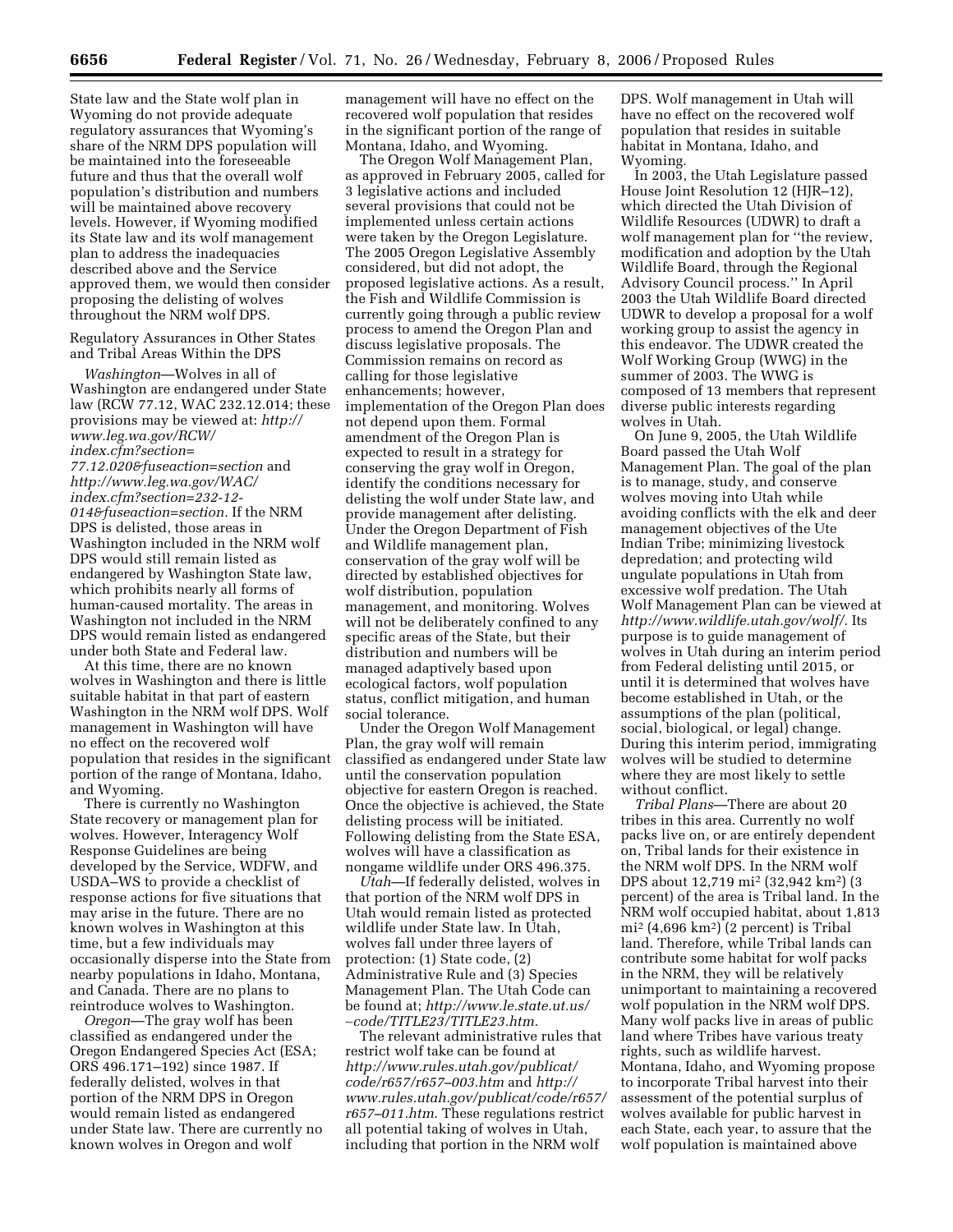State law and the State wolf plan in Wyoming do not provide adequate regulatory assurances that Wyoming's share of the NRM DPS population will be maintained into the foreseeable future and thus that the overall wolf population's distribution and numbers will be maintained above recovery levels. However, if Wyoming modified its State law and its wolf management plan to address the inadequacies described above and the Service approved them, we would then consider proposing the delisting of wolves throughout the NRM wolf DPS.

Regulatory Assurances in Other States and Tribal Areas Within the DPS

*Washington*—Wolves in all of Washington are endangered under State law (RCW 77.12, WAC 232.12.014; these provisions may be viewed at: *http:// www.leg.wa.gov/RCW/ index.cfm?section= 77.12.020&fuseaction=section* and *http://www.leg.wa.gov/WAC/ index.cfm?section=232-12- 014&fuseaction=section.* If the NRM DPS is delisted, those areas in Washington included in the NRM wolf DPS would still remain listed as endangered by Washington State law, which prohibits nearly all forms of human-caused mortality. The areas in Washington not included in the NRM DPS would remain listed as endangered under both State and Federal law.

At this time, there are no known wolves in Washington and there is little suitable habitat in that part of eastern Washington in the NRM wolf DPS. Wolf management in Washington will have no effect on the recovered wolf population that resides in the significant portion of the range of Montana, Idaho, and Wyoming.

There is currently no Washington State recovery or management plan for wolves. However, Interagency Wolf Response Guidelines are being developed by the Service, WDFW, and USDA–WS to provide a checklist of response actions for five situations that may arise in the future. There are no known wolves in Washington at this time, but a few individuals may occasionally disperse into the State from nearby populations in Idaho, Montana, and Canada. There are no plans to reintroduce wolves to Washington.

*Oregon*—The gray wolf has been classified as endangered under the Oregon Endangered Species Act (ESA; ORS 496.171–192) since 1987. If federally delisted, wolves in that portion of the NRM DPS in Oregon would remain listed as endangered under State law. There are currently no known wolves in Oregon and wolf

management will have no effect on the recovered wolf population that resides in the significant portion of the range of Montana, Idaho, and Wyoming.

The Oregon Wolf Management Plan, as approved in February 2005, called for 3 legislative actions and included several provisions that could not be implemented unless certain actions were taken by the Oregon Legislature. The 2005 Oregon Legislative Assembly considered, but did not adopt, the proposed legislative actions. As a result, the Fish and Wildlife Commission is currently going through a public review process to amend the Oregon Plan and discuss legislative proposals. The Commission remains on record as calling for those legislative enhancements; however, implementation of the Oregon Plan does not depend upon them. Formal amendment of the Oregon Plan is expected to result in a strategy for conserving the gray wolf in Oregon, identify the conditions necessary for delisting the wolf under State law, and provide management after delisting. Under the Oregon Department of Fish and Wildlife management plan, conservation of the gray wolf will be directed by established objectives for wolf distribution, population management, and monitoring. Wolves will not be deliberately confined to any specific areas of the State, but their distribution and numbers will be managed adaptively based upon ecological factors, wolf population status, conflict mitigation, and human social tolerance.

Under the Oregon Wolf Management Plan, the gray wolf will remain classified as endangered under State law until the conservation population objective for eastern Oregon is reached. Once the objective is achieved, the State delisting process will be initiated. Following delisting from the State ESA, wolves will have a classification as nongame wildlife under ORS 496.375.

*Utah*—If federally delisted, wolves in that portion of the NRM wolf DPS in Utah would remain listed as protected wildlife under State law. In Utah, wolves fall under three layers of protection: (1) State code, (2) Administrative Rule and (3) Species Management Plan. The Utah Code can be found at; *http://www.le.state.ut.us/*  ∼*code/TITLE23/TITLE23.htm.* 

The relevant administrative rules that restrict wolf take can be found at *http://www.rules.utah.gov/publicat/ code/r657/r657–003.htm* and *http:// www.rules.utah.gov/publicat/code/r657/ r657–011.htm.* These regulations restrict all potential taking of wolves in Utah, including that portion in the NRM wolf

DPS. Wolf management in Utah will have no effect on the recovered wolf population that resides in suitable habitat in Montana, Idaho, and Wyoming.

In 2003, the Utah Legislature passed House Joint Resolution 12 (HJR–12), which directed the Utah Division of Wildlife Resources (UDWR) to draft a wolf management plan for ''the review, modification and adoption by the Utah Wildlife Board, through the Regional Advisory Council process.'' In April 2003 the Utah Wildlife Board directed UDWR to develop a proposal for a wolf working group to assist the agency in this endeavor. The UDWR created the Wolf Working Group (WWG) in the summer of 2003. The WWG is composed of 13 members that represent diverse public interests regarding wolves in Utah.

On June 9, 2005, the Utah Wildlife Board passed the Utah Wolf Management Plan. The goal of the plan is to manage, study, and conserve wolves moving into Utah while avoiding conflicts with the elk and deer management objectives of the Ute Indian Tribe; minimizing livestock depredation; and protecting wild ungulate populations in Utah from excessive wolf predation. The Utah Wolf Management Plan can be viewed at *http://www.wildlife.utah.gov/wolf/.* Its purpose is to guide management of wolves in Utah during an interim period from Federal delisting until 2015, or until it is determined that wolves have become established in Utah, or the assumptions of the plan (political, social, biological, or legal) change. During this interim period, immigrating wolves will be studied to determine where they are most likely to settle without conflict.

*Tribal Plans*—There are about 20 tribes in this area. Currently no wolf packs live on, or are entirely dependent on, Tribal lands for their existence in the NRM wolf DPS. In the NRM wolf DPS about 12,719 mi2 (32,942 km2) (3 percent) of the area is Tribal land. In the NRM wolf occupied habitat, about 1,813 mi2 (4,696 km2) (2 percent) is Tribal land. Therefore, while Tribal lands can contribute some habitat for wolf packs in the NRM, they will be relatively unimportant to maintaining a recovered wolf population in the NRM wolf DPS. Many wolf packs live in areas of public land where Tribes have various treaty rights, such as wildlife harvest. Montana, Idaho, and Wyoming propose to incorporate Tribal harvest into their assessment of the potential surplus of wolves available for public harvest in each State, each year, to assure that the wolf population is maintained above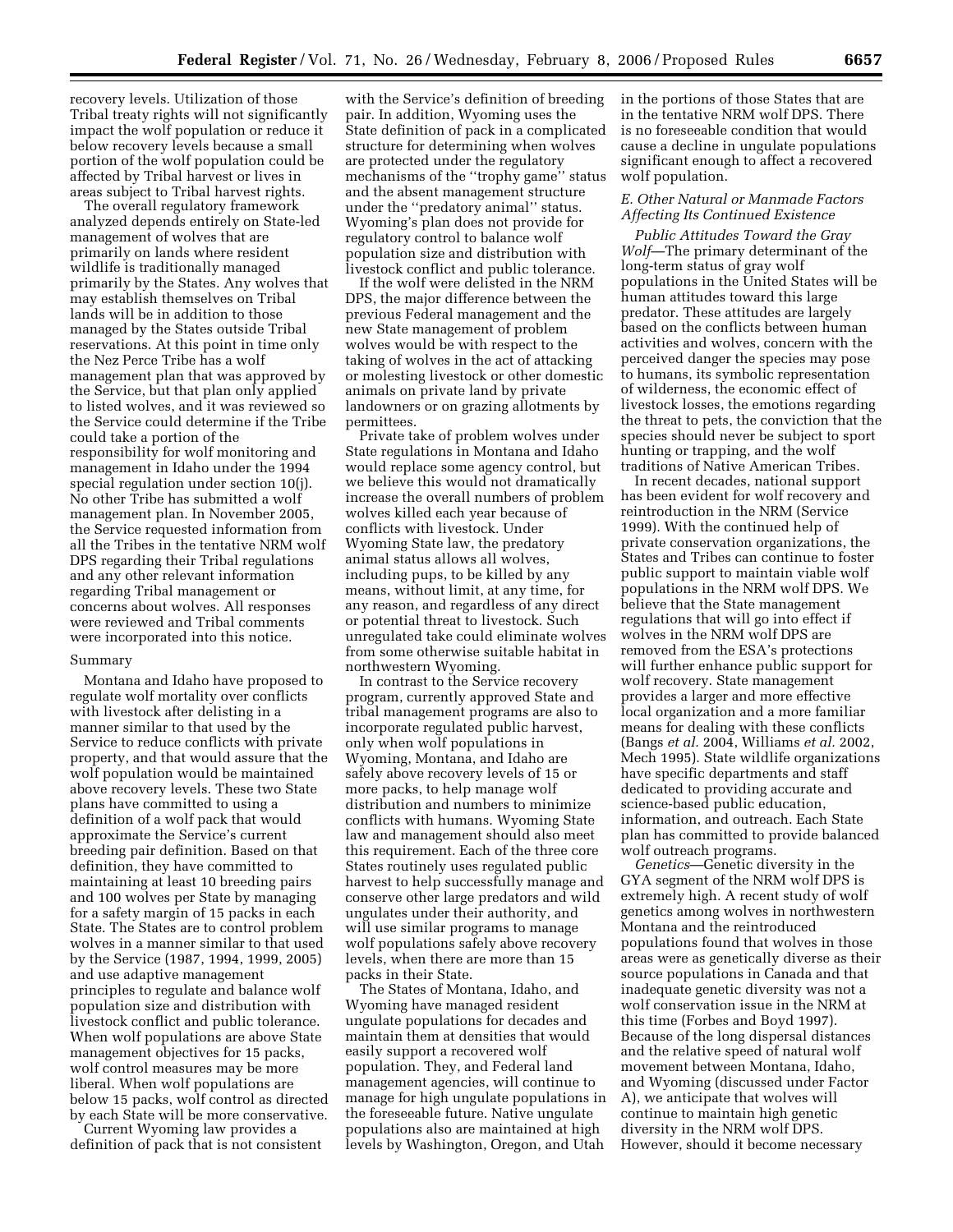recovery levels. Utilization of those Tribal treaty rights will not significantly impact the wolf population or reduce it below recovery levels because a small portion of the wolf population could be affected by Tribal harvest or lives in areas subject to Tribal harvest rights.

The overall regulatory framework analyzed depends entirely on State-led management of wolves that are primarily on lands where resident wildlife is traditionally managed primarily by the States. Any wolves that may establish themselves on Tribal lands will be in addition to those managed by the States outside Tribal reservations. At this point in time only the Nez Perce Tribe has a wolf management plan that was approved by the Service, but that plan only applied to listed wolves, and it was reviewed so the Service could determine if the Tribe could take a portion of the responsibility for wolf monitoring and management in Idaho under the 1994 special regulation under section 10(j). No other Tribe has submitted a wolf management plan. In November 2005, the Service requested information from all the Tribes in the tentative NRM wolf DPS regarding their Tribal regulations and any other relevant information regarding Tribal management or concerns about wolves. All responses were reviewed and Tribal comments were incorporated into this notice.

#### Summary

Montana and Idaho have proposed to regulate wolf mortality over conflicts with livestock after delisting in a manner similar to that used by the Service to reduce conflicts with private property, and that would assure that the wolf population would be maintained above recovery levels. These two State plans have committed to using a definition of a wolf pack that would approximate the Service's current breeding pair definition. Based on that definition, they have committed to maintaining at least 10 breeding pairs and 100 wolves per State by managing for a safety margin of 15 packs in each State. The States are to control problem wolves in a manner similar to that used by the Service (1987, 1994, 1999, 2005) and use adaptive management principles to regulate and balance wolf population size and distribution with livestock conflict and public tolerance. When wolf populations are above State management objectives for 15 packs, wolf control measures may be more liberal. When wolf populations are below 15 packs, wolf control as directed by each State will be more conservative.

Current Wyoming law provides a definition of pack that is not consistent

with the Service's definition of breeding pair. In addition, Wyoming uses the State definition of pack in a complicated structure for determining when wolves are protected under the regulatory mechanisms of the ''trophy game'' status and the absent management structure under the ''predatory animal'' status. Wyoming's plan does not provide for regulatory control to balance wolf population size and distribution with livestock conflict and public tolerance.

If the wolf were delisted in the NRM DPS, the major difference between the previous Federal management and the new State management of problem wolves would be with respect to the taking of wolves in the act of attacking or molesting livestock or other domestic animals on private land by private landowners or on grazing allotments by permittees.

Private take of problem wolves under State regulations in Montana and Idaho would replace some agency control, but we believe this would not dramatically increase the overall numbers of problem wolves killed each year because of conflicts with livestock. Under Wyoming State law, the predatory animal status allows all wolves, including pups, to be killed by any means, without limit, at any time, for any reason, and regardless of any direct or potential threat to livestock. Such unregulated take could eliminate wolves from some otherwise suitable habitat in northwestern Wyoming.

In contrast to the Service recovery program, currently approved State and tribal management programs are also to incorporate regulated public harvest, only when wolf populations in Wyoming, Montana, and Idaho are safely above recovery levels of 15 or more packs, to help manage wolf distribution and numbers to minimize conflicts with humans. Wyoming State law and management should also meet this requirement. Each of the three core States routinely uses regulated public harvest to help successfully manage and conserve other large predators and wild ungulates under their authority, and will use similar programs to manage wolf populations safely above recovery levels, when there are more than 15 packs in their State.

The States of Montana, Idaho, and Wyoming have managed resident ungulate populations for decades and maintain them at densities that would easily support a recovered wolf population. They, and Federal land management agencies, will continue to manage for high ungulate populations in the foreseeable future. Native ungulate populations also are maintained at high levels by Washington, Oregon, and Utah

in the portions of those States that are in the tentative NRM wolf DPS. There is no foreseeable condition that would cause a decline in ungulate populations significant enough to affect a recovered wolf population.

#### *E. Other Natural or Manmade Factors Affecting Its Continued Existence*

*Public Attitudes Toward the Gray Wolf*—The primary determinant of the long-term status of gray wolf populations in the United States will be human attitudes toward this large predator. These attitudes are largely based on the conflicts between human activities and wolves, concern with the perceived danger the species may pose to humans, its symbolic representation of wilderness, the economic effect of livestock losses, the emotions regarding the threat to pets, the conviction that the species should never be subject to sport hunting or trapping, and the wolf traditions of Native American Tribes.

In recent decades, national support has been evident for wolf recovery and reintroduction in the NRM (Service 1999). With the continued help of private conservation organizations, the States and Tribes can continue to foster public support to maintain viable wolf populations in the NRM wolf DPS. We believe that the State management regulations that will go into effect if wolves in the NRM wolf DPS are removed from the ESA's protections will further enhance public support for wolf recovery. State management provides a larger and more effective local organization and a more familiar means for dealing with these conflicts (Bangs *et al.* 2004, Williams *et al.* 2002, Mech 1995). State wildlife organizations have specific departments and staff dedicated to providing accurate and science-based public education, information, and outreach. Each State plan has committed to provide balanced wolf outreach programs.

*Genetics*—Genetic diversity in the GYA segment of the NRM wolf DPS is extremely high. A recent study of wolf genetics among wolves in northwestern Montana and the reintroduced populations found that wolves in those areas were as genetically diverse as their source populations in Canada and that inadequate genetic diversity was not a wolf conservation issue in the NRM at this time (Forbes and Boyd 1997). Because of the long dispersal distances and the relative speed of natural wolf movement between Montana, Idaho, and Wyoming (discussed under Factor A), we anticipate that wolves will continue to maintain high genetic diversity in the NRM wolf DPS. However, should it become necessary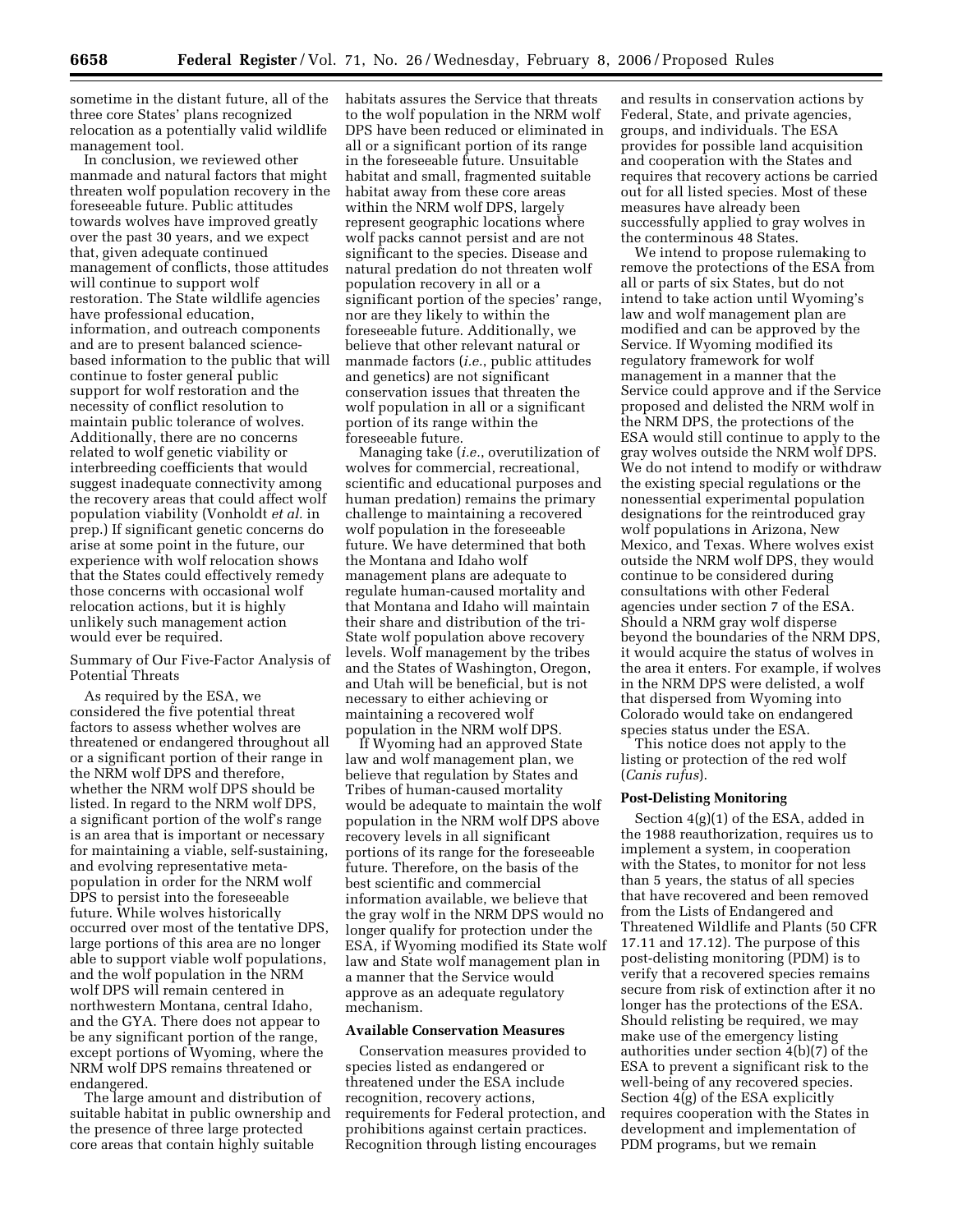sometime in the distant future, all of the three core States' plans recognized relocation as a potentially valid wildlife management tool.

In conclusion, we reviewed other manmade and natural factors that might threaten wolf population recovery in the foreseeable future. Public attitudes towards wolves have improved greatly over the past 30 years, and we expect that, given adequate continued management of conflicts, those attitudes will continue to support wolf restoration. The State wildlife agencies have professional education, information, and outreach components and are to present balanced sciencebased information to the public that will continue to foster general public support for wolf restoration and the necessity of conflict resolution to maintain public tolerance of wolves. Additionally, there are no concerns related to wolf genetic viability or interbreeding coefficients that would suggest inadequate connectivity among the recovery areas that could affect wolf population viability (Vonholdt *et al.* in prep.) If significant genetic concerns do arise at some point in the future, our experience with wolf relocation shows that the States could effectively remedy those concerns with occasional wolf relocation actions, but it is highly unlikely such management action would ever be required.

#### Summary of Our Five-Factor Analysis of Potential Threats

As required by the ESA, we considered the five potential threat factors to assess whether wolves are threatened or endangered throughout all or a significant portion of their range in the NRM wolf DPS and therefore, whether the NRM wolf DPS should be listed. In regard to the NRM wolf DPS, a significant portion of the wolf's range is an area that is important or necessary for maintaining a viable, self-sustaining, and evolving representative metapopulation in order for the NRM wolf DPS to persist into the foreseeable future. While wolves historically occurred over most of the tentative DPS, large portions of this area are no longer able to support viable wolf populations, and the wolf population in the NRM wolf DPS will remain centered in northwestern Montana, central Idaho, and the GYA. There does not appear to be any significant portion of the range, except portions of Wyoming, where the NRM wolf DPS remains threatened or endangered.

The large amount and distribution of suitable habitat in public ownership and the presence of three large protected core areas that contain highly suitable

habitats assures the Service that threats to the wolf population in the NRM wolf DPS have been reduced or eliminated in all or a significant portion of its range in the foreseeable future. Unsuitable habitat and small, fragmented suitable habitat away from these core areas within the NRM wolf DPS, largely represent geographic locations where wolf packs cannot persist and are not significant to the species. Disease and natural predation do not threaten wolf population recovery in all or a significant portion of the species' range, nor are they likely to within the foreseeable future. Additionally, we believe that other relevant natural or manmade factors (*i.e.*, public attitudes and genetics) are not significant conservation issues that threaten the wolf population in all or a significant portion of its range within the foreseeable future.

Managing take (*i.e.*, overutilization of wolves for commercial, recreational, scientific and educational purposes and human predation) remains the primary challenge to maintaining a recovered wolf population in the foreseeable future. We have determined that both the Montana and Idaho wolf management plans are adequate to regulate human-caused mortality and that Montana and Idaho will maintain their share and distribution of the tri-State wolf population above recovery levels. Wolf management by the tribes and the States of Washington, Oregon, and Utah will be beneficial, but is not necessary to either achieving or maintaining a recovered wolf population in the NRM wolf DPS.

If Wyoming had an approved State law and wolf management plan, we believe that regulation by States and Tribes of human-caused mortality would be adequate to maintain the wolf population in the NRM wolf DPS above recovery levels in all significant portions of its range for the foreseeable future. Therefore, on the basis of the best scientific and commercial information available, we believe that the gray wolf in the NRM DPS would no longer qualify for protection under the ESA, if Wyoming modified its State wolf law and State wolf management plan in a manner that the Service would approve as an adequate regulatory mechanism.

#### **Available Conservation Measures**

Conservation measures provided to species listed as endangered or threatened under the ESA include recognition, recovery actions, requirements for Federal protection, and prohibitions against certain practices. Recognition through listing encourages

and results in conservation actions by Federal, State, and private agencies, groups, and individuals. The ESA provides for possible land acquisition and cooperation with the States and requires that recovery actions be carried out for all listed species. Most of these measures have already been successfully applied to gray wolves in the conterminous 48 States.

We intend to propose rulemaking to remove the protections of the ESA from all or parts of six States, but do not intend to take action until Wyoming's law and wolf management plan are modified and can be approved by the Service. If Wyoming modified its regulatory framework for wolf management in a manner that the Service could approve and if the Service proposed and delisted the NRM wolf in the NRM DPS, the protections of the ESA would still continue to apply to the gray wolves outside the NRM wolf DPS. We do not intend to modify or withdraw the existing special regulations or the nonessential experimental population designations for the reintroduced gray wolf populations in Arizona, New Mexico, and Texas. Where wolves exist outside the NRM wolf DPS, they would continue to be considered during consultations with other Federal agencies under section 7 of the ESA. Should a NRM gray wolf disperse beyond the boundaries of the NRM DPS, it would acquire the status of wolves in the area it enters. For example, if wolves in the NRM DPS were delisted, a wolf that dispersed from Wyoming into Colorado would take on endangered species status under the ESA.

This notice does not apply to the listing or protection of the red wolf (*Canis rufus*).

#### **Post-Delisting Monitoring**

Section 4(g)(1) of the ESA, added in the 1988 reauthorization, requires us to implement a system, in cooperation with the States, to monitor for not less than 5 years, the status of all species that have recovered and been removed from the Lists of Endangered and Threatened Wildlife and Plants (50 CFR 17.11 and 17.12). The purpose of this post-delisting monitoring (PDM) is to verify that a recovered species remains secure from risk of extinction after it no longer has the protections of the ESA. Should relisting be required, we may make use of the emergency listing authorities under section 4(b)(7) of the ESA to prevent a significant risk to the well-being of any recovered species. Section 4(g) of the ESA explicitly requires cooperation with the States in development and implementation of PDM programs, but we remain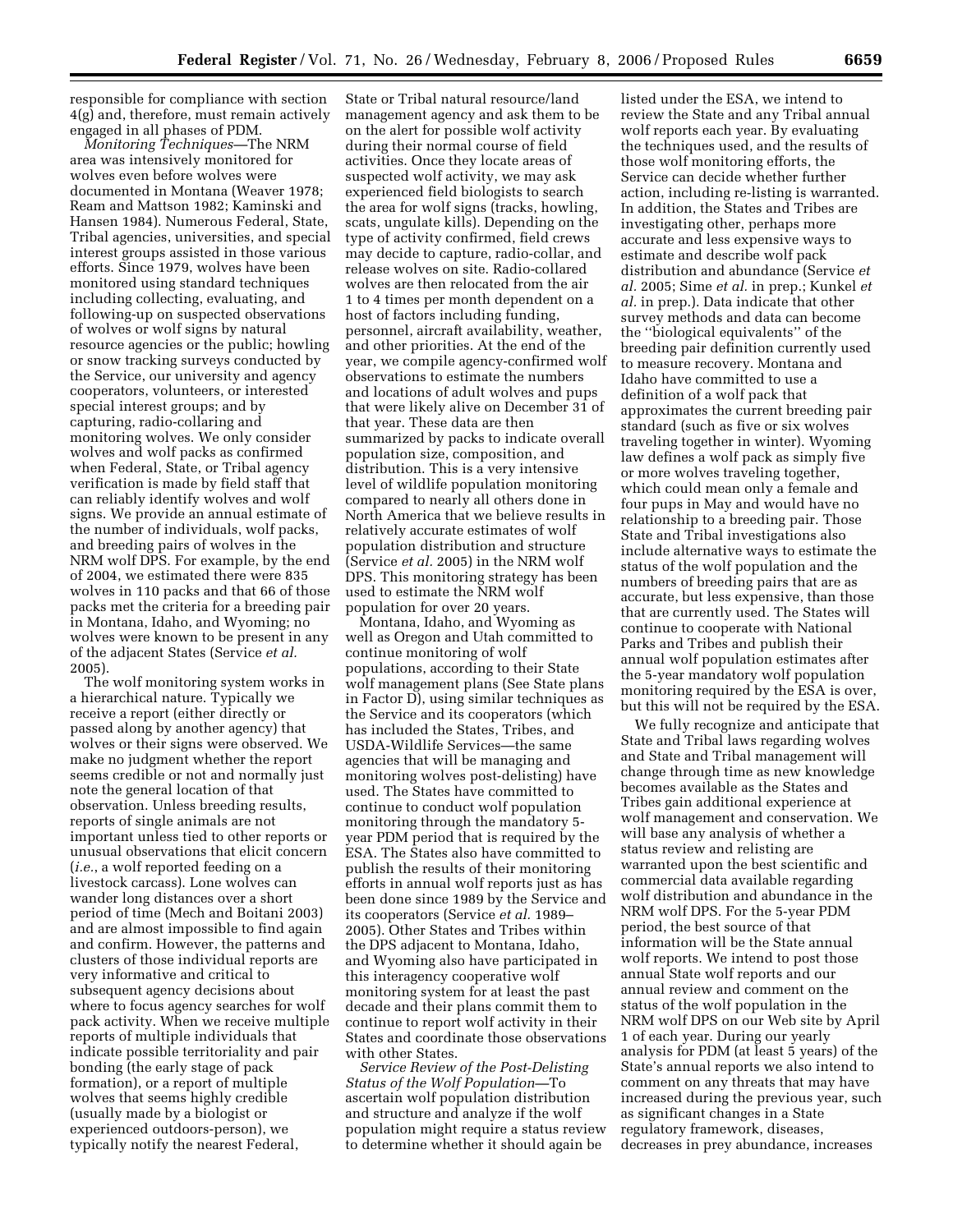responsible for compliance with section 4(g) and, therefore, must remain actively engaged in all phases of PDM.

*Monitoring Techniques—*The NRM area was intensively monitored for wolves even before wolves were documented in Montana (Weaver 1978; Ream and Mattson 1982; Kaminski and Hansen 1984). Numerous Federal, State, Tribal agencies, universities, and special interest groups assisted in those various efforts. Since 1979, wolves have been monitored using standard techniques including collecting, evaluating, and following-up on suspected observations of wolves or wolf signs by natural resource agencies or the public; howling or snow tracking surveys conducted by the Service, our university and agency cooperators, volunteers, or interested special interest groups; and by capturing, radio-collaring and monitoring wolves. We only consider wolves and wolf packs as confirmed when Federal, State, or Tribal agency verification is made by field staff that can reliably identify wolves and wolf signs. We provide an annual estimate of the number of individuals, wolf packs, and breeding pairs of wolves in the NRM wolf DPS. For example, by the end of 2004, we estimated there were 835 wolves in 110 packs and that 66 of those packs met the criteria for a breeding pair in Montana, Idaho, and Wyoming; no wolves were known to be present in any of the adjacent States (Service *et al.*  2005).

The wolf monitoring system works in a hierarchical nature. Typically we receive a report (either directly or passed along by another agency) that wolves or their signs were observed. We make no judgment whether the report seems credible or not and normally just note the general location of that observation. Unless breeding results, reports of single animals are not important unless tied to other reports or unusual observations that elicit concern (*i.e.*, a wolf reported feeding on a livestock carcass). Lone wolves can wander long distances over a short period of time (Mech and Boitani 2003) and are almost impossible to find again and confirm. However, the patterns and clusters of those individual reports are very informative and critical to subsequent agency decisions about where to focus agency searches for wolf pack activity. When we receive multiple reports of multiple individuals that indicate possible territoriality and pair bonding (the early stage of pack formation), or a report of multiple wolves that seems highly credible (usually made by a biologist or experienced outdoors-person), we typically notify the nearest Federal,

State or Tribal natural resource/land management agency and ask them to be on the alert for possible wolf activity during their normal course of field activities. Once they locate areas of suspected wolf activity, we may ask experienced field biologists to search the area for wolf signs (tracks, howling, scats, ungulate kills). Depending on the type of activity confirmed, field crews may decide to capture, radio-collar, and release wolves on site. Radio-collared wolves are then relocated from the air 1 to 4 times per month dependent on a host of factors including funding, personnel, aircraft availability, weather, and other priorities. At the end of the year, we compile agency-confirmed wolf observations to estimate the numbers and locations of adult wolves and pups that were likely alive on December 31 of that year. These data are then summarized by packs to indicate overall population size, composition, and distribution. This is a very intensive level of wildlife population monitoring compared to nearly all others done in North America that we believe results in relatively accurate estimates of wolf population distribution and structure (Service *et al.* 2005) in the NRM wolf DPS. This monitoring strategy has been used to estimate the NRM wolf population for over 20 years.

Montana, Idaho, and Wyoming as well as Oregon and Utah committed to continue monitoring of wolf populations, according to their State wolf management plans (See State plans in Factor D), using similar techniques as the Service and its cooperators (which has included the States, Tribes, and USDA-Wildlife Services—the same agencies that will be managing and monitoring wolves post-delisting) have used. The States have committed to continue to conduct wolf population monitoring through the mandatory 5 year PDM period that is required by the ESA. The States also have committed to publish the results of their monitoring efforts in annual wolf reports just as has been done since 1989 by the Service and its cooperators (Service *et al.* 1989– 2005). Other States and Tribes within the DPS adjacent to Montana, Idaho, and Wyoming also have participated in this interagency cooperative wolf monitoring system for at least the past decade and their plans commit them to continue to report wolf activity in their States and coordinate those observations with other States.

*Service Review of the Post-Delisting Status of the Wolf Population—*To ascertain wolf population distribution and structure and analyze if the wolf population might require a status review to determine whether it should again be

listed under the ESA, we intend to review the State and any Tribal annual wolf reports each year. By evaluating the techniques used, and the results of those wolf monitoring efforts, the Service can decide whether further action, including re-listing is warranted. In addition, the States and Tribes are investigating other, perhaps more accurate and less expensive ways to estimate and describe wolf pack distribution and abundance (Service *et al.* 2005; Sime *et al.* in prep.; Kunkel *et al.* in prep.). Data indicate that other survey methods and data can become the ''biological equivalents'' of the breeding pair definition currently used to measure recovery. Montana and Idaho have committed to use a definition of a wolf pack that approximates the current breeding pair standard (such as five or six wolves traveling together in winter). Wyoming law defines a wolf pack as simply five or more wolves traveling together, which could mean only a female and four pups in May and would have no relationship to a breeding pair. Those State and Tribal investigations also include alternative ways to estimate the status of the wolf population and the numbers of breeding pairs that are as accurate, but less expensive, than those that are currently used. The States will continue to cooperate with National Parks and Tribes and publish their annual wolf population estimates after the 5-year mandatory wolf population monitoring required by the ESA is over, but this will not be required by the ESA.

We fully recognize and anticipate that State and Tribal laws regarding wolves and State and Tribal management will change through time as new knowledge becomes available as the States and Tribes gain additional experience at wolf management and conservation. We will base any analysis of whether a status review and relisting are warranted upon the best scientific and commercial data available regarding wolf distribution and abundance in the NRM wolf DPS. For the 5-year PDM period, the best source of that information will be the State annual wolf reports. We intend to post those annual State wolf reports and our annual review and comment on the status of the wolf population in the NRM wolf DPS on our Web site by April 1 of each year. During our yearly analysis for PDM (at least 5 years) of the State's annual reports we also intend to comment on any threats that may have increased during the previous year, such as significant changes in a State regulatory framework, diseases, decreases in prey abundance, increases